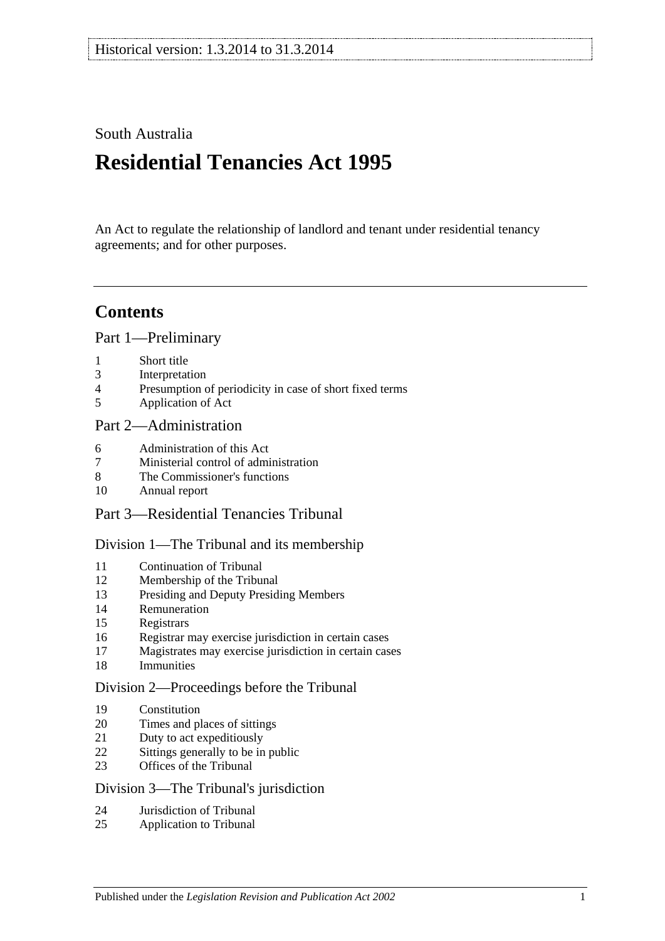# South Australia

# **Residential Tenancies Act 1995**

An Act to regulate the relationship of landlord and tenant under residential tenancy agreements; and for other purposes.

# **Contents**

[Part 1—Preliminary](#page-6-0)

- [Short title](#page-6-1)
- [Interpretation](#page-6-2)
- [Presumption of periodicity in case of short fixed terms](#page-8-0)
- [Application of Act](#page-8-1)

# [Part 2—Administration](#page-10-0)

- [Administration](#page-10-1) of this Act
- [Ministerial control of administration](#page-10-2)
- [The Commissioner's functions](#page-10-3)
- [Annual report](#page-11-0)
- Part [3—Residential Tenancies Tribunal](#page-11-1)

#### [Division 1—The Tribunal and its membership](#page-11-2)

- [Continuation of Tribunal](#page-11-3)
- [Membership of the Tribunal](#page-11-4)
- [Presiding and Deputy Presiding Members](#page-11-5)
- [Remuneration](#page-12-0)
- [Registrars](#page-12-1)
- [Registrar may exercise jurisdiction in certain cases](#page-12-2)
- [Magistrates may exercise jurisdiction in certain cases](#page-12-3)
- [Immunities](#page-13-0)

#### [Division 2—Proceedings before the Tribunal](#page-13-1)

- [Constitution](#page-13-2)
- [Times and places of sittings](#page-13-3)
- [Duty to act expeditiously](#page-13-4)
- [Sittings generally to be in public](#page-13-5)
- [Offices of the Tribunal](#page-13-6)

#### [Division 3—The Tribunal's jurisdiction](#page-13-7)

- [Jurisdiction of Tribunal](#page-13-8)
- [Application to Tribunal](#page-14-0)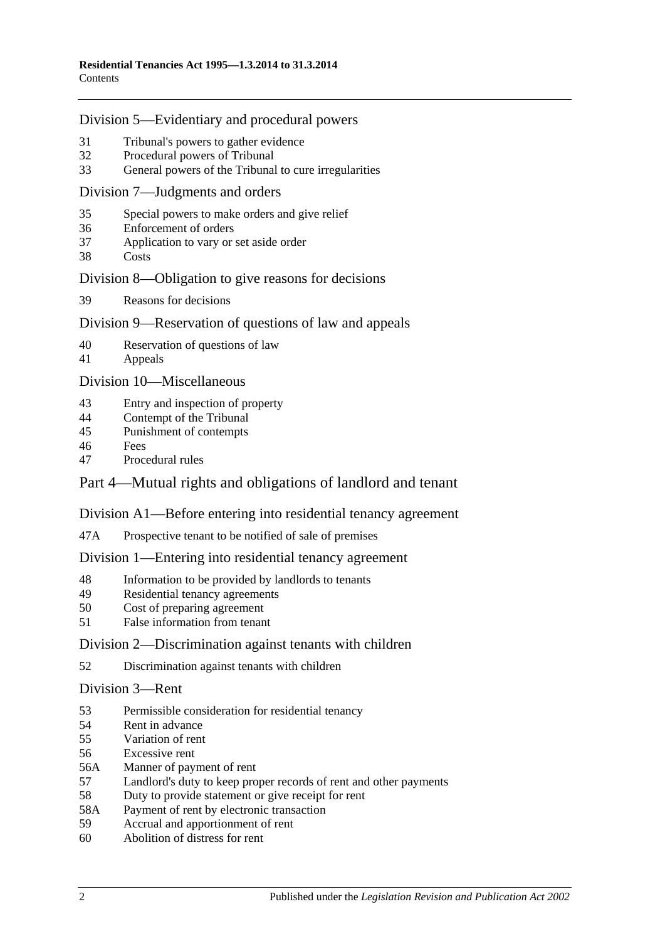#### [Division 5—Evidentiary and procedural powers](#page-14-1)

- [Tribunal's powers to gather evidence](#page-14-2)<br>32 Procedural powers of Tribunal
- [Procedural powers of Tribunal](#page-15-0)
- [General powers of the Tribunal to cure irregularities](#page-16-0)

#### [Division 7—Judgments and orders](#page-16-1)

- [Special powers to make orders and give relief](#page-16-2)
- [Enforcement of orders](#page-17-0)
- [Application to vary or set aside order](#page-17-1)
- [Costs](#page-17-2)

#### [Division 8—Obligation to give reasons for decisions](#page-17-3)

[Reasons for decisions](#page-17-4)

#### [Division 9—Reservation of questions of law and appeals](#page-17-5)

- [Reservation of questions of law](#page-17-6)
- [Appeals](#page-18-0)

[Division 10—Miscellaneous](#page-18-1)

- [Entry and inspection of property](#page-18-2)
- [Contempt of the Tribunal](#page-18-3)
- [Punishment of contempts](#page-18-4)
- [Fees](#page-19-0)
- [Procedural rules](#page-19-1)

# [Part 4—Mutual rights and obligations of landlord and tenant](#page-19-2)

#### [Division A1—Before entering into residential tenancy agreement](#page-19-3)

47A [Prospective tenant to be notified of sale of premises](#page-19-4)

#### [Division 1—Entering into residential tenancy agreement](#page-19-5)

- [Information to be provided by landlords to tenants](#page-19-6)
- [Residential tenancy agreements](#page-20-0)
- [Cost of preparing agreement](#page-22-0)
- [False information from tenant](#page-22-1)

#### [Division 2—Discrimination against tenants with children](#page-22-2)

[Discrimination against tenants with children](#page-22-3)

#### [Division 3—Rent](#page-23-0)

- [Permissible consideration for residential tenancy](#page-23-1)
- [Rent in advance](#page-23-2)
- [Variation of rent](#page-24-0)
- [Excessive rent](#page-25-0)
- 56A [Manner of payment of rent](#page-26-0)
- [Landlord's duty to keep proper records of rent and other payments](#page-26-1)
- [Duty to provide statement or give receipt for rent](#page-26-2)
- 58A [Payment of rent by electronic transaction](#page-27-0)
- [Accrual and apportionment of rent](#page-27-1)
- [Abolition of distress for rent](#page-27-2)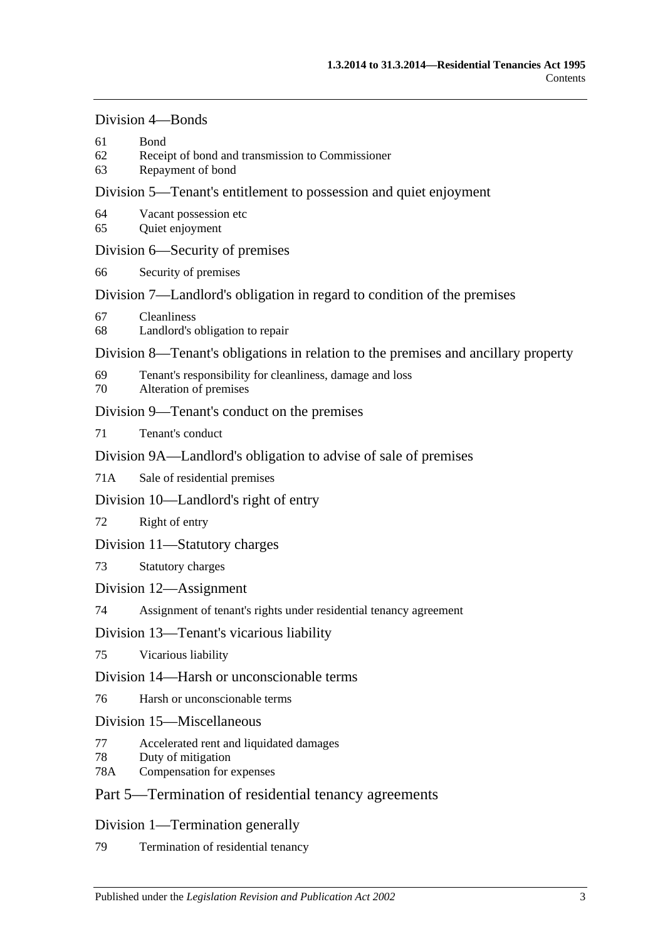# [Division 4—Bonds](#page-27-3)

- 61 [Bond](#page-27-4)
- 62 [Receipt of bond and transmission to Commissioner](#page-28-0)
- 63 [Repayment of bond](#page-28-1)

# [Division 5—Tenant's entitlement to possession and quiet enjoyment](#page-30-0)

- 64 [Vacant possession etc](#page-30-1)
- 65 [Quiet enjoyment](#page-30-2)

# [Division 6—Security of premises](#page-31-0)

66 [Security of premises](#page-31-1)

# [Division 7—Landlord's obligation in regard to condition of the premises](#page-31-2)

- 67 [Cleanliness](#page-31-3)
- 68 [Landlord's obligation to repair](#page-31-4)

# [Division 8—Tenant's obligations in relation to the premises and ancillary property](#page-33-0)

- 69 [Tenant's responsibility for cleanliness, damage and loss](#page-33-1)
- 70 [Alteration of premises](#page-33-2)

# [Division 9—Tenant's conduct on the premises](#page-34-0)

71 [Tenant's conduct](#page-34-1)

# [Division 9A—Landlord's obligation to advise of sale of premises](#page-34-2)

71A [Sale of residential premises](#page-34-3)

# [Division 10—Landlord's right of entry](#page-34-4)

72 [Right of entry](#page-34-5)

# [Division 11—Statutory charges](#page-36-0)

# 73 [Statutory charges](#page-36-1)

# [Division 12—Assignment](#page-37-0)

74 [Assignment of tenant's rights under residential tenancy agreement](#page-37-1)

# [Division 13—Tenant's vicarious liability](#page-38-0)

75 [Vicarious liability](#page-38-1)

# [Division 14—Harsh or unconscionable terms](#page-39-0)

76 [Harsh or unconscionable terms](#page-39-1)

# [Division 15—Miscellaneous](#page-39-2)

- 77 [Accelerated rent and liquidated damages](#page-39-3)
- 78 [Duty of mitigation](#page-39-4)
- 78A [Compensation for expenses](#page-39-5)

# [Part 5—Termination of residential tenancy agreements](#page-40-0)

# [Division 1—Termination generally](#page-40-1)

79 [Termination of residential tenancy](#page-40-2)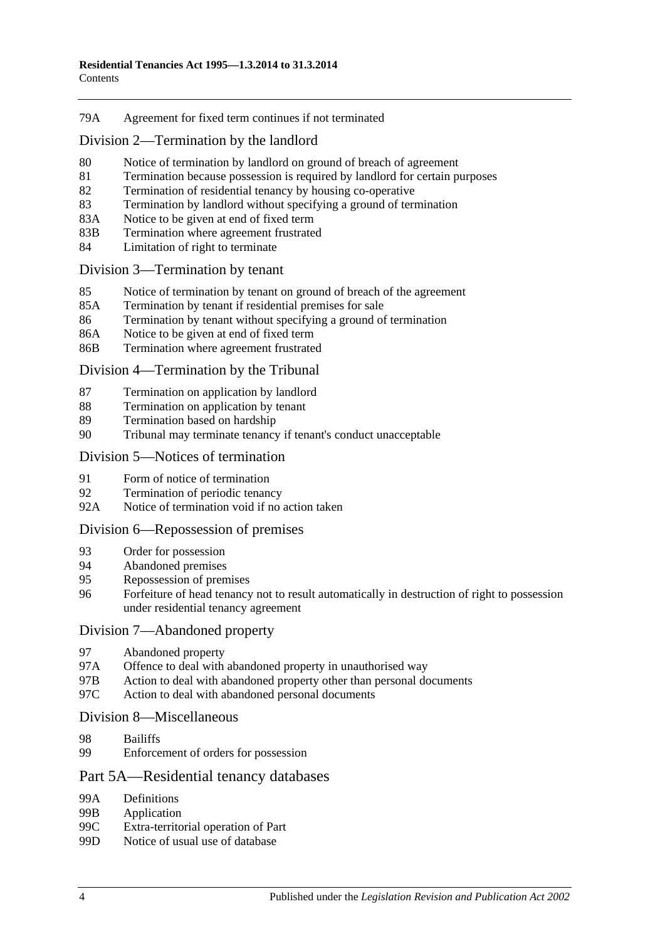#### 79A [Agreement for fixed term continues if not terminated](#page-40-3)

### [Division 2—Termination by the landlord](#page-40-4)

- 80 [Notice of termination by landlord on ground of breach of agreement](#page-40-5)
- 81 [Termination because possession is required by landlord for certain purposes](#page-42-0)
- 82 [Termination of residential tenancy by housing co-operative](#page-42-1)
- 83 [Termination by landlord without specifying a ground of termination](#page-43-0)
- 83A [Notice to be given at end of fixed term](#page-43-1)
- 83B [Termination where agreement frustrated](#page-43-2)
- 84 Limitation of [right to terminate](#page-43-3)

#### [Division 3—Termination by tenant](#page-44-0)

- 85 [Notice of termination by tenant on ground of breach of the agreement](#page-44-1)
- 85A [Termination by tenant if residential premises for sale](#page-44-2)
- 86 [Termination by tenant without specifying a ground of termination](#page-45-0)
- 86A [Notice to be given at end of fixed term](#page-45-1)
- 86B [Termination where agreement frustrated](#page-45-2)

#### [Division 4—Termination by the Tribunal](#page-45-3)

- 87 [Termination on application by landlord](#page-45-4)
- 88 [Termination on application by tenant](#page-46-0)
- 89 [Termination based on hardship](#page-46-1)
- 90 [Tribunal may terminate tenancy if tenant's conduct unacceptable](#page-46-2)

#### [Division 5—Notices of termination](#page-47-0)

- 91 [Form of notice of termination](#page-47-1)
- 92 [Termination of periodic tenancy](#page-48-0)
- 92A [Notice of termination void if no action taken](#page-48-1)

#### [Division 6—Repossession of premises](#page-49-0)

- 93 [Order for possession](#page-49-1)
- 94 [Abandoned premises](#page-49-2)
- 95 [Repossession of premises](#page-50-0)
- 96 [Forfeiture of head tenancy not to result automatically in destruction of right to possession](#page-50-1)  [under residential tenancy agreement](#page-50-1)

#### [Division 7—Abandoned property](#page-51-0)

- 97 [Abandoned property](#page-51-1)
- 97A [Offence to deal with abandoned property in unauthorised way](#page-51-2)
- 97B [Action to deal with abandoned property other than personal documents](#page-51-3)
- 97C [Action to deal with abandoned personal documents](#page-52-0)

#### [Division 8—Miscellaneous](#page-52-1)

- 98 [Bailiffs](#page-52-2)
- 99 [Enforcement of orders for possession](#page-52-3)

# [Part 5A—Residential tenancy databases](#page-53-0)

- 99A [Definitions](#page-53-1)
- 99B [Application](#page-54-0)<br>99C Extra-territo
- 99C [Extra-territorial operation of Part](#page-54-1)<br>99D Notice of usual use of database
- [Notice of usual use of database](#page-55-0)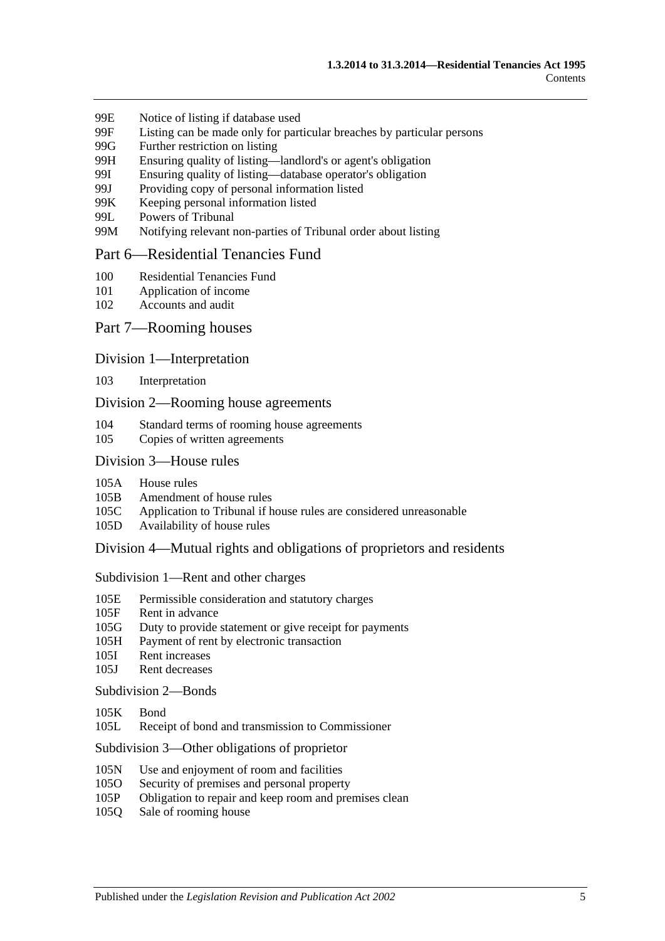- 99E [Notice of listing if database used](#page-55-1)
- 99F [Listing can be made only for particular breaches by particular persons](#page-56-0)
- 99G [Further restriction on listing](#page-57-0)
- 99H [Ensuring quality of listing—landlord's or agent's obligation](#page-57-1)
- 99I [Ensuring quality of listing—database operator's obligation](#page-58-0)
- 99J [Providing copy of personal information listed](#page-58-1)
- 99K [Keeping personal information listed](#page-58-2)
- 99L [Powers of Tribunal](#page-59-0)
- 99M [Notifying relevant non-parties of Tribunal order about listing](#page-59-1)

#### [Part 6—Residential Tenancies Fund](#page-60-0)

- 100 [Residential Tenancies Fund](#page-60-1)
- 101 [Application of income](#page-60-2)
- 102 [Accounts and audit](#page-60-3)

#### Part [7—Rooming houses](#page-61-0)

#### Division [1—Interpretation](#page-61-1)

103 [Interpretation](#page-61-2)

#### Division [2—Rooming house agreements](#page-61-3)

- 104 [Standard terms of rooming house agreements](#page-61-4)
- 105 [Copies of written agreements](#page-61-5)

### Division [3—House rules](#page-61-6)

- 105A [House rules](#page-61-7)
- 105B [Amendment of house rules](#page-62-0)
- 105C [Application to Tribunal if house rules are considered unreasonable](#page-62-1)
- 105D [Availability of house rules](#page-62-2)

Division [4—Mutual rights and obligations of proprietors and residents](#page-63-0)

#### Subdivision [1—Rent and other charges](#page-63-1)

- 105E [Permissible consideration and statutory charges](#page-63-2)
- 105F [Rent in advance](#page-63-3)
- 105G [Duty to provide statement or give receipt for payments](#page-64-0)
- 105H [Payment of rent by electronic transaction](#page-64-1)
- 105I [Rent increases](#page-64-2)
- 105J [Rent decreases](#page-65-0)

[Subdivision](#page-66-0) 2—Bonds

- [105K](#page-66-1) Bond
- 105L [Receipt of bond and transmission to Commissioner](#page-66-2)

Subdivision [3—Other obligations of proprietor](#page-66-3)

- 105N [Use and enjoyment of room and facilities](#page-66-4)
- 105O [Security of premises and personal property](#page-66-5)
- 105P [Obligation to repair and keep room and premises clean](#page-67-0)
- 105Q [Sale of rooming house](#page-68-0)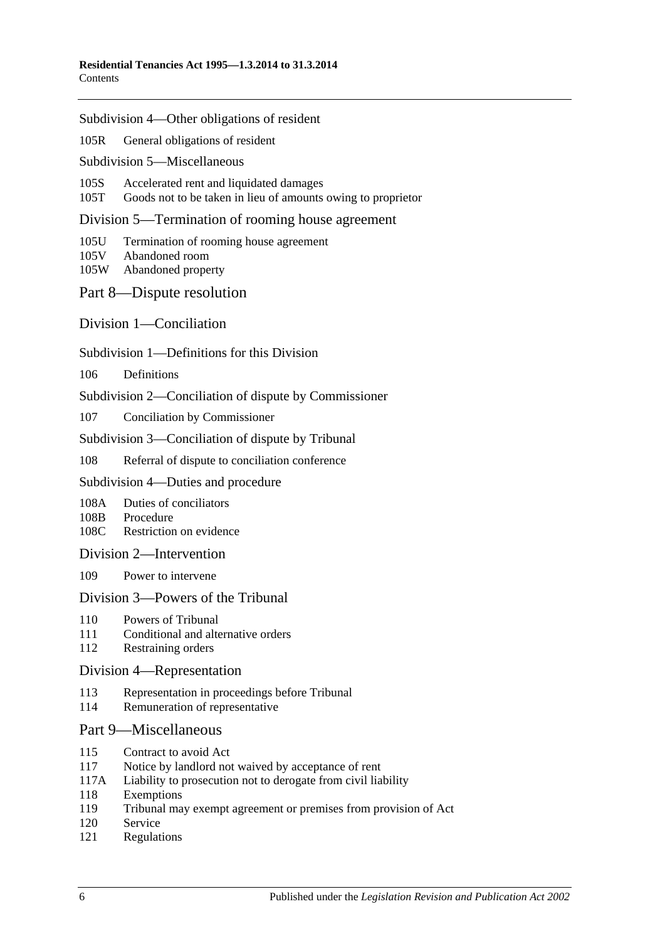Subdivision [4—Other obligations of resident](#page-68-1)

105R [General obligations of resident](#page-68-2)

Subdivision [5—Miscellaneous](#page-68-3)

105S [Accelerated rent and liquidated damages](#page-68-4)

105T [Goods not to be taken in lieu of amounts owing to proprietor](#page-69-0)

Division [5—Termination of rooming house agreement](#page-69-1)

105U [Termination of rooming house agreement](#page-69-2)

- 105V [Abandoned room](#page-70-0)
- 105W [Abandoned property](#page-70-1)

[Part 8—Dispute resolution](#page-71-0)

[Division 1—Conciliation](#page-71-1)

Subdivision [1—Definitions for this Division](#page-71-2)

106 [Definitions](#page-71-3)

Subdivision [2—Conciliation of dispute by Commissioner](#page-72-0)

107 [Conciliation by Commissioner](#page-72-1)

Subdivision [3—Conciliation of dispute by Tribunal](#page-72-2)

108 [Referral of dispute to conciliation conference](#page-72-3)

Subdivision [4—Duties and procedure](#page-73-0)

108A [Duties of conciliators](#page-73-1)

108B [Procedure](#page-73-2)

108C [Restriction on evidence](#page-73-3)

[Division 2—Intervention](#page-74-0)

109 [Power to intervene](#page-74-1)

#### [Division 3—Powers of the Tribunal](#page-74-2)

- 110 [Powers of Tribunal](#page-74-3)
- 111 [Conditional and alternative orders](#page-75-0)
- 112 [Restraining orders](#page-75-1)

#### [Division 4—Representation](#page-75-2)

- 113 [Representation in proceedings before Tribunal](#page-75-3)
- 114 [Remuneration of representative](#page-76-0)

#### [Part 9—Miscellaneous](#page-76-1)

- 115 [Contract to avoid Act](#page-76-2)
- 117 [Notice by landlord not waived by acceptance of rent](#page-76-3)
- 117A [Liability to prosecution not to derogate from civil liability](#page-76-4)
- 118 [Exemptions](#page-77-0)
- 119 [Tribunal may exempt agreement or premises from provision of Act](#page-77-1)
- 120 [Service](#page-77-2)
- 121 [Regulations](#page-77-3)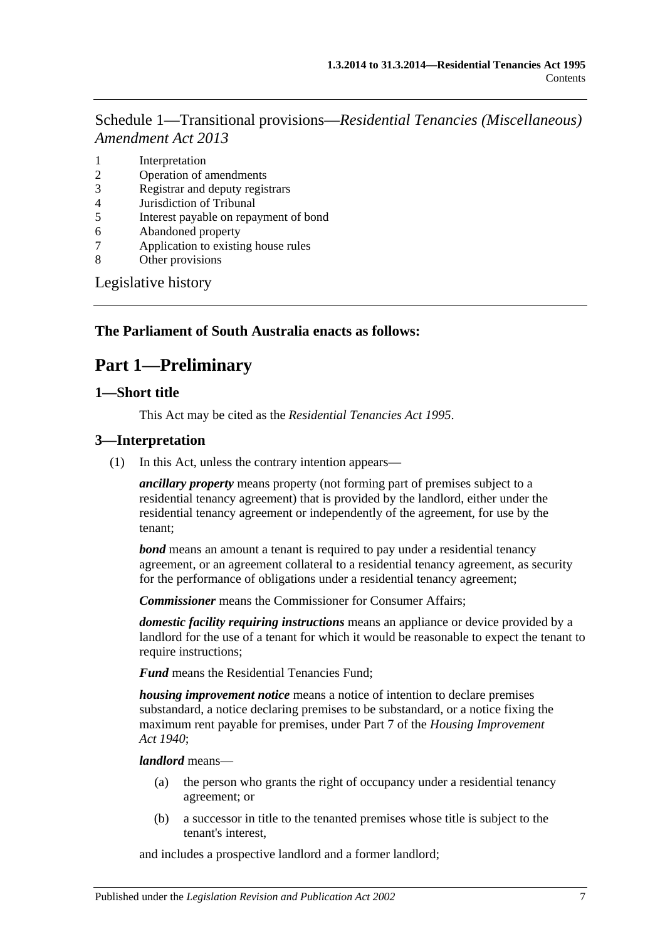Schedule 1—Transitional provisions—*[Residential Tenancies \(Miscellaneous\)](#page-78-0)  [Amendment Act](#page-78-0) 2013*

- 1 [Interpretation](#page-78-1)
- 2 [Operation of amendments](#page-78-2)
- 3 [Registrar and deputy registrars](#page-78-3)
- 4 [Jurisdiction of Tribunal](#page-78-4)
- 5 [Interest payable on repayment of bond](#page-79-0)
- 6 [Abandoned property](#page-79-1)
- 7 [Application to existing house rules](#page-79-2)
- 8 [Other provisions](#page-79-3)

[Legislative history](#page-80-0)

#### <span id="page-6-0"></span>**The Parliament of South Australia enacts as follows:**

# **Part 1—Preliminary**

#### <span id="page-6-1"></span>**1—Short title**

This Act may be cited as the *Residential Tenancies Act 1995*.

#### <span id="page-6-2"></span>**3—Interpretation**

(1) In this Act, unless the contrary intention appears—

*ancillary property* means property (not forming part of premises subject to a residential tenancy agreement) that is provided by the landlord, either under the residential tenancy agreement or independently of the agreement, for use by the tenant;

*bond* means an amount a tenant is required to pay under a residential tenancy agreement, or an agreement collateral to a residential tenancy agreement, as security for the performance of obligations under a residential tenancy agreement;

*Commissioner* means the Commissioner for Consumer Affairs;

*domestic facility requiring instructions* means an appliance or device provided by a landlord for the use of a tenant for which it would be reasonable to expect the tenant to require instructions;

*Fund* means the Residential Tenancies Fund;

*housing improvement notice* means a notice of intention to declare premises substandard, a notice declaring premises to be substandard, or a notice fixing the maximum rent payable for premises, under Part 7 of the *[Housing Improvement](http://www.legislation.sa.gov.au/index.aspx?action=legref&type=act&legtitle=Housing%20Improvement%20Act%201940)  Act [1940](http://www.legislation.sa.gov.au/index.aspx?action=legref&type=act&legtitle=Housing%20Improvement%20Act%201940)*;

*landlord* means—

- (a) the person who grants the right of occupancy under a residential tenancy agreement; or
- (b) a successor in title to the tenanted premises whose title is subject to the tenant's interest,

and includes a prospective landlord and a former landlord;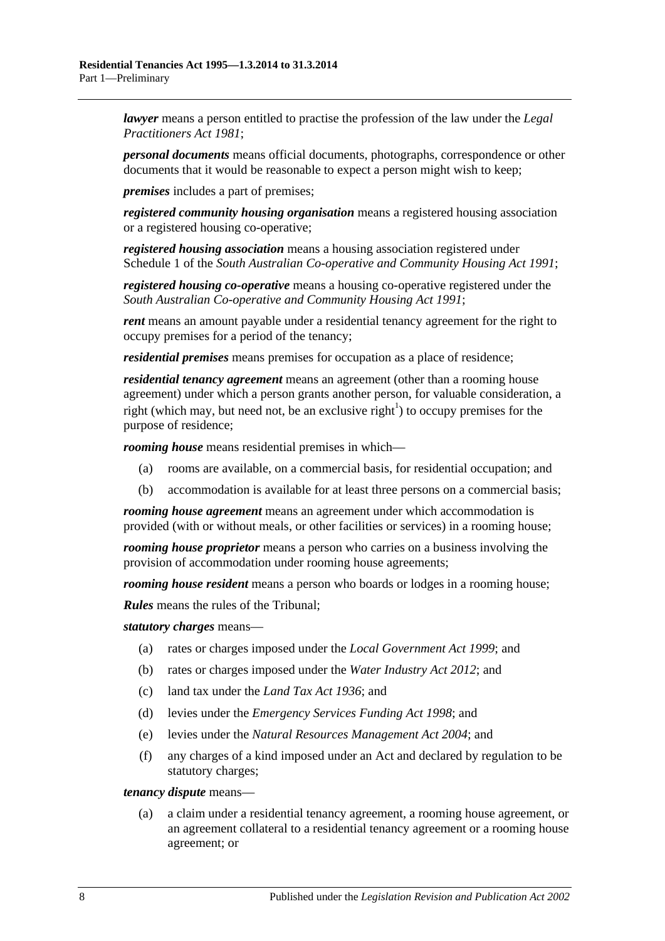*lawyer* means a person entitled to practise the profession of the law under the *[Legal](http://www.legislation.sa.gov.au/index.aspx?action=legref&type=act&legtitle=Legal%20Practitioners%20Act%201981)  [Practitioners Act](http://www.legislation.sa.gov.au/index.aspx?action=legref&type=act&legtitle=Legal%20Practitioners%20Act%201981) 1981*;

*personal documents* means official documents, photographs, correspondence or other documents that it would be reasonable to expect a person might wish to keep;

*premises* includes a part of premises;

*registered community housing organisation* means a registered housing association or a registered housing co-operative;

*registered housing association* means a housing association registered under Schedule 1 of the *[South Australian Co-operative and Community Housing Act](http://www.legislation.sa.gov.au/index.aspx?action=legref&type=act&legtitle=South%20Australian%20Co-operative%20and%20Community%20Housing%20Act%201991) 1991*;

*registered housing co-operative* means a housing co-operative registered under the *[South Australian Co-operative and Community Housing Act](http://www.legislation.sa.gov.au/index.aspx?action=legref&type=act&legtitle=South%20Australian%20Co-operative%20and%20Community%20Housing%20Act%201991) 1991*;

*rent* means an amount payable under a residential tenancy agreement for the right to occupy premises for a period of the tenancy;

*residential premises* means premises for occupation as a place of residence;

*residential tenancy agreement* means an agreement (other than a rooming house agreement) under which a person grants another person, for valuable consideration, a right (which may, but need not, be an exclusive right<sup>1</sup>) to occupy premises for the purpose of residence;

*rooming house* means residential premises in which—

- (a) rooms are available, on a commercial basis, for residential occupation; and
- (b) accommodation is available for at least three persons on a commercial basis;

*rooming house agreement* means an agreement under which accommodation is provided (with or without meals, or other facilities or services) in a rooming house;

*rooming house proprietor* means a person who carries on a business involving the provision of accommodation under rooming house agreements;

*rooming house resident* means a person who boards or lodges in a rooming house;

*Rules* means the rules of the Tribunal;

*statutory charges* means—

- (a) rates or charges imposed under the *[Local Government Act](http://www.legislation.sa.gov.au/index.aspx?action=legref&type=act&legtitle=Local%20Government%20Act%201999) 1999*; and
- (b) rates or charges imposed under the *[Water Industry Act](http://www.legislation.sa.gov.au/index.aspx?action=legref&type=act&legtitle=Water%20Industry%20Act%202012) 2012*; and
- (c) land tax under the *[Land Tax Act](http://www.legislation.sa.gov.au/index.aspx?action=legref&type=act&legtitle=Land%20Tax%20Act%201936) 1936*; and
- (d) levies under the *[Emergency Services Funding Act](http://www.legislation.sa.gov.au/index.aspx?action=legref&type=act&legtitle=Emergency%20Services%20Funding%20Act%201998) 1998*; and
- (e) levies under the *[Natural Resources Management Act](http://www.legislation.sa.gov.au/index.aspx?action=legref&type=act&legtitle=Natural%20Resources%20Management%20Act%202004) 2004*; and
- (f) any charges of a kind imposed under an Act and declared by regulation to be statutory charges;

#### *tenancy dispute* means—

(a) a claim under a residential tenancy agreement, a rooming house agreement, or an agreement collateral to a residential tenancy agreement or a rooming house agreement; or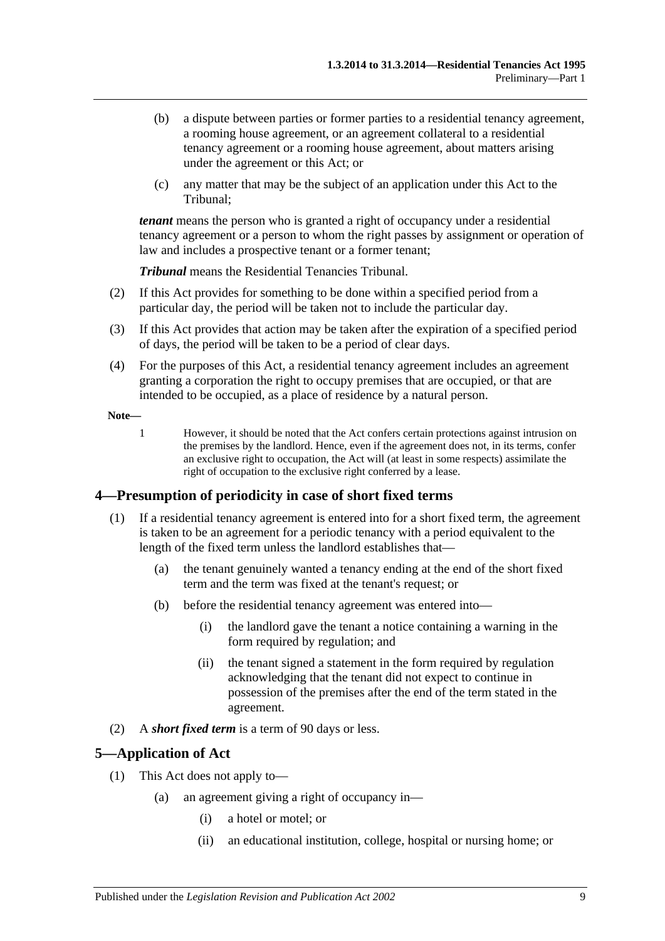- (b) a dispute between parties or former parties to a residential tenancy agreement, a rooming house agreement, or an agreement collateral to a residential tenancy agreement or a rooming house agreement, about matters arising under the agreement or this Act; or
- (c) any matter that may be the subject of an application under this Act to the Tribunal;

*tenant* means the person who is granted a right of occupancy under a residential tenancy agreement or a person to whom the right passes by assignment or operation of law and includes a prospective tenant or a former tenant;

*Tribunal* means the Residential Tenancies Tribunal.

- (2) If this Act provides for something to be done within a specified period from a particular day, the period will be taken not to include the particular day.
- (3) If this Act provides that action may be taken after the expiration of a specified period of days, the period will be taken to be a period of clear days.
- (4) For the purposes of this Act, a residential tenancy agreement includes an agreement granting a corporation the right to occupy premises that are occupied, or that are intended to be occupied, as a place of residence by a natural person.

**Note—**

1 However, it should be noted that the Act confers certain protections against intrusion on the premises by the landlord. Hence, even if the agreement does not, in its terms, confer an exclusive right to occupation, the Act will (at least in some respects) assimilate the right of occupation to the exclusive right conferred by a lease.

# <span id="page-8-0"></span>**4—Presumption of periodicity in case of short fixed terms**

- (1) If a residential tenancy agreement is entered into for a short fixed term, the agreement is taken to be an agreement for a periodic tenancy with a period equivalent to the length of the fixed term unless the landlord establishes that—
	- (a) the tenant genuinely wanted a tenancy ending at the end of the short fixed term and the term was fixed at the tenant's request; or
	- (b) before the residential tenancy agreement was entered into—
		- (i) the landlord gave the tenant a notice containing a warning in the form required by regulation; and
		- (ii) the tenant signed a statement in the form required by regulation acknowledging that the tenant did not expect to continue in possession of the premises after the end of the term stated in the agreement.
- (2) A *short fixed term* is a term of 90 days or less.

# <span id="page-8-1"></span>**5—Application of Act**

- (1) This Act does not apply to—
	- (a) an agreement giving a right of occupancy in—
		- (i) a hotel or motel; or
		- (ii) an educational institution, college, hospital or nursing home; or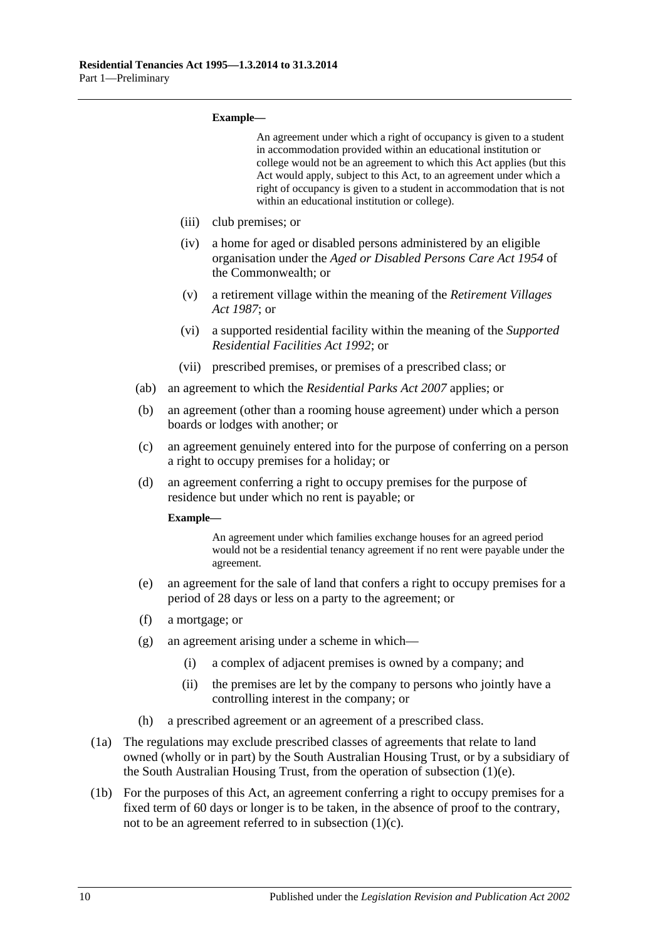#### **Example—**

<span id="page-9-1"></span>

|      |      |                                                                                                                                                                            | An agreement under which a right of occupancy is given to a student<br>in accommodation provided within an educational institution or<br>college would not be an agreement to which this Act applies (but this<br>Act would apply, subject to this Act, to an agreement under which a<br>right of occupancy is given to a student in accommodation that is not<br>within an educational institution or college). |  |
|------|------|----------------------------------------------------------------------------------------------------------------------------------------------------------------------------|------------------------------------------------------------------------------------------------------------------------------------------------------------------------------------------------------------------------------------------------------------------------------------------------------------------------------------------------------------------------------------------------------------------|--|
|      |      | (iii)                                                                                                                                                                      | club premises; or                                                                                                                                                                                                                                                                                                                                                                                                |  |
|      |      | (iv)                                                                                                                                                                       | a home for aged or disabled persons administered by an eligible<br>organisation under the Aged or Disabled Persons Care Act 1954 of<br>the Commonwealth; or                                                                                                                                                                                                                                                      |  |
|      |      | (v)                                                                                                                                                                        | a retirement village within the meaning of the Retirement Villages<br>Act 1987; or                                                                                                                                                                                                                                                                                                                               |  |
|      |      | (vi)                                                                                                                                                                       | a supported residential facility within the meaning of the Supported<br>Residential Facilities Act 1992; or                                                                                                                                                                                                                                                                                                      |  |
|      |      | (vii)                                                                                                                                                                      | prescribed premises, or premises of a prescribed class; or                                                                                                                                                                                                                                                                                                                                                       |  |
|      | (ab) | an agreement to which the <i>Residential Parks Act 2007</i> applies; or                                                                                                    |                                                                                                                                                                                                                                                                                                                                                                                                                  |  |
|      | (b)  | an agreement (other than a rooming house agreement) under which a person<br>boards or lodges with another; or                                                              |                                                                                                                                                                                                                                                                                                                                                                                                                  |  |
|      | (c)  | an agreement genuinely entered into for the purpose of conferring on a person<br>a right to occupy premises for a holiday; or                                              |                                                                                                                                                                                                                                                                                                                                                                                                                  |  |
|      | (d)  | an agreement conferring a right to occupy premises for the purpose of<br>residence but under which no rent is payable; or                                                  |                                                                                                                                                                                                                                                                                                                                                                                                                  |  |
|      |      | Example-                                                                                                                                                                   |                                                                                                                                                                                                                                                                                                                                                                                                                  |  |
|      |      |                                                                                                                                                                            | An agreement under which families exchange houses for an agreed period<br>would not be a residential tenancy agreement if no rent were payable under the<br>agreement.                                                                                                                                                                                                                                           |  |
|      | (e)  | an agreement for the sale of land that confers a right to occupy premises for a<br>period of 28 days or less on a party to the agreement; or                               |                                                                                                                                                                                                                                                                                                                                                                                                                  |  |
|      | (f)  | a mortgage; or                                                                                                                                                             |                                                                                                                                                                                                                                                                                                                                                                                                                  |  |
|      | (g)  | an agreement arising under a scheme in which-                                                                                                                              |                                                                                                                                                                                                                                                                                                                                                                                                                  |  |
|      |      | (i)                                                                                                                                                                        | a complex of adjacent premises is owned by a company; and                                                                                                                                                                                                                                                                                                                                                        |  |
|      |      | (ii)                                                                                                                                                                       | the premises are let by the company to persons who jointly have a<br>controlling interest in the company; or                                                                                                                                                                                                                                                                                                     |  |
|      | (h)  |                                                                                                                                                                            | a prescribed agreement or an agreement of a prescribed class.                                                                                                                                                                                                                                                                                                                                                    |  |
| (1a) |      | The regulations may exclude prescribed classes of agreements that relate to land<br>owned (wholly or in part) by the South Australian Housing Trust, or by a subsidiary of |                                                                                                                                                                                                                                                                                                                                                                                                                  |  |

<span id="page-9-0"></span>the South Australian Housing Trust, from the operation of [subsection](#page-9-0) (1)(e). (1b) For the purposes of this Act, an agreement conferring a right to occupy premises for a fixed term of 60 days or longer is to be taken, in the absence of proof to the contrary, not to be an agreement referred to in [subsection](#page-9-1) (1)(c).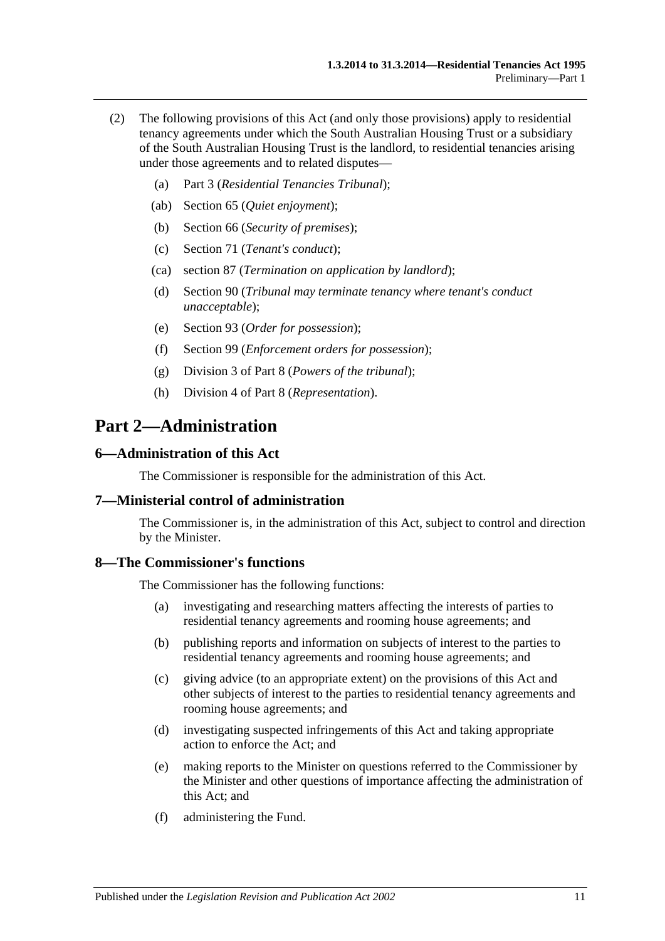- (2) The following provisions of this Act (and only those provisions) apply to residential tenancy agreements under which the South Australian Housing Trust or a subsidiary of the South Australian Housing Trust is the landlord, to residential tenancies arising under those agreements and to related disputes—
	- (a) [Part 3](#page-11-1) (*Residential Tenancies Tribunal*);
	- (ab) [Section](#page-30-2) 65 (*Quiet enjoyment*);
	- (b) [Section](#page-31-1) 66 (*Security of premises*);
	- (c) [Section](#page-34-1) 71 (*Tenant's conduct*);
	- (ca) [section](#page-45-4) 87 (*Termination on application by landlord*);
	- (d) [Section](#page-46-2) 90 (*Tribunal may terminate tenancy where tenant's conduct unacceptable*);
	- (e) [Section](#page-49-1) 93 (*Order for possession*);
	- (f) [Section](#page-52-3) 99 (*Enforcement orders for possession*);
	- (g) [Division 3](#page-74-2) of [Part 8](#page-71-0) (*Powers of the tribunal*);
	- (h) [Division 4](#page-75-2) of [Part 8](#page-71-0) (*Representation*).

# <span id="page-10-0"></span>**Part 2—Administration**

#### <span id="page-10-1"></span>**6—Administration of this Act**

The Commissioner is responsible for the administration of this Act.

#### <span id="page-10-2"></span>**7—Ministerial control of administration**

The Commissioner is, in the administration of this Act, subject to control and direction by the Minister.

#### <span id="page-10-3"></span>**8—The Commissioner's functions**

The Commissioner has the following functions:

- (a) investigating and researching matters affecting the interests of parties to residential tenancy agreements and rooming house agreements; and
- (b) publishing reports and information on subjects of interest to the parties to residential tenancy agreements and rooming house agreements; and
- (c) giving advice (to an appropriate extent) on the provisions of this Act and other subjects of interest to the parties to residential tenancy agreements and rooming house agreements; and
- (d) investigating suspected infringements of this Act and taking appropriate action to enforce the Act; and
- (e) making reports to the Minister on questions referred to the Commissioner by the Minister and other questions of importance affecting the administration of this Act; and
- (f) administering the Fund.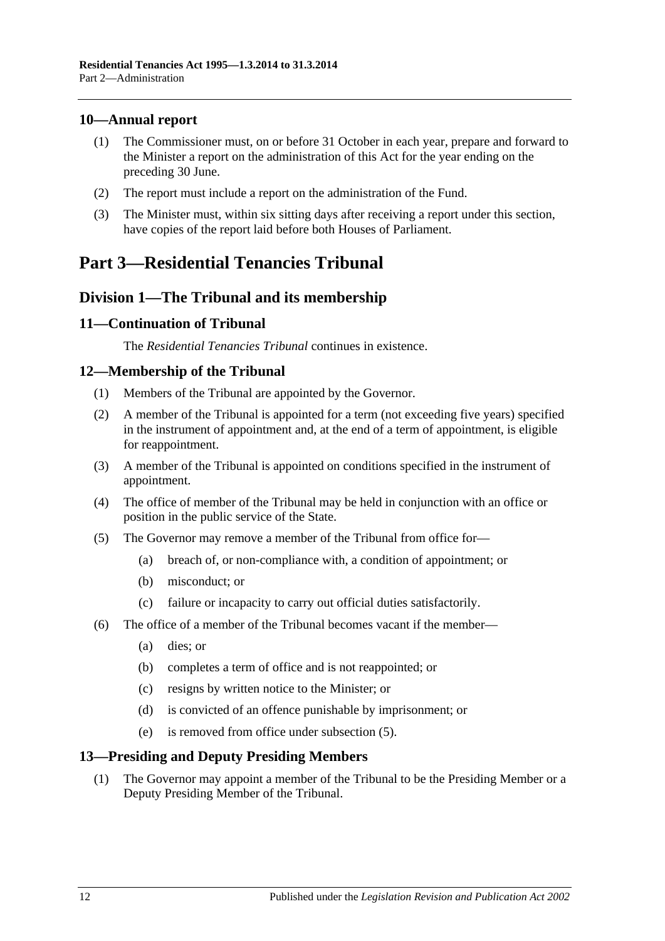# <span id="page-11-0"></span>**10—Annual report**

- (1) The Commissioner must, on or before 31 October in each year, prepare and forward to the Minister a report on the administration of this Act for the year ending on the preceding 30 June.
- (2) The report must include a report on the administration of the Fund.
- (3) The Minister must, within six sitting days after receiving a report under this section, have copies of the report laid before both Houses of Parliament.

# <span id="page-11-1"></span>**Part 3—Residential Tenancies Tribunal**

# <span id="page-11-2"></span>**Division 1—The Tribunal and its membership**

# <span id="page-11-3"></span>**11—Continuation of Tribunal**

The *Residential Tenancies Tribunal* continues in existence.

# <span id="page-11-4"></span>**12—Membership of the Tribunal**

- (1) Members of the Tribunal are appointed by the Governor.
- (2) A member of the Tribunal is appointed for a term (not exceeding five years) specified in the instrument of appointment and, at the end of a term of appointment, is eligible for reappointment.
- (3) A member of the Tribunal is appointed on conditions specified in the instrument of appointment.
- (4) The office of member of the Tribunal may be held in conjunction with an office or position in the public service of the State.
- <span id="page-11-6"></span>(5) The Governor may remove a member of the Tribunal from office for—
	- (a) breach of, or non-compliance with, a condition of appointment; or
	- (b) misconduct; or
	- (c) failure or incapacity to carry out official duties satisfactorily.
- (6) The office of a member of the Tribunal becomes vacant if the member—
	- (a) dies; or
	- (b) completes a term of office and is not reappointed; or
	- (c) resigns by written notice to the Minister; or
	- (d) is convicted of an offence punishable by imprisonment; or
	- (e) is removed from office under [subsection](#page-11-6) (5).

# <span id="page-11-5"></span>**13—Presiding and Deputy Presiding Members**

(1) The Governor may appoint a member of the Tribunal to be the Presiding Member or a Deputy Presiding Member of the Tribunal.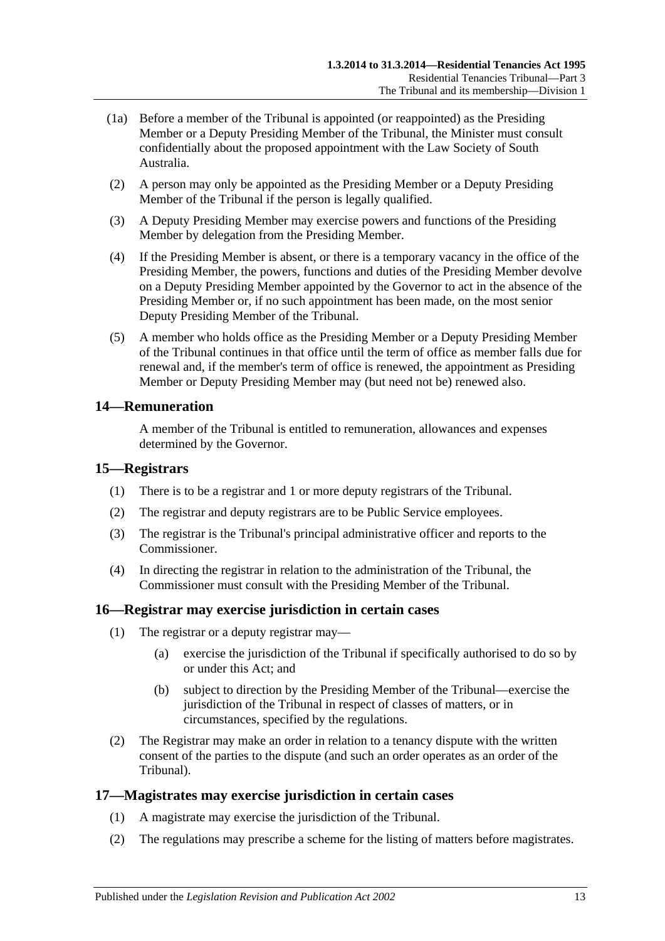- (1a) Before a member of the Tribunal is appointed (or reappointed) as the Presiding Member or a Deputy Presiding Member of the Tribunal, the Minister must consult confidentially about the proposed appointment with the Law Society of South Australia.
- (2) A person may only be appointed as the Presiding Member or a Deputy Presiding Member of the Tribunal if the person is legally qualified.
- (3) A Deputy Presiding Member may exercise powers and functions of the Presiding Member by delegation from the Presiding Member.
- (4) If the Presiding Member is absent, or there is a temporary vacancy in the office of the Presiding Member, the powers, functions and duties of the Presiding Member devolve on a Deputy Presiding Member appointed by the Governor to act in the absence of the Presiding Member or, if no such appointment has been made, on the most senior Deputy Presiding Member of the Tribunal.
- (5) A member who holds office as the Presiding Member or a Deputy Presiding Member of the Tribunal continues in that office until the term of office as member falls due for renewal and, if the member's term of office is renewed, the appointment as Presiding Member or Deputy Presiding Member may (but need not be) renewed also.

# <span id="page-12-0"></span>**14—Remuneration**

A member of the Tribunal is entitled to remuneration, allowances and expenses determined by the Governor.

#### <span id="page-12-1"></span>**15—Registrars**

- (1) There is to be a registrar and 1 or more deputy registrars of the Tribunal.
- (2) The registrar and deputy registrars are to be Public Service employees.
- (3) The registrar is the Tribunal's principal administrative officer and reports to the Commissioner.
- (4) In directing the registrar in relation to the administration of the Tribunal, the Commissioner must consult with the Presiding Member of the Tribunal.

#### <span id="page-12-2"></span>**16—Registrar may exercise jurisdiction in certain cases**

- (1) The registrar or a deputy registrar may—
	- (a) exercise the jurisdiction of the Tribunal if specifically authorised to do so by or under this Act; and
	- (b) subject to direction by the Presiding Member of the Tribunal—exercise the jurisdiction of the Tribunal in respect of classes of matters, or in circumstances, specified by the regulations.
- (2) The Registrar may make an order in relation to a tenancy dispute with the written consent of the parties to the dispute (and such an order operates as an order of the Tribunal).

#### <span id="page-12-3"></span>**17—Magistrates may exercise jurisdiction in certain cases**

- (1) A magistrate may exercise the jurisdiction of the Tribunal.
- <span id="page-12-4"></span>(2) The regulations may prescribe a scheme for the listing of matters before magistrates.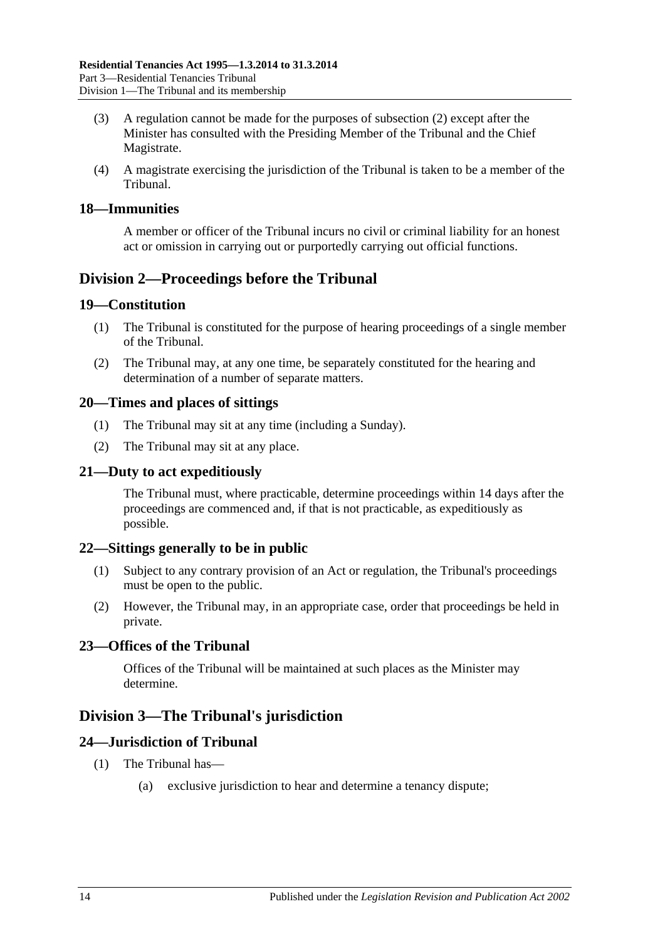- (3) A regulation cannot be made for the purposes of [subsection](#page-12-4) (2) except after the Minister has consulted with the Presiding Member of the Tribunal and the Chief Magistrate.
- (4) A magistrate exercising the jurisdiction of the Tribunal is taken to be a member of the Tribunal.

#### <span id="page-13-0"></span>**18—Immunities**

A member or officer of the Tribunal incurs no civil or criminal liability for an honest act or omission in carrying out or purportedly carrying out official functions.

# <span id="page-13-1"></span>**Division 2—Proceedings before the Tribunal**

#### <span id="page-13-2"></span>**19—Constitution**

- (1) The Tribunal is constituted for the purpose of hearing proceedings of a single member of the Tribunal.
- (2) The Tribunal may, at any one time, be separately constituted for the hearing and determination of a number of separate matters.

#### <span id="page-13-3"></span>**20—Times and places of sittings**

- (1) The Tribunal may sit at any time (including a Sunday).
- (2) The Tribunal may sit at any place.

#### <span id="page-13-4"></span>**21—Duty to act expeditiously**

The Tribunal must, where practicable, determine proceedings within 14 days after the proceedings are commenced and, if that is not practicable, as expeditiously as possible.

#### <span id="page-13-5"></span>**22—Sittings generally to be in public**

- (1) Subject to any contrary provision of an Act or regulation, the Tribunal's proceedings must be open to the public.
- (2) However, the Tribunal may, in an appropriate case, order that proceedings be held in private.

# <span id="page-13-6"></span>**23—Offices of the Tribunal**

Offices of the Tribunal will be maintained at such places as the Minister may determine.

# <span id="page-13-7"></span>**Division 3—The Tribunal's jurisdiction**

# <span id="page-13-8"></span>**24—Jurisdiction of Tribunal**

- (1) The Tribunal has—
	- (a) exclusive jurisdiction to hear and determine a tenancy dispute;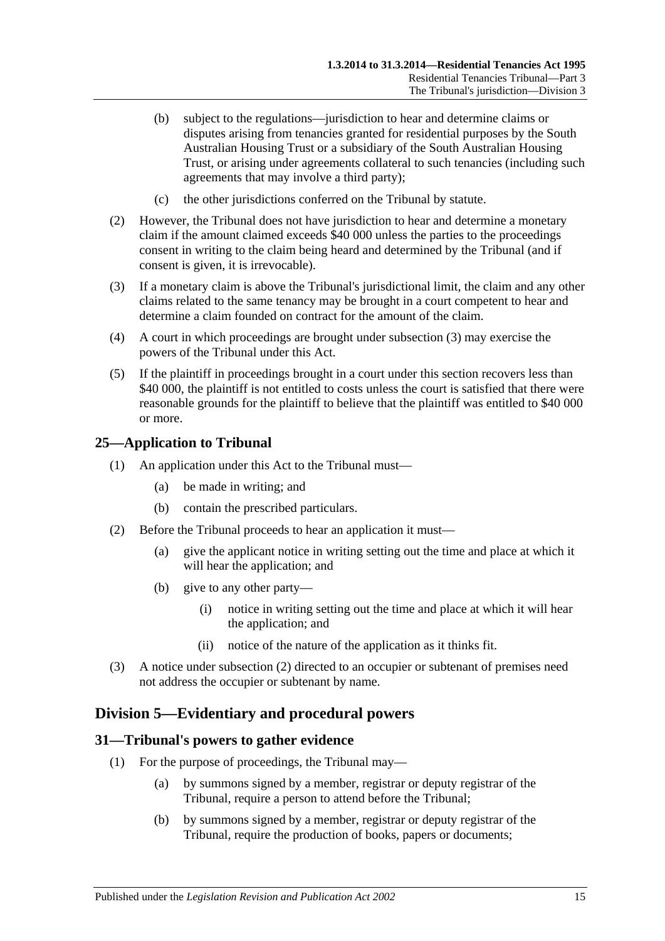- (b) subject to the regulations—jurisdiction to hear and determine claims or disputes arising from tenancies granted for residential purposes by the South Australian Housing Trust or a subsidiary of the South Australian Housing Trust, or arising under agreements collateral to such tenancies (including such agreements that may involve a third party);
- (c) the other jurisdictions conferred on the Tribunal by statute.
- (2) However, the Tribunal does not have jurisdiction to hear and determine a monetary claim if the amount claimed exceeds \$40 000 unless the parties to the proceedings consent in writing to the claim being heard and determined by the Tribunal (and if consent is given, it is irrevocable).
- <span id="page-14-3"></span>(3) If a monetary claim is above the Tribunal's jurisdictional limit, the claim and any other claims related to the same tenancy may be brought in a court competent to hear and determine a claim founded on contract for the amount of the claim.
- (4) A court in which proceedings are brought under [subsection](#page-14-3) (3) may exercise the powers of the Tribunal under this Act.
- (5) If the plaintiff in proceedings brought in a court under this section recovers less than \$40,000, the plaintiff is not entitled to costs unless the court is satisfied that there were reasonable grounds for the plaintiff to believe that the plaintiff was entitled to \$40 000 or more.

#### <span id="page-14-0"></span>**25—Application to Tribunal**

- (1) An application under this Act to the Tribunal must—
	- (a) be made in writing; and
	- (b) contain the prescribed particulars.
- <span id="page-14-4"></span>(2) Before the Tribunal proceeds to hear an application it must—
	- (a) give the applicant notice in writing setting out the time and place at which it will hear the application; and
	- (b) give to any other party—
		- (i) notice in writing setting out the time and place at which it will hear the application; and
		- (ii) notice of the nature of the application as it thinks fit.
- (3) A notice under [subsection](#page-14-4) (2) directed to an occupier or subtenant of premises need not address the occupier or subtenant by name.

# <span id="page-14-1"></span>**Division 5—Evidentiary and procedural powers**

### <span id="page-14-5"></span><span id="page-14-2"></span>**31—Tribunal's powers to gather evidence**

- (1) For the purpose of proceedings, the Tribunal may—
	- (a) by summons signed by a member, registrar or deputy registrar of the Tribunal, require a person to attend before the Tribunal;
	- (b) by summons signed by a member, registrar or deputy registrar of the Tribunal, require the production of books, papers or documents;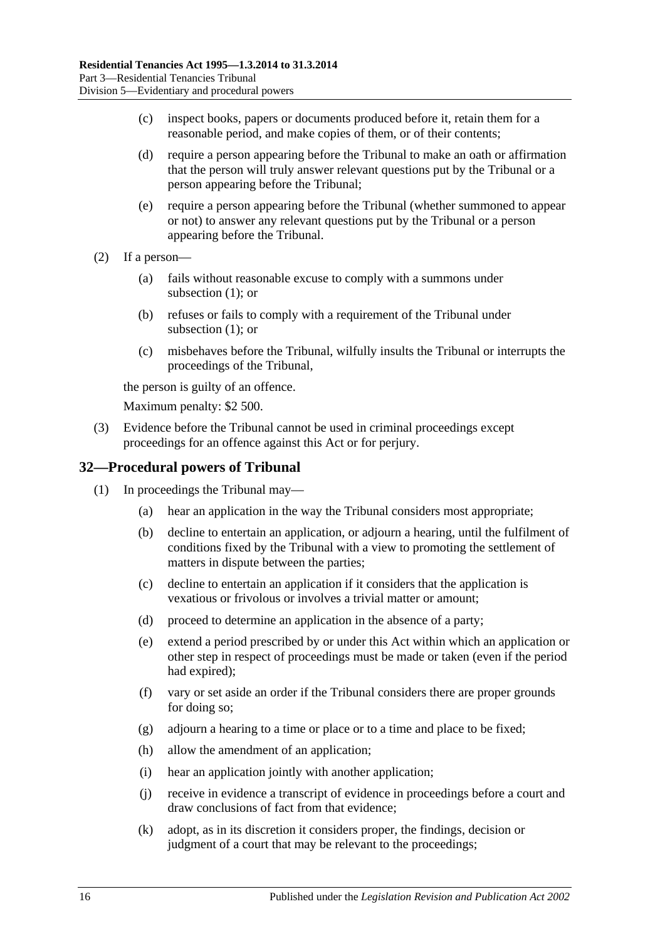- (c) inspect books, papers or documents produced before it, retain them for a reasonable period, and make copies of them, or of their contents;
- (d) require a person appearing before the Tribunal to make an oath or affirmation that the person will truly answer relevant questions put by the Tribunal or a person appearing before the Tribunal;
- (e) require a person appearing before the Tribunal (whether summoned to appear or not) to answer any relevant questions put by the Tribunal or a person appearing before the Tribunal.
- (2) If a person—
	- (a) fails without reasonable excuse to comply with a summons under [subsection](#page-14-5) (1); or
	- (b) refuses or fails to comply with a requirement of the Tribunal under [subsection](#page-14-5) (1); or
	- (c) misbehaves before the Tribunal, wilfully insults the Tribunal or interrupts the proceedings of the Tribunal,

the person is guilty of an offence.

Maximum penalty: \$2 500.

(3) Evidence before the Tribunal cannot be used in criminal proceedings except proceedings for an offence against this Act or for perjury.

# <span id="page-15-0"></span>**32—Procedural powers of Tribunal**

- (1) In proceedings the Tribunal may—
	- (a) hear an application in the way the Tribunal considers most appropriate;
	- (b) decline to entertain an application, or adjourn a hearing, until the fulfilment of conditions fixed by the Tribunal with a view to promoting the settlement of matters in dispute between the parties;
	- (c) decline to entertain an application if it considers that the application is vexatious or frivolous or involves a trivial matter or amount;
	- (d) proceed to determine an application in the absence of a party;
	- (e) extend a period prescribed by or under this Act within which an application or other step in respect of proceedings must be made or taken (even if the period had expired);
	- (f) vary or set aside an order if the Tribunal considers there are proper grounds for doing so;
	- (g) adjourn a hearing to a time or place or to a time and place to be fixed;
	- (h) allow the amendment of an application;
	- (i) hear an application jointly with another application;
	- (j) receive in evidence a transcript of evidence in proceedings before a court and draw conclusions of fact from that evidence;
	- (k) adopt, as in its discretion it considers proper, the findings, decision or judgment of a court that may be relevant to the proceedings;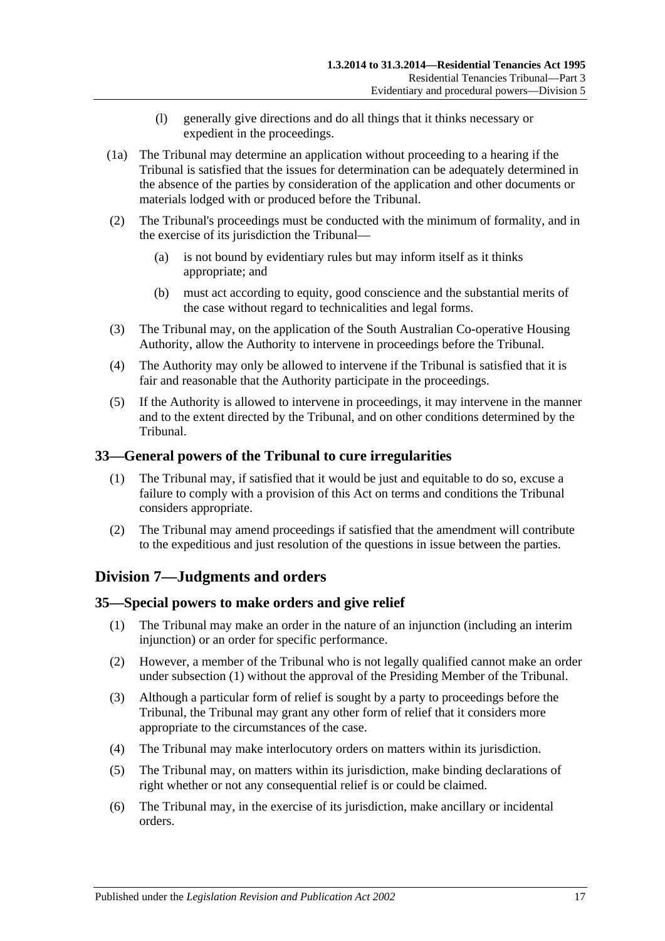- (l) generally give directions and do all things that it thinks necessary or expedient in the proceedings.
- (1a) The Tribunal may determine an application without proceeding to a hearing if the Tribunal is satisfied that the issues for determination can be adequately determined in the absence of the parties by consideration of the application and other documents or materials lodged with or produced before the Tribunal.
- (2) The Tribunal's proceedings must be conducted with the minimum of formality, and in the exercise of its jurisdiction the Tribunal—
	- (a) is not bound by evidentiary rules but may inform itself as it thinks appropriate; and
	- (b) must act according to equity, good conscience and the substantial merits of the case without regard to technicalities and legal forms.
- (3) The Tribunal may, on the application of the South Australian Co-operative Housing Authority, allow the Authority to intervene in proceedings before the Tribunal.
- (4) The Authority may only be allowed to intervene if the Tribunal is satisfied that it is fair and reasonable that the Authority participate in the proceedings.
- (5) If the Authority is allowed to intervene in proceedings, it may intervene in the manner and to the extent directed by the Tribunal, and on other conditions determined by the Tribunal.

# <span id="page-16-0"></span>**33—General powers of the Tribunal to cure irregularities**

- (1) The Tribunal may, if satisfied that it would be just and equitable to do so, excuse a failure to comply with a provision of this Act on terms and conditions the Tribunal considers appropriate.
- (2) The Tribunal may amend proceedings if satisfied that the amendment will contribute to the expeditious and just resolution of the questions in issue between the parties.

# <span id="page-16-1"></span>**Division 7—Judgments and orders**

# <span id="page-16-3"></span><span id="page-16-2"></span>**35—Special powers to make orders and give relief**

- (1) The Tribunal may make an order in the nature of an injunction (including an interim injunction) or an order for specific performance.
- (2) However, a member of the Tribunal who is not legally qualified cannot make an order under [subsection](#page-16-3) (1) without the approval of the Presiding Member of the Tribunal.
- (3) Although a particular form of relief is sought by a party to proceedings before the Tribunal, the Tribunal may grant any other form of relief that it considers more appropriate to the circumstances of the case.
- (4) The Tribunal may make interlocutory orders on matters within its jurisdiction.
- (5) The Tribunal may, on matters within its jurisdiction, make binding declarations of right whether or not any consequential relief is or could be claimed.
- (6) The Tribunal may, in the exercise of its jurisdiction, make ancillary or incidental orders.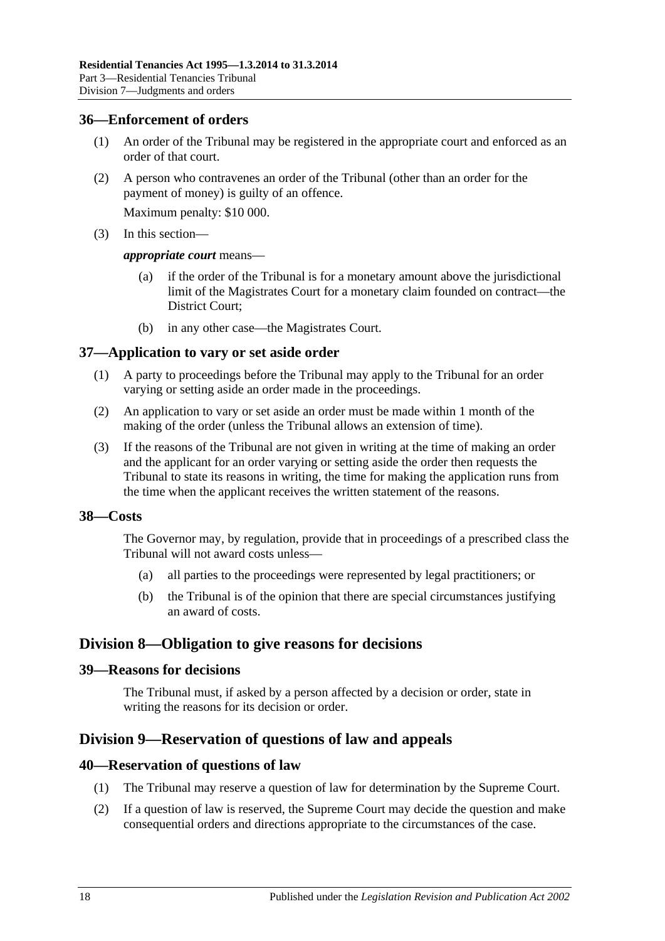#### <span id="page-17-0"></span>**36—Enforcement of orders**

- (1) An order of the Tribunal may be registered in the appropriate court and enforced as an order of that court.
- (2) A person who contravenes an order of the Tribunal (other than an order for the payment of money) is guilty of an offence.

Maximum penalty: \$10 000.

(3) In this section—

#### *appropriate court* means—

- (a) if the order of the Tribunal is for a monetary amount above the jurisdictional limit of the Magistrates Court for a monetary claim founded on contract—the District Court;
- (b) in any other case—the Magistrates Court.

#### <span id="page-17-1"></span>**37—Application to vary or set aside order**

- (1) A party to proceedings before the Tribunal may apply to the Tribunal for an order varying or setting aside an order made in the proceedings.
- (2) An application to vary or set aside an order must be made within 1 month of the making of the order (unless the Tribunal allows an extension of time).
- (3) If the reasons of the Tribunal are not given in writing at the time of making an order and the applicant for an order varying or setting aside the order then requests the Tribunal to state its reasons in writing, the time for making the application runs from the time when the applicant receives the written statement of the reasons.

#### <span id="page-17-2"></span>**38—Costs**

The Governor may, by regulation, provide that in proceedings of a prescribed class the Tribunal will not award costs unless—

- (a) all parties to the proceedings were represented by legal practitioners; or
- (b) the Tribunal is of the opinion that there are special circumstances justifying an award of costs.

# <span id="page-17-3"></span>**Division 8—Obligation to give reasons for decisions**

#### <span id="page-17-4"></span>**39—Reasons for decisions**

The Tribunal must, if asked by a person affected by a decision or order, state in writing the reasons for its decision or order.

# <span id="page-17-5"></span>**Division 9—Reservation of questions of law and appeals**

#### <span id="page-17-6"></span>**40—Reservation of questions of law**

- (1) The Tribunal may reserve a question of law for determination by the Supreme Court.
- (2) If a question of law is reserved, the Supreme Court may decide the question and make consequential orders and directions appropriate to the circumstances of the case.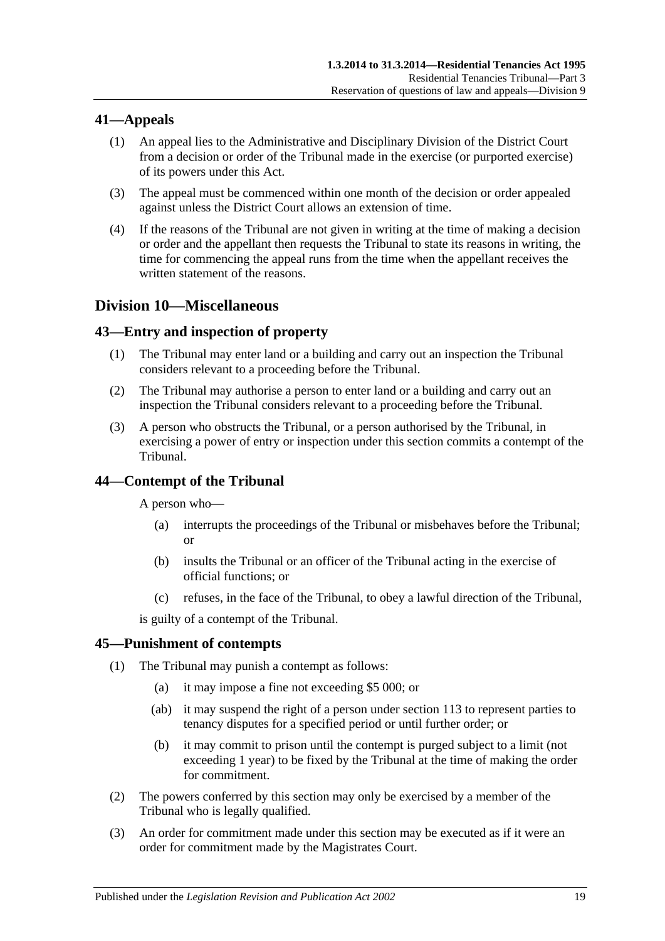# <span id="page-18-0"></span>**41—Appeals**

- (1) An appeal lies to the Administrative and Disciplinary Division of the District Court from a decision or order of the Tribunal made in the exercise (or purported exercise) of its powers under this Act.
- (3) The appeal must be commenced within one month of the decision or order appealed against unless the District Court allows an extension of time.
- (4) If the reasons of the Tribunal are not given in writing at the time of making a decision or order and the appellant then requests the Tribunal to state its reasons in writing, the time for commencing the appeal runs from the time when the appellant receives the written statement of the reasons.

# <span id="page-18-1"></span>**Division 10—Miscellaneous**

# <span id="page-18-2"></span>**43—Entry and inspection of property**

- (1) The Tribunal may enter land or a building and carry out an inspection the Tribunal considers relevant to a proceeding before the Tribunal.
- (2) The Tribunal may authorise a person to enter land or a building and carry out an inspection the Tribunal considers relevant to a proceeding before the Tribunal.
- (3) A person who obstructs the Tribunal, or a person authorised by the Tribunal, in exercising a power of entry or inspection under this section commits a contempt of the Tribunal.

# <span id="page-18-3"></span>**44—Contempt of the Tribunal**

A person who—

- (a) interrupts the proceedings of the Tribunal or misbehaves before the Tribunal; or
- (b) insults the Tribunal or an officer of the Tribunal acting in the exercise of official functions; or
- (c) refuses, in the face of the Tribunal, to obey a lawful direction of the Tribunal,

is guilty of a contempt of the Tribunal.

# <span id="page-18-4"></span>**45—Punishment of contempts**

- (1) The Tribunal may punish a contempt as follows:
	- (a) it may impose a fine not exceeding \$5 000; or
	- (ab) it may suspend the right of a person under [section](#page-75-3) 113 to represent parties to tenancy disputes for a specified period or until further order; or
	- (b) it may commit to prison until the contempt is purged subject to a limit (not exceeding 1 year) to be fixed by the Tribunal at the time of making the order for commitment.
- (2) The powers conferred by this section may only be exercised by a member of the Tribunal who is legally qualified.
- (3) An order for commitment made under this section may be executed as if it were an order for commitment made by the Magistrates Court.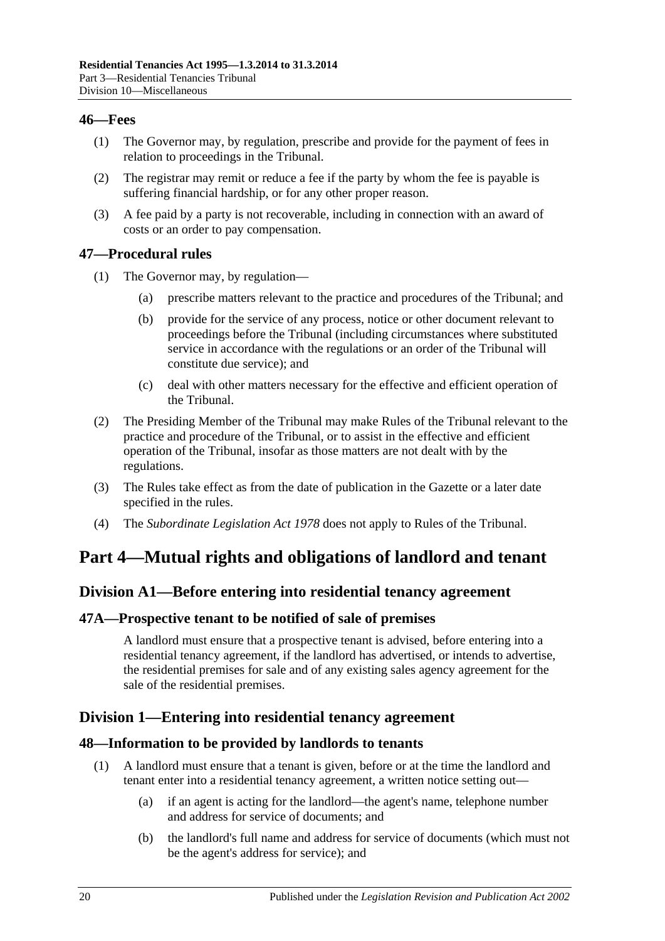#### <span id="page-19-0"></span>**46—Fees**

- (1) The Governor may, by regulation, prescribe and provide for the payment of fees in relation to proceedings in the Tribunal.
- (2) The registrar may remit or reduce a fee if the party by whom the fee is payable is suffering financial hardship, or for any other proper reason.
- (3) A fee paid by a party is not recoverable, including in connection with an award of costs or an order to pay compensation.

# <span id="page-19-1"></span>**47—Procedural rules**

- (1) The Governor may, by regulation—
	- (a) prescribe matters relevant to the practice and procedures of the Tribunal; and
	- (b) provide for the service of any process, notice or other document relevant to proceedings before the Tribunal (including circumstances where substituted service in accordance with the regulations or an order of the Tribunal will constitute due service); and
	- (c) deal with other matters necessary for the effective and efficient operation of the Tribunal.
- (2) The Presiding Member of the Tribunal may make Rules of the Tribunal relevant to the practice and procedure of the Tribunal, or to assist in the effective and efficient operation of the Tribunal, insofar as those matters are not dealt with by the regulations.
- (3) The Rules take effect as from the date of publication in the Gazette or a later date specified in the rules.
- (4) The *[Subordinate Legislation Act](http://www.legislation.sa.gov.au/index.aspx?action=legref&type=act&legtitle=Subordinate%20Legislation%20Act%201978) 1978* does not apply to Rules of the Tribunal.

# <span id="page-19-3"></span><span id="page-19-2"></span>**Part 4—Mutual rights and obligations of landlord and tenant**

# **Division A1—Before entering into residential tenancy agreement**

# <span id="page-19-4"></span>**47A—Prospective tenant to be notified of sale of premises**

A landlord must ensure that a prospective tenant is advised, before entering into a residential tenancy agreement, if the landlord has advertised, or intends to advertise, the residential premises for sale and of any existing sales agency agreement for the sale of the residential premises.

# <span id="page-19-5"></span>**Division 1—Entering into residential tenancy agreement**

# <span id="page-19-6"></span>**48—Information to be provided by landlords to tenants**

- (1) A landlord must ensure that a tenant is given, before or at the time the landlord and tenant enter into a residential tenancy agreement, a written notice setting out—
	- (a) if an agent is acting for the landlord—the agent's name, telephone number and address for service of documents; and
	- (b) the landlord's full name and address for service of documents (which must not be the agent's address for service); and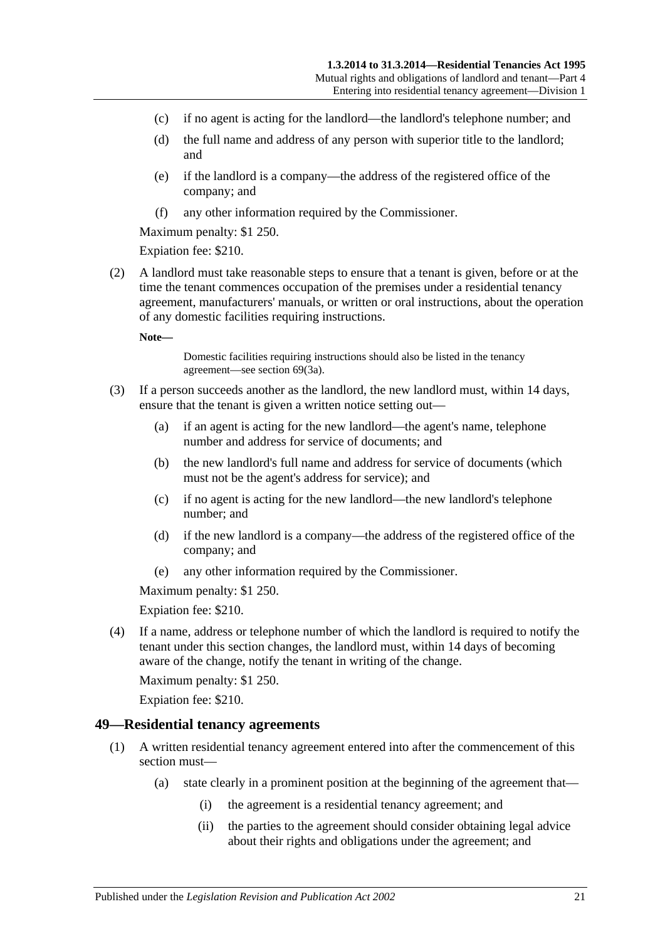- (c) if no agent is acting for the landlord—the landlord's telephone number; and
- (d) the full name and address of any person with superior title to the landlord; and
- (e) if the landlord is a company—the address of the registered office of the company; and
- (f) any other information required by the Commissioner.

Maximum penalty: \$1 250.

Expiation fee: \$210.

<span id="page-20-2"></span>(2) A landlord must take reasonable steps to ensure that a tenant is given, before or at the time the tenant commences occupation of the premises under a residential tenancy agreement, manufacturers' manuals, or written or oral instructions, about the operation of any domestic facilities requiring instructions.

**Note—**

Domestic facilities requiring instructions should also be listed in the tenancy agreement—see [section](#page-33-3) 69(3a).

- (3) If a person succeeds another as the landlord, the new landlord must, within 14 days, ensure that the tenant is given a written notice setting out—
	- (a) if an agent is acting for the new landlord—the agent's name, telephone number and address for service of documents; and
	- (b) the new landlord's full name and address for service of documents (which must not be the agent's address for service); and
	- (c) if no agent is acting for the new landlord—the new landlord's telephone number; and
	- (d) if the new landlord is a company—the address of the registered office of the company; and
	- (e) any other information required by the Commissioner.

Maximum penalty: \$1 250.

Expiation fee: \$210.

(4) If a name, address or telephone number of which the landlord is required to notify the tenant under this section changes, the landlord must, within 14 days of becoming aware of the change, notify the tenant in writing of the change.

Maximum penalty: \$1 250.

Expiation fee: \$210.

#### <span id="page-20-1"></span><span id="page-20-0"></span>**49—Residential tenancy agreements**

- (1) A written residential tenancy agreement entered into after the commencement of this section must—
	- (a) state clearly in a prominent position at the beginning of the agreement that—
		- (i) the agreement is a residential tenancy agreement; and
		- (ii) the parties to the agreement should consider obtaining legal advice about their rights and obligations under the agreement; and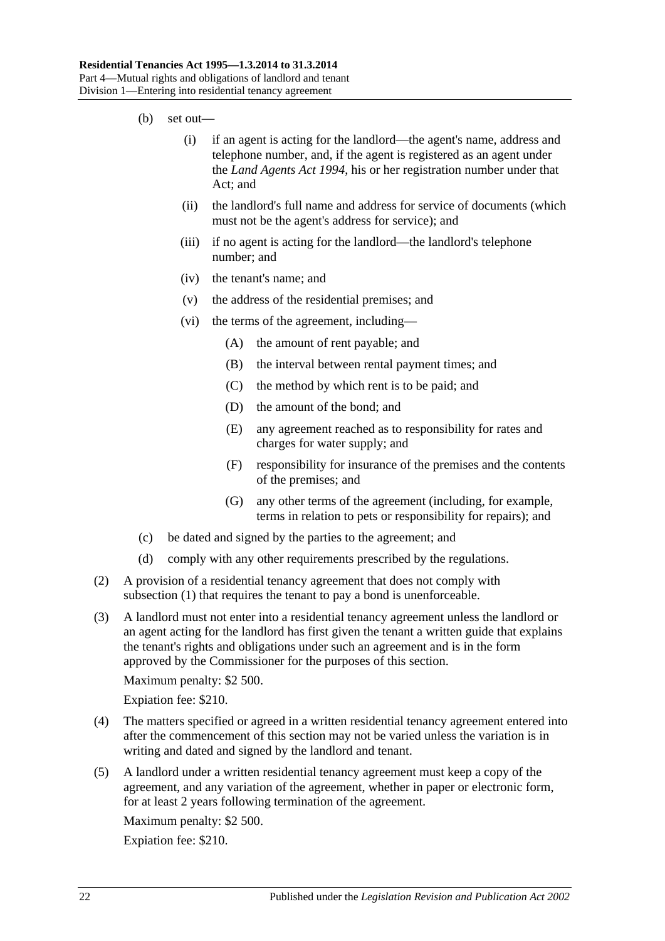- (b) set out—
	- (i) if an agent is acting for the landlord—the agent's name, address and telephone number, and, if the agent is registered as an agent under the *[Land Agents Act](http://www.legislation.sa.gov.au/index.aspx?action=legref&type=act&legtitle=Land%20Agents%20Act%201994) 1994*, his or her registration number under that Act; and
	- (ii) the landlord's full name and address for service of documents (which must not be the agent's address for service); and
	- (iii) if no agent is acting for the landlord—the landlord's telephone number; and
	- (iv) the tenant's name; and
	- (v) the address of the residential premises; and
	- (vi) the terms of the agreement, including—
		- (A) the amount of rent payable; and
		- (B) the interval between rental payment times; and
		- (C) the method by which rent is to be paid; and
		- (D) the amount of the bond; and
		- (E) any agreement reached as to responsibility for rates and charges for water supply; and
		- (F) responsibility for insurance of the premises and the contents of the premises; and
		- (G) any other terms of the agreement (including, for example, terms in relation to pets or responsibility for repairs); and
- (c) be dated and signed by the parties to the agreement; and
- (d) comply with any other requirements prescribed by the regulations.
- <span id="page-21-0"></span>(2) A provision of a residential tenancy agreement that does not comply with [subsection](#page-20-1) (1) that requires the tenant to pay a bond is unenforceable.
- (3) A landlord must not enter into a residential tenancy agreement unless the landlord or an agent acting for the landlord has first given the tenant a written guide that explains the tenant's rights and obligations under such an agreement and is in the form approved by the Commissioner for the purposes of this section.

Maximum penalty: \$2 500.

Expiation fee: \$210.

- (4) The matters specified or agreed in a written residential tenancy agreement entered into after the commencement of this section may not be varied unless the variation is in writing and dated and signed by the landlord and tenant.
- (5) A landlord under a written residential tenancy agreement must keep a copy of the agreement, and any variation of the agreement, whether in paper or electronic form, for at least 2 years following termination of the agreement.

Maximum penalty: \$2 500.

Expiation fee: \$210.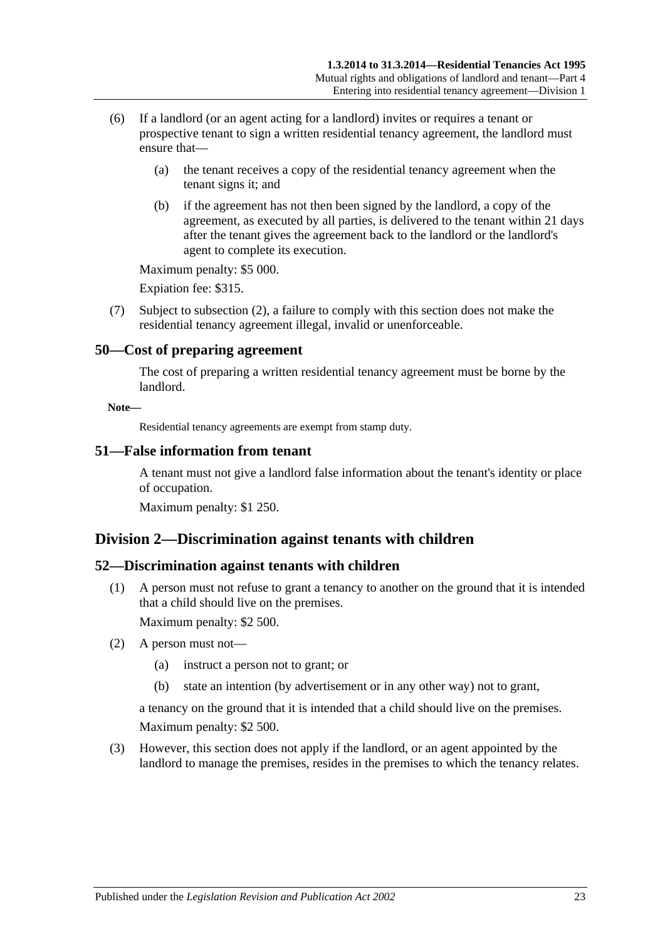- (6) If a landlord (or an agent acting for a landlord) invites or requires a tenant or prospective tenant to sign a written residential tenancy agreement, the landlord must ensure that—
	- (a) the tenant receives a copy of the residential tenancy agreement when the tenant signs it; and
	- (b) if the agreement has not then been signed by the landlord, a copy of the agreement, as executed by all parties, is delivered to the tenant within 21 days after the tenant gives the agreement back to the landlord or the landlord's agent to complete its execution.

Maximum penalty: \$5 000.

Expiation fee: \$315.

(7) Subject to [subsection](#page-21-0) (2), a failure to comply with this section does not make the residential tenancy agreement illegal, invalid or unenforceable.

#### <span id="page-22-0"></span>**50—Cost of preparing agreement**

The cost of preparing a written residential tenancy agreement must be borne by the landlord.

#### **Note—**

Residential tenancy agreements are exempt from stamp duty.

#### <span id="page-22-1"></span>**51—False information from tenant**

A tenant must not give a landlord false information about the tenant's identity or place of occupation.

Maximum penalty: \$1 250.

# <span id="page-22-2"></span>**Division 2—Discrimination against tenants with children**

#### <span id="page-22-3"></span>**52—Discrimination against tenants with children**

(1) A person must not refuse to grant a tenancy to another on the ground that it is intended that a child should live on the premises.

Maximum penalty: \$2 500.

- (2) A person must not—
	- (a) instruct a person not to grant; or
	- (b) state an intention (by advertisement or in any other way) not to grant,

a tenancy on the ground that it is intended that a child should live on the premises. Maximum penalty: \$2 500.

(3) However, this section does not apply if the landlord, or an agent appointed by the landlord to manage the premises, resides in the premises to which the tenancy relates.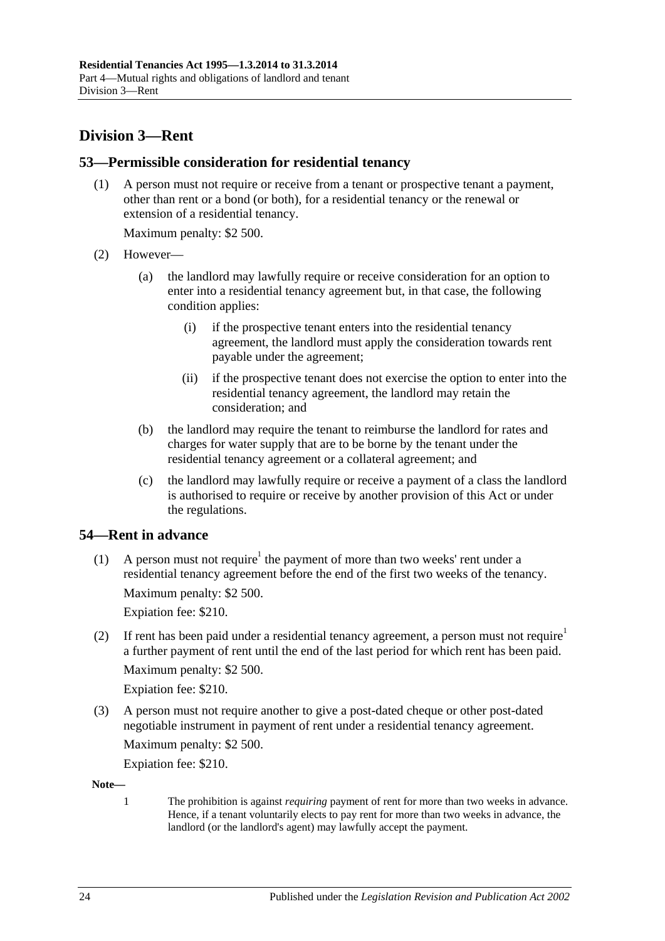# <span id="page-23-0"></span>**Division 3—Rent**

# <span id="page-23-1"></span>**53—Permissible consideration for residential tenancy**

(1) A person must not require or receive from a tenant or prospective tenant a payment, other than rent or a bond (or both), for a residential tenancy or the renewal or extension of a residential tenancy.

Maximum penalty: \$2 500.

- (2) However—
	- (a) the landlord may lawfully require or receive consideration for an option to enter into a residential tenancy agreement but, in that case, the following condition applies:
		- (i) if the prospective tenant enters into the residential tenancy agreement, the landlord must apply the consideration towards rent payable under the agreement;
		- (ii) if the prospective tenant does not exercise the option to enter into the residential tenancy agreement, the landlord may retain the consideration; and
	- (b) the landlord may require the tenant to reimburse the landlord for rates and charges for water supply that are to be borne by the tenant under the residential tenancy agreement or a collateral agreement; and
	- (c) the landlord may lawfully require or receive a payment of a class the landlord is authorised to require or receive by another provision of this Act or under the regulations.

# <span id="page-23-2"></span>**54—Rent in advance**

(1) A person must not require<sup>1</sup> the payment of more than two weeks' rent under a residential tenancy agreement before the end of the first two weeks of the tenancy.

Maximum penalty: \$2 500.

Expiation fee: \$210.

(2) If rent has been paid under a residential tenancy agreement, a person must not require a further payment of rent until the end of the last period for which rent has been paid. Maximum penalty: \$2 500.

Expiation fee: \$210.

(3) A person must not require another to give a post-dated cheque or other post-dated negotiable instrument in payment of rent under a residential tenancy agreement.

Maximum penalty: \$2 500.

Expiation fee: \$210.

**Note—**

1 The prohibition is against *requiring* payment of rent for more than two weeks in advance. Hence, if a tenant voluntarily elects to pay rent for more than two weeks in advance, the landlord (or the landlord's agent) may lawfully accept the payment.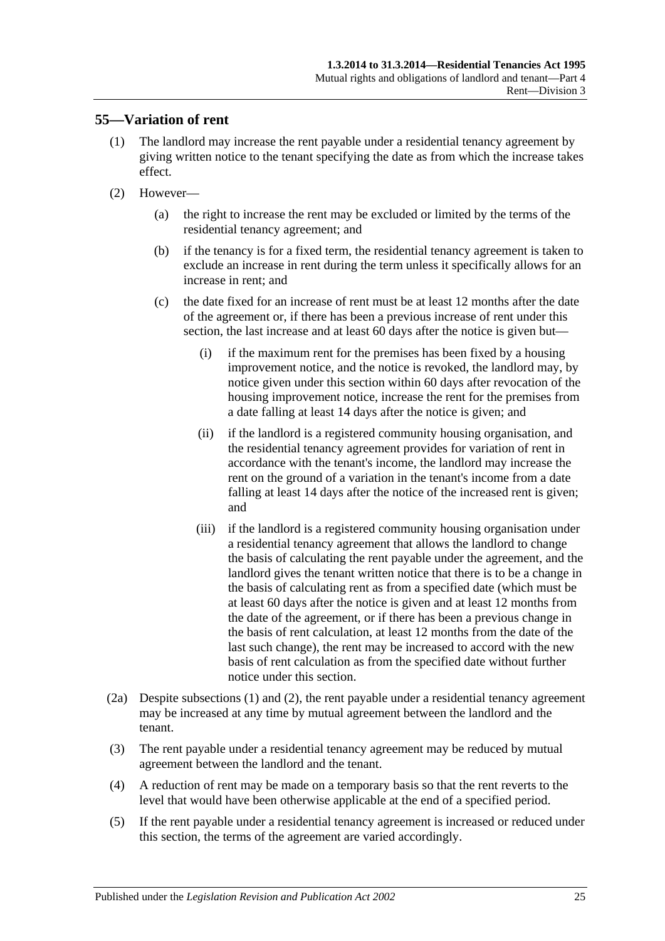# <span id="page-24-1"></span><span id="page-24-0"></span>**55—Variation of rent**

- (1) The landlord may increase the rent payable under a residential tenancy agreement by giving written notice to the tenant specifying the date as from which the increase takes effect.
- (2) However—
	- (a) the right to increase the rent may be excluded or limited by the terms of the residential tenancy agreement; and
	- (b) if the tenancy is for a fixed term, the residential tenancy agreement is taken to exclude an increase in rent during the term unless it specifically allows for an increase in rent; and
	- (c) the date fixed for an increase of rent must be at least 12 months after the date of the agreement or, if there has been a previous increase of rent under this section, the last increase and at least 60 days after the notice is given but—
		- (i) if the maximum rent for the premises has been fixed by a housing improvement notice, and the notice is revoked, the landlord may, by notice given under this section within 60 days after revocation of the housing improvement notice, increase the rent for the premises from a date falling at least 14 days after the notice is given; and
		- (ii) if the landlord is a registered community housing organisation, and the residential tenancy agreement provides for variation of rent in accordance with the tenant's income, the landlord may increase the rent on the ground of a variation in the tenant's income from a date falling at least 14 days after the notice of the increased rent is given; and
		- (iii) if the landlord is a registered community housing organisation under a residential tenancy agreement that allows the landlord to change the basis of calculating the rent payable under the agreement, and the landlord gives the tenant written notice that there is to be a change in the basis of calculating rent as from a specified date (which must be at least 60 days after the notice is given and at least 12 months from the date of the agreement, or if there has been a previous change in the basis of rent calculation, at least 12 months from the date of the last such change), the rent may be increased to accord with the new basis of rent calculation as from the specified date without further notice under this section.
- <span id="page-24-2"></span>(2a) Despite [subsections](#page-24-1) (1) and [\(2\),](#page-25-1) the rent payable under a residential tenancy agreement may be increased at any time by mutual agreement between the landlord and the tenant.
- (3) The rent payable under a residential tenancy agreement may be reduced by mutual agreement between the landlord and the tenant.
- (4) A reduction of rent may be made on a temporary basis so that the rent reverts to the level that would have been otherwise applicable at the end of a specified period.
- (5) If the rent payable under a residential tenancy agreement is increased or reduced under this section, the terms of the agreement are varied accordingly.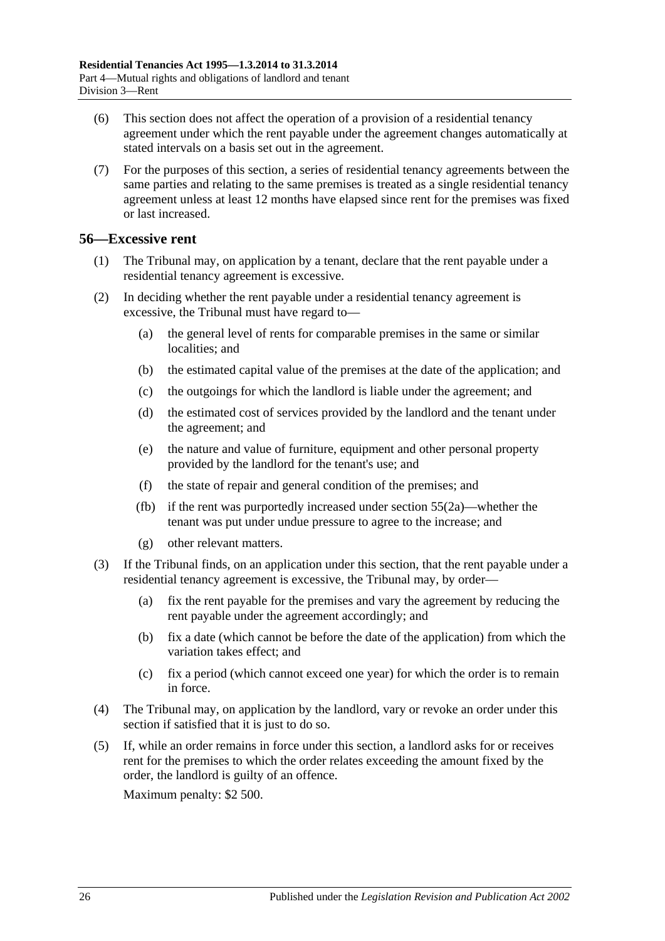- (6) This section does not affect the operation of a provision of a residential tenancy agreement under which the rent payable under the agreement changes automatically at stated intervals on a basis set out in the agreement.
- (7) For the purposes of this section, a series of residential tenancy agreements between the same parties and relating to the same premises is treated as a single residential tenancy agreement unless at least 12 months have elapsed since rent for the premises was fixed or last increased.

# <span id="page-25-0"></span>**56—Excessive rent**

- (1) The Tribunal may, on application by a tenant, declare that the rent payable under a residential tenancy agreement is excessive.
- <span id="page-25-1"></span>(2) In deciding whether the rent payable under a residential tenancy agreement is excessive, the Tribunal must have regard to—
	- (a) the general level of rents for comparable premises in the same or similar localities; and
	- (b) the estimated capital value of the premises at the date of the application; and
	- (c) the outgoings for which the landlord is liable under the agreement; and
	- (d) the estimated cost of services provided by the landlord and the tenant under the agreement; and
	- (e) the nature and value of furniture, equipment and other personal property provided by the landlord for the tenant's use; and
	- (f) the state of repair and general condition of the premises; and
	- (fb) if the rent was purportedly increased under [section](#page-24-2) 55(2a)—whether the tenant was put under undue pressure to agree to the increase; and
	- (g) other relevant matters.
- (3) If the Tribunal finds, on an application under this section, that the rent payable under a residential tenancy agreement is excessive, the Tribunal may, by order—
	- (a) fix the rent payable for the premises and vary the agreement by reducing the rent payable under the agreement accordingly; and
	- (b) fix a date (which cannot be before the date of the application) from which the variation takes effect; and
	- (c) fix a period (which cannot exceed one year) for which the order is to remain in force.
- (4) The Tribunal may, on application by the landlord, vary or revoke an order under this section if satisfied that it is just to do so.
- (5) If, while an order remains in force under this section, a landlord asks for or receives rent for the premises to which the order relates exceeding the amount fixed by the order, the landlord is guilty of an offence. Maximum penalty: \$2 500.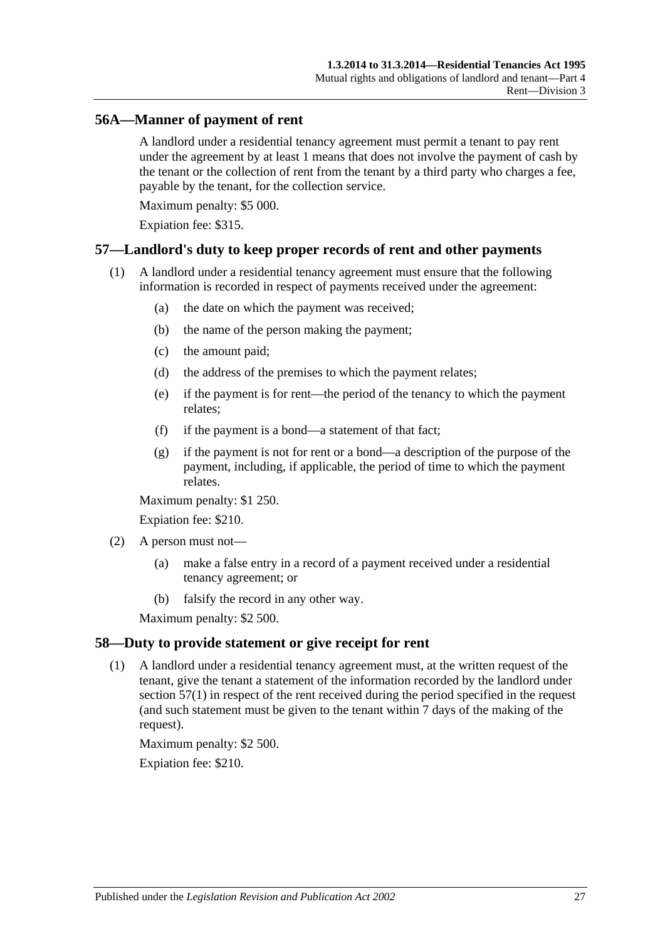### <span id="page-26-0"></span>**56A—Manner of payment of rent**

A landlord under a residential tenancy agreement must permit a tenant to pay rent under the agreement by at least 1 means that does not involve the payment of cash by the tenant or the collection of rent from the tenant by a third party who charges a fee, payable by the tenant, for the collection service.

Maximum penalty: \$5 000.

Expiation fee: \$315.

#### <span id="page-26-3"></span><span id="page-26-1"></span>**57—Landlord's duty to keep proper records of rent and other payments**

- (1) A landlord under a residential tenancy agreement must ensure that the following information is recorded in respect of payments received under the agreement:
	- (a) the date on which the payment was received;
	- (b) the name of the person making the payment;
	- (c) the amount paid;
	- (d) the address of the premises to which the payment relates;
	- (e) if the payment is for rent—the period of the tenancy to which the payment relates;
	- (f) if the payment is a bond—a statement of that fact;
	- (g) if the payment is not for rent or a bond—a description of the purpose of the payment, including, if applicable, the period of time to which the payment relates.

Maximum penalty: \$1 250.

Expiation fee: \$210.

- (2) A person must not—
	- (a) make a false entry in a record of a payment received under a residential tenancy agreement; or
	- (b) falsify the record in any other way.

Maximum penalty: \$2 500.

#### <span id="page-26-2"></span>**58—Duty to provide statement or give receipt for rent**

(1) A landlord under a residential tenancy agreement must, at the written request of the tenant, give the tenant a statement of the information recorded by the landlord under [section](#page-26-3) 57(1) in respect of the rent received during the period specified in the request (and such statement must be given to the tenant within 7 days of the making of the request).

Maximum penalty: \$2 500.

Expiation fee: \$210.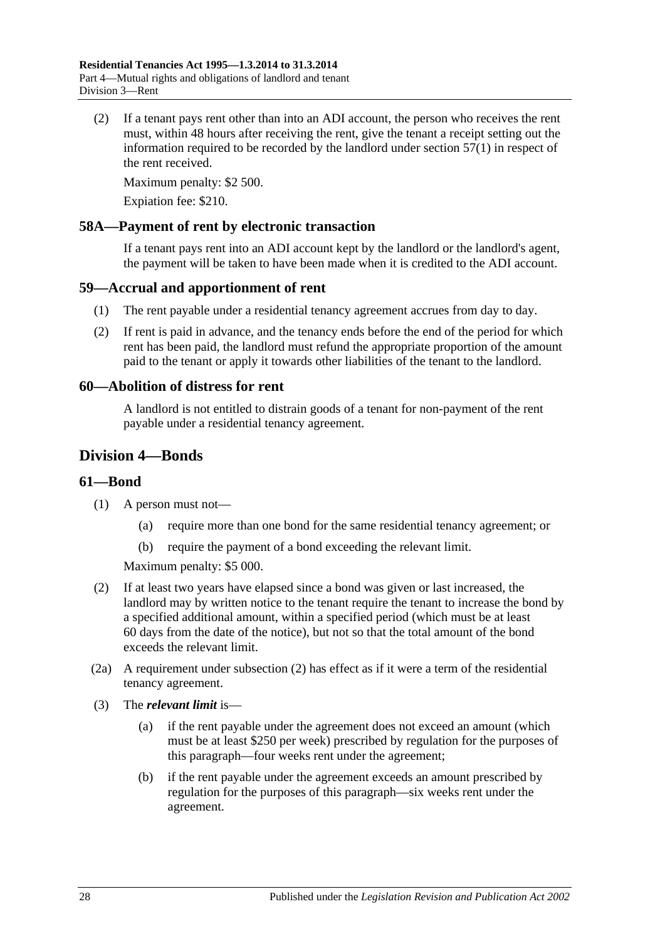(2) If a tenant pays rent other than into an ADI account, the person who receives the rent must, within 48 hours after receiving the rent, give the tenant a receipt setting out the information required to be recorded by the landlord under [section](#page-26-3) 57(1) in respect of the rent received.

Maximum penalty: \$2 500.

Expiation fee: \$210.

### <span id="page-27-0"></span>**58A—Payment of rent by electronic transaction**

If a tenant pays rent into an ADI account kept by the landlord or the landlord's agent, the payment will be taken to have been made when it is credited to the ADI account.

#### <span id="page-27-1"></span>**59—Accrual and apportionment of rent**

- (1) The rent payable under a residential tenancy agreement accrues from day to day.
- (2) If rent is paid in advance, and the tenancy ends before the end of the period for which rent has been paid, the landlord must refund the appropriate proportion of the amount paid to the tenant or apply it towards other liabilities of the tenant to the landlord.

#### <span id="page-27-2"></span>**60—Abolition of distress for rent**

A landlord is not entitled to distrain goods of a tenant for non-payment of the rent payable under a residential tenancy agreement.

# <span id="page-27-3"></span>**Division 4—Bonds**

#### <span id="page-27-4"></span>**61—Bond**

- (1) A person must not—
	- (a) require more than one bond for the same residential tenancy agreement; or
	- (b) require the payment of a bond exceeding the relevant limit.

Maximum penalty: \$5 000.

- <span id="page-27-5"></span>(2) If at least two years have elapsed since a bond was given or last increased, the landlord may by written notice to the tenant require the tenant to increase the bond by a specified additional amount, within a specified period (which must be at least 60 days from the date of the notice), but not so that the total amount of the bond exceeds the relevant limit.
- (2a) A requirement under [subsection](#page-27-5) (2) has effect as if it were a term of the residential tenancy agreement.
- (3) The *relevant limit* is—
	- (a) if the rent payable under the agreement does not exceed an amount (which must be at least \$250 per week) prescribed by regulation for the purposes of this paragraph—four weeks rent under the agreement;
	- (b) if the rent payable under the agreement exceeds an amount prescribed by regulation for the purposes of this paragraph—six weeks rent under the agreement.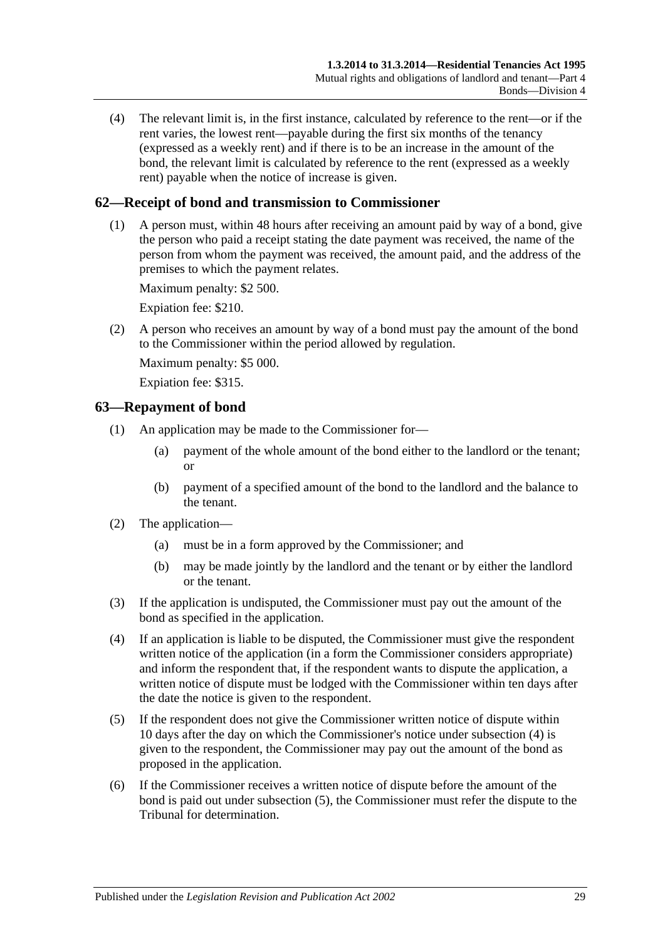(4) The relevant limit is, in the first instance, calculated by reference to the rent—or if the rent varies, the lowest rent—payable during the first six months of the tenancy (expressed as a weekly rent) and if there is to be an increase in the amount of the bond, the relevant limit is calculated by reference to the rent (expressed as a weekly rent) payable when the notice of increase is given.

# <span id="page-28-0"></span>**62—Receipt of bond and transmission to Commissioner**

(1) A person must, within 48 hours after receiving an amount paid by way of a bond, give the person who paid a receipt stating the date payment was received, the name of the person from whom the payment was received, the amount paid, and the address of the premises to which the payment relates.

Maximum penalty: \$2 500.

Expiation fee: \$210.

(2) A person who receives an amount by way of a bond must pay the amount of the bond to the Commissioner within the period allowed by regulation.

Maximum penalty: \$5 000.

Expiation fee: \$315.

#### <span id="page-28-1"></span>**63—Repayment of bond**

- (1) An application may be made to the Commissioner for—
	- (a) payment of the whole amount of the bond either to the landlord or the tenant; or
	- (b) payment of a specified amount of the bond to the landlord and the balance to the tenant.
- (2) The application—
	- (a) must be in a form approved by the Commissioner; and
	- (b) may be made jointly by the landlord and the tenant or by either the landlord or the tenant.
- (3) If the application is undisputed, the Commissioner must pay out the amount of the bond as specified in the application.
- <span id="page-28-2"></span>(4) If an application is liable to be disputed, the Commissioner must give the respondent written notice of the application (in a form the Commissioner considers appropriate) and inform the respondent that, if the respondent wants to dispute the application, a written notice of dispute must be lodged with the Commissioner within ten days after the date the notice is given to the respondent.
- (5) If the respondent does not give the Commissioner written notice of dispute within 10 days after the day on which the Commissioner's notice under [subsection](#page-28-2) (4) is given to the respondent, the Commissioner may pay out the amount of the bond as proposed in the application.
- (6) If the Commissioner receives a written notice of dispute before the amount of the bond is paid out under subsection (5), the Commissioner must refer the dispute to the Tribunal for determination.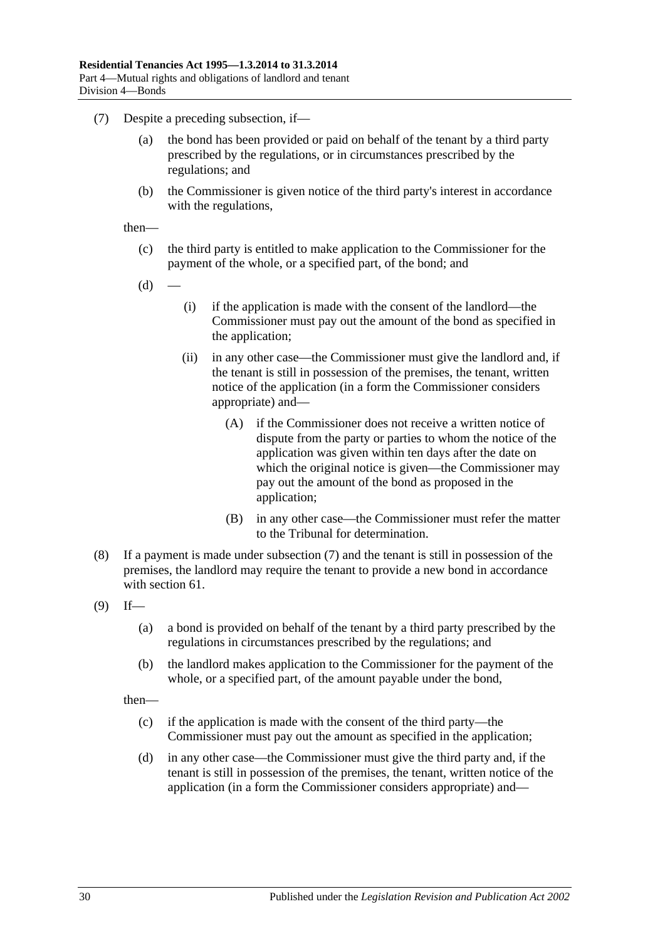- <span id="page-29-0"></span>(7) Despite a preceding subsection, if
	- the bond has been provided or paid on behalf of the tenant by a third party prescribed by the regulations, or in circumstances prescribed by the regulations; and
	- (b) the Commissioner is given notice of the third party's interest in accordance with the regulations,

then—

- (c) the third party is entitled to make application to the Commissioner for the payment of the whole, or a specified part, of the bond; and
- $(d)$
- (i) if the application is made with the consent of the landlord—the Commissioner must pay out the amount of the bond as specified in the application;
- (ii) in any other case—the Commissioner must give the landlord and, if the tenant is still in possession of the premises, the tenant, written notice of the application (in a form the Commissioner considers appropriate) and—
	- (A) if the Commissioner does not receive a written notice of dispute from the party or parties to whom the notice of the application was given within ten days after the date on which the original notice is given—the Commissioner may pay out the amount of the bond as proposed in the application;
	- (B) in any other case—the Commissioner must refer the matter to the Tribunal for determination.
- (8) If a payment is made under [subsection](#page-29-0) (7) and the tenant is still in possession of the premises, the landlord may require the tenant to provide a new bond in accordance with [section](#page-27-4) 61.
- <span id="page-29-1"></span> $(9)$  If—
	- (a) a bond is provided on behalf of the tenant by a third party prescribed by the regulations in circumstances prescribed by the regulations; and
	- (b) the landlord makes application to the Commissioner for the payment of the whole, or a specified part, of the amount payable under the bond,

then—

- (c) if the application is made with the consent of the third party—the Commissioner must pay out the amount as specified in the application;
- (d) in any other case—the Commissioner must give the third party and, if the tenant is still in possession of the premises, the tenant, written notice of the application (in a form the Commissioner considers appropriate) and—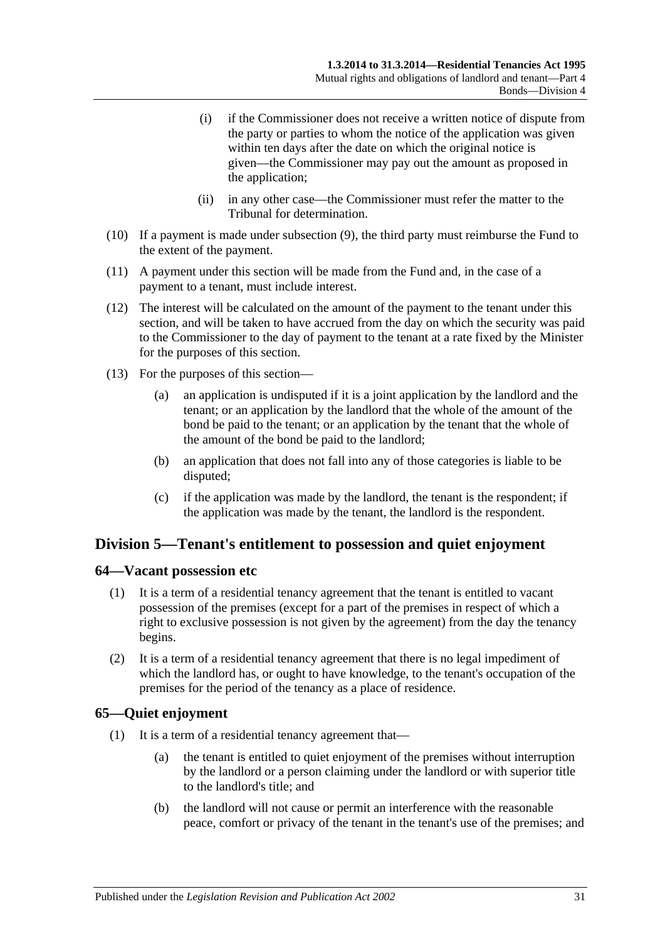- (i) if the Commissioner does not receive a written notice of dispute from the party or parties to whom the notice of the application was given within ten days after the date on which the original notice is given—the Commissioner may pay out the amount as proposed in the application;
- (ii) in any other case—the Commissioner must refer the matter to the Tribunal for determination.
- (10) If a payment is made under [subsection](#page-29-1) (9), the third party must reimburse the Fund to the extent of the payment.
- (11) A payment under this section will be made from the Fund and, in the case of a payment to a tenant, must include interest.
- (12) The interest will be calculated on the amount of the payment to the tenant under this section, and will be taken to have accrued from the day on which the security was paid to the Commissioner to the day of payment to the tenant at a rate fixed by the Minister for the purposes of this section.
- (13) For the purposes of this section—
	- (a) an application is undisputed if it is a joint application by the landlord and the tenant; or an application by the landlord that the whole of the amount of the bond be paid to the tenant; or an application by the tenant that the whole of the amount of the bond be paid to the landlord;
	- (b) an application that does not fall into any of those categories is liable to be disputed;
	- (c) if the application was made by the landlord, the tenant is the respondent; if the application was made by the tenant, the landlord is the respondent.

# <span id="page-30-0"></span>**Division 5—Tenant's entitlement to possession and quiet enjoyment**

#### <span id="page-30-1"></span>**64—Vacant possession etc**

- (1) It is a term of a residential tenancy agreement that the tenant is entitled to vacant possession of the premises (except for a part of the premises in respect of which a right to exclusive possession is not given by the agreement) from the day the tenancy begins.
- (2) It is a term of a residential tenancy agreement that there is no legal impediment of which the landlord has, or ought to have knowledge, to the tenant's occupation of the premises for the period of the tenancy as a place of residence.

# <span id="page-30-2"></span>**65—Quiet enjoyment**

- (1) It is a term of a residential tenancy agreement that—
	- (a) the tenant is entitled to quiet enjoyment of the premises without interruption by the landlord or a person claiming under the landlord or with superior title to the landlord's title; and
	- (b) the landlord will not cause or permit an interference with the reasonable peace, comfort or privacy of the tenant in the tenant's use of the premises; and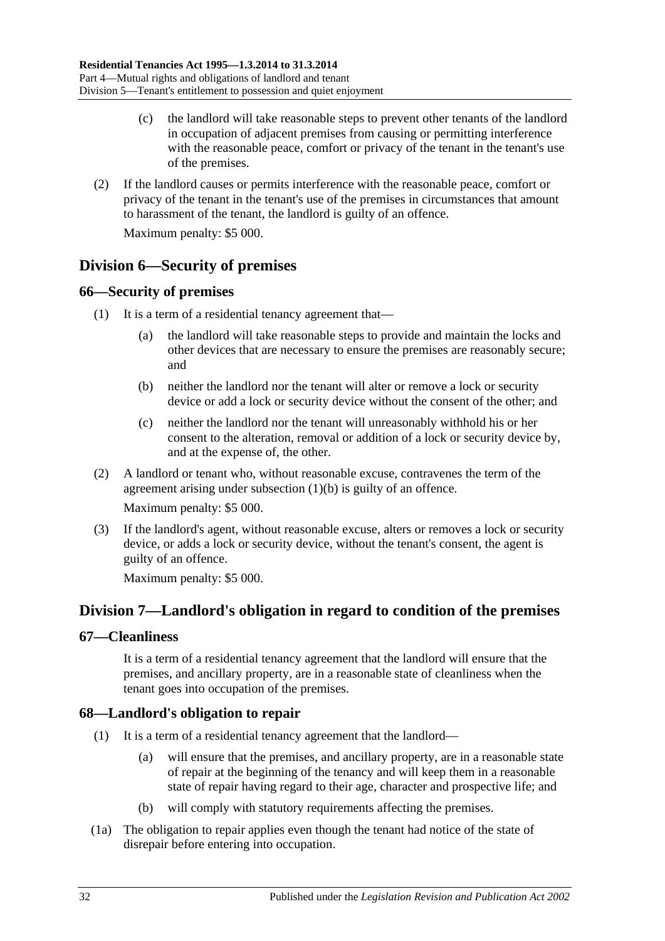- (c) the landlord will take reasonable steps to prevent other tenants of the landlord in occupation of adjacent premises from causing or permitting interference with the reasonable peace, comfort or privacy of the tenant in the tenant's use of the premises.
- (2) If the landlord causes or permits interference with the reasonable peace, comfort or privacy of the tenant in the tenant's use of the premises in circumstances that amount to harassment of the tenant, the landlord is guilty of an offence.

Maximum penalty: \$5 000.

# <span id="page-31-0"></span>**Division 6—Security of premises**

#### <span id="page-31-1"></span>**66—Security of premises**

- <span id="page-31-5"></span>(1) It is a term of a residential tenancy agreement that
	- the landlord will take reasonable steps to provide and maintain the locks and other devices that are necessary to ensure the premises are reasonably secure; and
	- (b) neither the landlord nor the tenant will alter or remove a lock or security device or add a lock or security device without the consent of the other; and
	- (c) neither the landlord nor the tenant will unreasonably withhold his or her consent to the alteration, removal or addition of a lock or security device by, and at the expense of, the other.
- (2) A landlord or tenant who, without reasonable excuse, contravenes the term of the agreement arising under [subsection](#page-31-5) (1)(b) is guilty of an offence.

Maximum penalty: \$5 000.

(3) If the landlord's agent, without reasonable excuse, alters or removes a lock or security device, or adds a lock or security device, without the tenant's consent, the agent is guilty of an offence.

Maximum penalty: \$5 000.

# <span id="page-31-2"></span>**Division 7—Landlord's obligation in regard to condition of the premises**

### <span id="page-31-3"></span>**67—Cleanliness**

It is a term of a residential tenancy agreement that the landlord will ensure that the premises, and ancillary property, are in a reasonable state of cleanliness when the tenant goes into occupation of the premises.

# <span id="page-31-6"></span><span id="page-31-4"></span>**68—Landlord's obligation to repair**

- (1) It is a term of a residential tenancy agreement that the landlord—
	- (a) will ensure that the premises, and ancillary property, are in a reasonable state of repair at the beginning of the tenancy and will keep them in a reasonable state of repair having regard to their age, character and prospective life; and
	- (b) will comply with statutory requirements affecting the premises.
- (1a) The obligation to repair applies even though the tenant had notice of the state of disrepair before entering into occupation.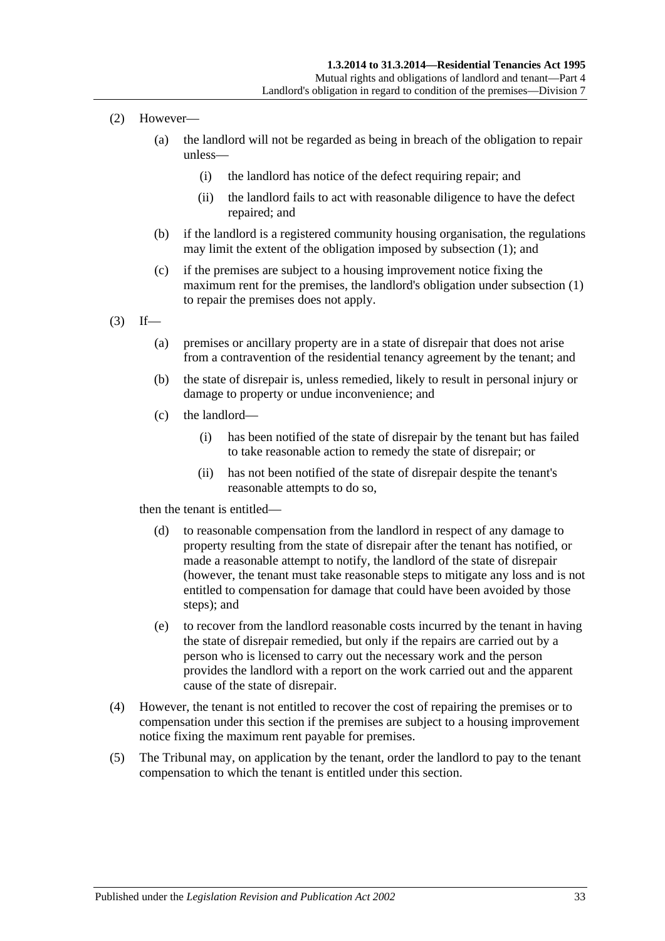- (2) However—
	- (a) the landlord will not be regarded as being in breach of the obligation to repair unless—
		- (i) the landlord has notice of the defect requiring repair; and
		- (ii) the landlord fails to act with reasonable diligence to have the defect repaired; and
	- (b) if the landlord is a registered community housing organisation, the regulations may limit the extent of the obligation imposed by [subsection](#page-31-6) (1); and
	- (c) if the premises are subject to a housing improvement notice fixing the maximum rent for the premises, the landlord's obligation under [subsection](#page-31-6) (1) to repair the premises does not apply.
- $(3)$  If—
	- (a) premises or ancillary property are in a state of disrepair that does not arise from a contravention of the residential tenancy agreement by the tenant; and
	- (b) the state of disrepair is, unless remedied, likely to result in personal injury or damage to property or undue inconvenience; and
	- (c) the landlord—
		- (i) has been notified of the state of disrepair by the tenant but has failed to take reasonable action to remedy the state of disrepair; or
		- (ii) has not been notified of the state of disrepair despite the tenant's reasonable attempts to do so,

then the tenant is entitled—

- (d) to reasonable compensation from the landlord in respect of any damage to property resulting from the state of disrepair after the tenant has notified, or made a reasonable attempt to notify, the landlord of the state of disrepair (however, the tenant must take reasonable steps to mitigate any loss and is not entitled to compensation for damage that could have been avoided by those steps); and
- (e) to recover from the landlord reasonable costs incurred by the tenant in having the state of disrepair remedied, but only if the repairs are carried out by a person who is licensed to carry out the necessary work and the person provides the landlord with a report on the work carried out and the apparent cause of the state of disrepair.
- (4) However, the tenant is not entitled to recover the cost of repairing the premises or to compensation under this section if the premises are subject to a housing improvement notice fixing the maximum rent payable for premises.
- (5) The Tribunal may, on application by the tenant, order the landlord to pay to the tenant compensation to which the tenant is entitled under this section.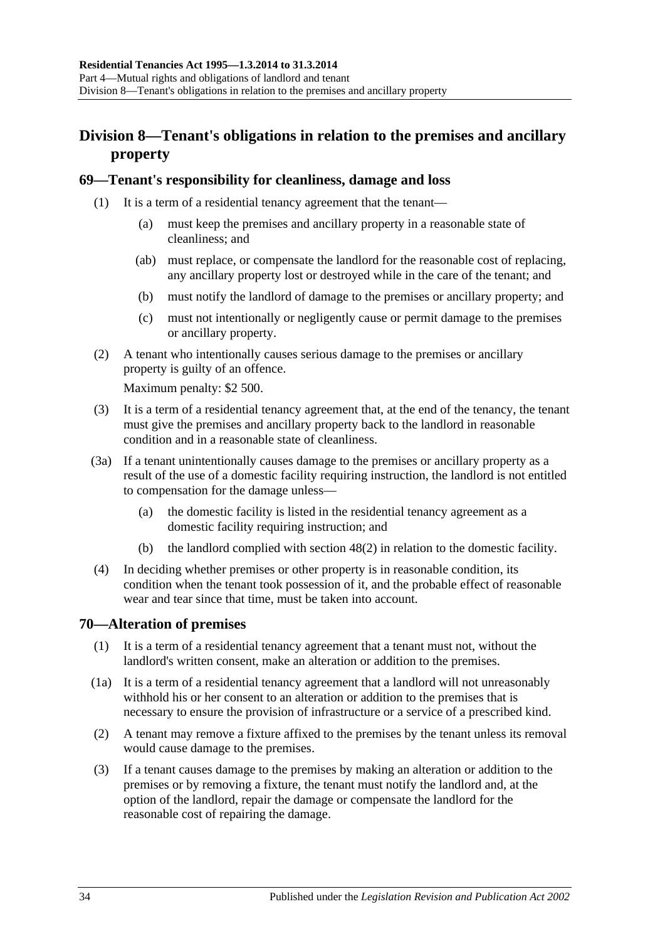# <span id="page-33-0"></span>**Division 8—Tenant's obligations in relation to the premises and ancillary property**

### <span id="page-33-1"></span>**69—Tenant's responsibility for cleanliness, damage and loss**

- (1) It is a term of a residential tenancy agreement that the tenant—
	- (a) must keep the premises and ancillary property in a reasonable state of cleanliness; and
	- (ab) must replace, or compensate the landlord for the reasonable cost of replacing, any ancillary property lost or destroyed while in the care of the tenant; and
	- (b) must notify the landlord of damage to the premises or ancillary property; and
	- (c) must not intentionally or negligently cause or permit damage to the premises or ancillary property.
- (2) A tenant who intentionally causes serious damage to the premises or ancillary property is guilty of an offence.

Maximum penalty: \$2 500.

- (3) It is a term of a residential tenancy agreement that, at the end of the tenancy, the tenant must give the premises and ancillary property back to the landlord in reasonable condition and in a reasonable state of cleanliness.
- <span id="page-33-3"></span>(3a) If a tenant unintentionally causes damage to the premises or ancillary property as a result of the use of a domestic facility requiring instruction, the landlord is not entitled to compensation for the damage unless—
	- (a) the domestic facility is listed in the residential tenancy agreement as a domestic facility requiring instruction; and
	- (b) the landlord complied with [section](#page-20-2) 48(2) in relation to the domestic facility.
- (4) In deciding whether premises or other property is in reasonable condition, its condition when the tenant took possession of it, and the probable effect of reasonable wear and tear since that time, must be taken into account.

# <span id="page-33-2"></span>**70—Alteration of premises**

- (1) It is a term of a residential tenancy agreement that a tenant must not, without the landlord's written consent, make an alteration or addition to the premises.
- (1a) It is a term of a residential tenancy agreement that a landlord will not unreasonably withhold his or her consent to an alteration or addition to the premises that is necessary to ensure the provision of infrastructure or a service of a prescribed kind.
- (2) A tenant may remove a fixture affixed to the premises by the tenant unless its removal would cause damage to the premises.
- (3) If a tenant causes damage to the premises by making an alteration or addition to the premises or by removing a fixture, the tenant must notify the landlord and, at the option of the landlord, repair the damage or compensate the landlord for the reasonable cost of repairing the damage.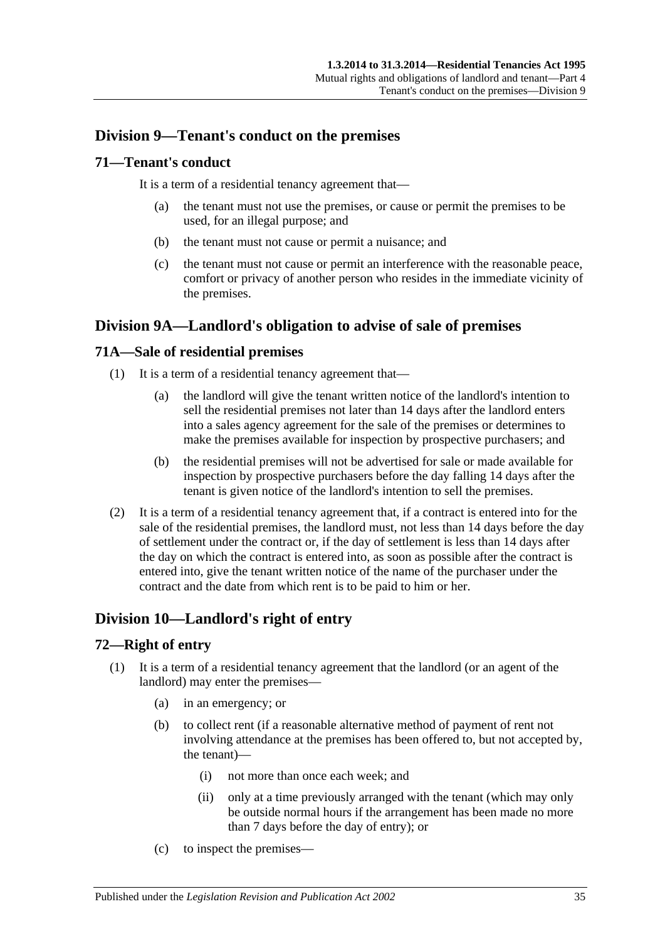# <span id="page-34-0"></span>**Division 9—Tenant's conduct on the premises**

### <span id="page-34-1"></span>**71—Tenant's conduct**

It is a term of a residential tenancy agreement that—

- (a) the tenant must not use the premises, or cause or permit the premises to be used, for an illegal purpose; and
- (b) the tenant must not cause or permit a nuisance; and
- (c) the tenant must not cause or permit an interference with the reasonable peace, comfort or privacy of another person who resides in the immediate vicinity of the premises.

# <span id="page-34-2"></span>**Division 9A—Landlord's obligation to advise of sale of premises**

# <span id="page-34-3"></span>**71A—Sale of residential premises**

- (1) It is a term of a residential tenancy agreement that—
	- (a) the landlord will give the tenant written notice of the landlord's intention to sell the residential premises not later than 14 days after the landlord enters into a sales agency agreement for the sale of the premises or determines to make the premises available for inspection by prospective purchasers; and
	- (b) the residential premises will not be advertised for sale or made available for inspection by prospective purchasers before the day falling 14 days after the tenant is given notice of the landlord's intention to sell the premises.
- (2) It is a term of a residential tenancy agreement that, if a contract is entered into for the sale of the residential premises, the landlord must, not less than 14 days before the day of settlement under the contract or, if the day of settlement is less than 14 days after the day on which the contract is entered into, as soon as possible after the contract is entered into, give the tenant written notice of the name of the purchaser under the contract and the date from which rent is to be paid to him or her.

# <span id="page-34-4"></span>**Division 10—Landlord's right of entry**

# <span id="page-34-5"></span>**72—Right of entry**

- (1) It is a term of a residential tenancy agreement that the landlord (or an agent of the landlord) may enter the premises—
	- (a) in an emergency; or
	- (b) to collect rent (if a reasonable alternative method of payment of rent not involving attendance at the premises has been offered to, but not accepted by, the tenant)—
		- (i) not more than once each week; and
		- (ii) only at a time previously arranged with the tenant (which may only be outside normal hours if the arrangement has been made no more than 7 days before the day of entry); or
	- (c) to inspect the premises—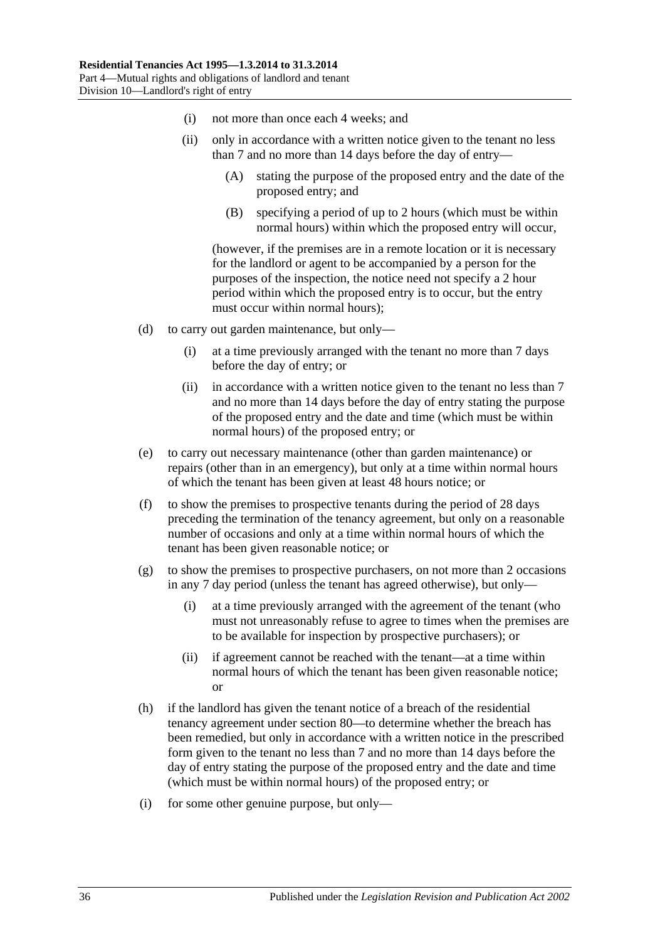- (i) not more than once each 4 weeks; and
- (ii) only in accordance with a written notice given to the tenant no less than 7 and no more than 14 days before the day of entry—
	- (A) stating the purpose of the proposed entry and the date of the proposed entry; and
	- (B) specifying a period of up to 2 hours (which must be within normal hours) within which the proposed entry will occur,

(however, if the premises are in a remote location or it is necessary for the landlord or agent to be accompanied by a person for the purposes of the inspection, the notice need not specify a 2 hour period within which the proposed entry is to occur, but the entry must occur within normal hours);

- (d) to carry out garden maintenance, but only—
	- (i) at a time previously arranged with the tenant no more than 7 days before the day of entry; or
	- (ii) in accordance with a written notice given to the tenant no less than 7 and no more than 14 days before the day of entry stating the purpose of the proposed entry and the date and time (which must be within normal hours) of the proposed entry; or
- (e) to carry out necessary maintenance (other than garden maintenance) or repairs (other than in an emergency), but only at a time within normal hours of which the tenant has been given at least 48 hours notice; or
- (f) to show the premises to prospective tenants during the period of 28 days preceding the termination of the tenancy agreement, but only on a reasonable number of occasions and only at a time within normal hours of which the tenant has been given reasonable notice; or
- $(g)$  to show the premises to prospective purchasers, on not more than 2 occasions in any 7 day period (unless the tenant has agreed otherwise), but only—
	- (i) at a time previously arranged with the agreement of the tenant (who must not unreasonably refuse to agree to times when the premises are to be available for inspection by prospective purchasers); or
	- (ii) if agreement cannot be reached with the tenant—at a time within normal hours of which the tenant has been given reasonable notice; or
- (h) if the landlord has given the tenant notice of a breach of the residential tenancy agreement under [section](#page-40-5) 80—to determine whether the breach has been remedied, but only in accordance with a written notice in the prescribed form given to the tenant no less than 7 and no more than 14 days before the day of entry stating the purpose of the proposed entry and the date and time (which must be within normal hours) of the proposed entry; or
- (i) for some other genuine purpose, but only—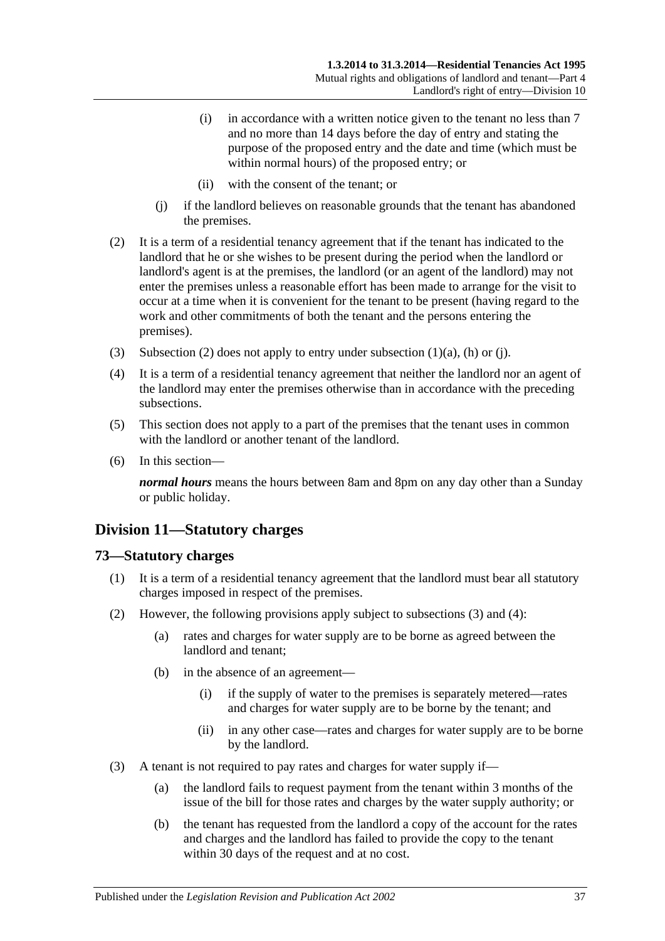- (i) in accordance with a written notice given to the tenant no less than 7 and no more than 14 days before the day of entry and stating the purpose of the proposed entry and the date and time (which must be within normal hours) of the proposed entry; or
- (ii) with the consent of the tenant; or
- (j) if the landlord believes on reasonable grounds that the tenant has abandoned the premises.
- <span id="page-36-1"></span><span id="page-36-0"></span>(2) It is a term of a residential tenancy agreement that if the tenant has indicated to the landlord that he or she wishes to be present during the period when the landlord or landlord's agent is at the premises, the landlord (or an agent of the landlord) may not enter the premises unless a reasonable effort has been made to arrange for the visit to occur at a time when it is convenient for the tenant to be present (having regard to the work and other commitments of both the tenant and the persons entering the premises).
- (3) [Subsection](#page-36-0) (2) does not apply to entry under [subsection](#page-34-0)  $(1)(a)$ ,  $(h)$  or  $(i)$ .
- (4) It is a term of a residential tenancy agreement that neither the landlord nor an agent of the landlord may enter the premises otherwise than in accordance with the preceding subsections.
- (5) This section does not apply to a part of the premises that the tenant uses in common with the landlord or another tenant of the landlord.
- (6) In this section—

*normal hours* means the hours between 8am and 8pm on any day other than a Sunday or public holiday.

## **Division 11—Statutory charges**

#### **73—Statutory charges**

- (1) It is a term of a residential tenancy agreement that the landlord must bear all statutory charges imposed in respect of the premises.
- <span id="page-36-3"></span><span id="page-36-2"></span>(2) However, the following provisions apply subject to subsections (3) and [\(4\):](#page-37-0)
	- (a) rates and charges for water supply are to be borne as agreed between the landlord and tenant;
	- (b) in the absence of an agreement—
		- (i) if the supply of water to the premises is separately metered—rates and charges for water supply are to be borne by the tenant; and
		- (ii) in any other case—rates and charges for water supply are to be borne by the landlord.
- (3) A tenant is not required to pay rates and charges for water supply if—
	- (a) the landlord fails to request payment from the tenant within 3 months of the issue of the bill for those rates and charges by the water supply authority; or
	- (b) the tenant has requested from the landlord a copy of the account for the rates and charges and the landlord has failed to provide the copy to the tenant within 30 days of the request and at no cost.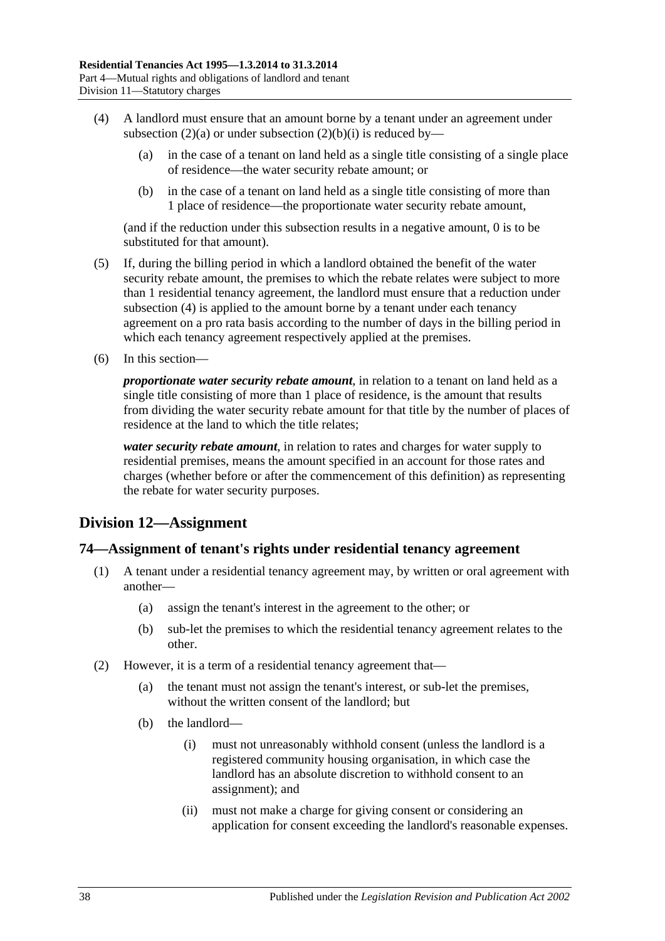- <span id="page-37-0"></span>(4) A landlord must ensure that an amount borne by a tenant under an agreement under [subsection](#page-36-2) (2)(a) or under [subsection](#page-36-3) (2)(b)(i) is reduced by—
	- (a) in the case of a tenant on land held as a single title consisting of a single place of residence—the water security rebate amount; or
	- (b) in the case of a tenant on land held as a single title consisting of more than 1 place of residence—the proportionate water security rebate amount,

(and if the reduction under this subsection results in a negative amount, 0 is to be substituted for that amount).

- (5) If, during the billing period in which a landlord obtained the benefit of the water security rebate amount, the premises to which the rebate relates were subject to more than 1 residential tenancy agreement, the landlord must ensure that a reduction under [subsection](#page-37-0) (4) is applied to the amount borne by a tenant under each tenancy agreement on a pro rata basis according to the number of days in the billing period in which each tenancy agreement respectively applied at the premises.
- (6) In this section—

*proportionate water security rebate amount*, in relation to a tenant on land held as a single title consisting of more than 1 place of residence, is the amount that results from dividing the water security rebate amount for that title by the number of places of residence at the land to which the title relates;

*water security rebate amount*, in relation to rates and charges for water supply to residential premises, means the amount specified in an account for those rates and charges (whether before or after the commencement of this definition) as representing the rebate for water security purposes.

## **Division 12—Assignment**

#### **74—Assignment of tenant's rights under residential tenancy agreement**

- (1) A tenant under a residential tenancy agreement may, by written or oral agreement with another—
	- (a) assign the tenant's interest in the agreement to the other; or
	- (b) sub-let the premises to which the residential tenancy agreement relates to the other.
- (2) However, it is a term of a residential tenancy agreement that—
	- (a) the tenant must not assign the tenant's interest, or sub-let the premises, without the written consent of the landlord; but
	- (b) the landlord—
		- (i) must not unreasonably withhold consent (unless the landlord is a registered community housing organisation, in which case the landlord has an absolute discretion to withhold consent to an assignment); and
		- (ii) must not make a charge for giving consent or considering an application for consent exceeding the landlord's reasonable expenses.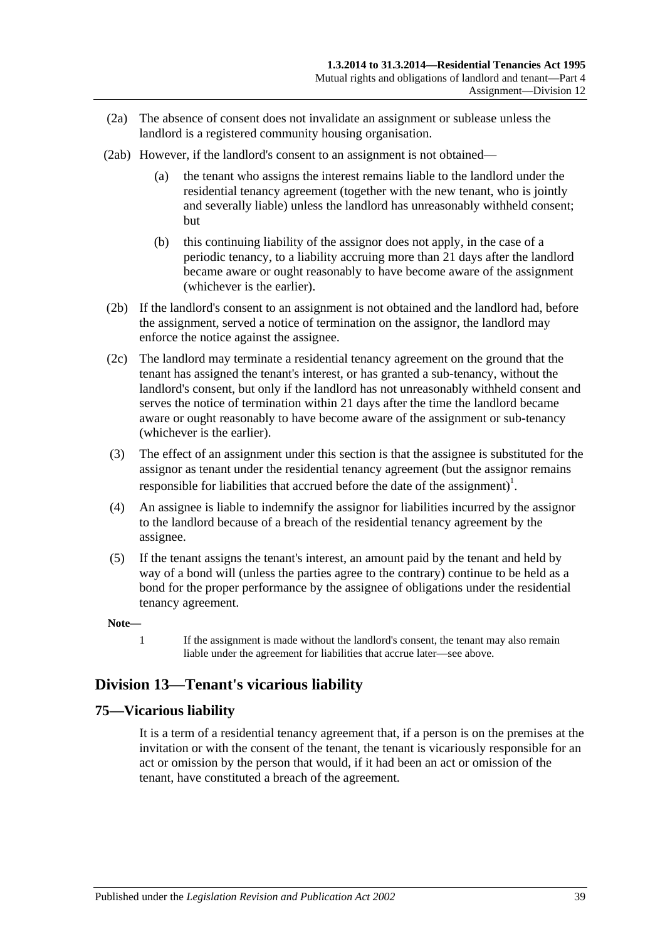- (2a) The absence of consent does not invalidate an assignment or sublease unless the landlord is a registered community housing organisation.
- (2ab) However, if the landlord's consent to an assignment is not obtained—
	- (a) the tenant who assigns the interest remains liable to the landlord under the residential tenancy agreement (together with the new tenant, who is jointly and severally liable) unless the landlord has unreasonably withheld consent; but
	- (b) this continuing liability of the assignor does not apply, in the case of a periodic tenancy, to a liability accruing more than 21 days after the landlord became aware or ought reasonably to have become aware of the assignment (whichever is the earlier).
- (2b) If the landlord's consent to an assignment is not obtained and the landlord had, before the assignment, served a notice of termination on the assignor, the landlord may enforce the notice against the assignee.
- (2c) The landlord may terminate a residential tenancy agreement on the ground that the tenant has assigned the tenant's interest, or has granted a sub-tenancy, without the landlord's consent, but only if the landlord has not unreasonably withheld consent and serves the notice of termination within 21 days after the time the landlord became aware or ought reasonably to have become aware of the assignment or sub-tenancy (whichever is the earlier).
- (3) The effect of an assignment under this section is that the assignee is substituted for the assignor as tenant under the residential tenancy agreement (but the assignor remains responsible for liabilities that accrued before the date of the assignment)<sup>1</sup>.
- (4) An assignee is liable to indemnify the assignor for liabilities incurred by the assignor to the landlord because of a breach of the residential tenancy agreement by the assignee.
- (5) If the tenant assigns the tenant's interest, an amount paid by the tenant and held by way of a bond will (unless the parties agree to the contrary) continue to be held as a bond for the proper performance by the assignee of obligations under the residential tenancy agreement.

**Note—**

1 If the assignment is made without the landlord's consent, the tenant may also remain liable under the agreement for liabilities that accrue later—see above.

## **Division 13—Tenant's vicarious liability**

## **75—Vicarious liability**

It is a term of a residential tenancy agreement that, if a person is on the premises at the invitation or with the consent of the tenant, the tenant is vicariously responsible for an act or omission by the person that would, if it had been an act or omission of the tenant, have constituted a breach of the agreement.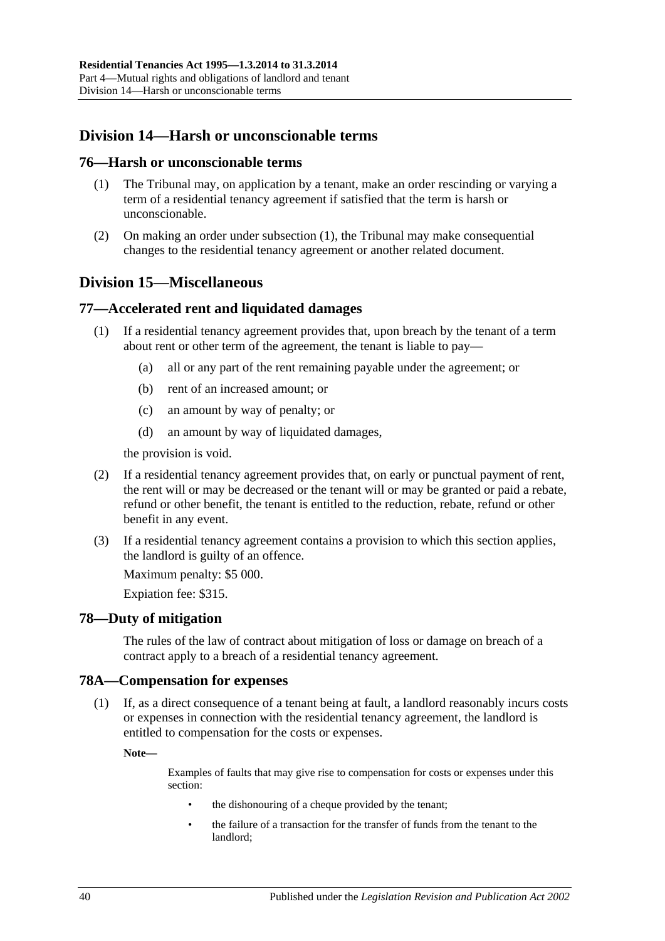## **Division 14—Harsh or unconscionable terms**

#### <span id="page-39-0"></span>**76—Harsh or unconscionable terms**

- (1) The Tribunal may, on application by a tenant, make an order rescinding or varying a term of a residential tenancy agreement if satisfied that the term is harsh or unconscionable.
- (2) On making an order under [subsection](#page-39-0) (1), the Tribunal may make consequential changes to the residential tenancy agreement or another related document.

## **Division 15—Miscellaneous**

## **77—Accelerated rent and liquidated damages**

- (1) If a residential tenancy agreement provides that, upon breach by the tenant of a term about rent or other term of the agreement, the tenant is liable to pay—
	- (a) all or any part of the rent remaining payable under the agreement; or
	- (b) rent of an increased amount; or
	- (c) an amount by way of penalty; or
	- (d) an amount by way of liquidated damages,

the provision is void.

- (2) If a residential tenancy agreement provides that, on early or punctual payment of rent, the rent will or may be decreased or the tenant will or may be granted or paid a rebate, refund or other benefit, the tenant is entitled to the reduction, rebate, refund or other benefit in any event.
- (3) If a residential tenancy agreement contains a provision to which this section applies, the landlord is guilty of an offence.

Maximum penalty: \$5 000.

Expiation fee: \$315.

## **78—Duty of mitigation**

The rules of the law of contract about mitigation of loss or damage on breach of a contract apply to a breach of a residential tenancy agreement.

#### **78A—Compensation for expenses**

(1) If, as a direct consequence of a tenant being at fault, a landlord reasonably incurs costs or expenses in connection with the residential tenancy agreement, the landlord is entitled to compensation for the costs or expenses.

**Note—**

Examples of faults that may give rise to compensation for costs or expenses under this section:

- the dishonouring of a cheque provided by the tenant;
- the failure of a transaction for the transfer of funds from the tenant to the landlord;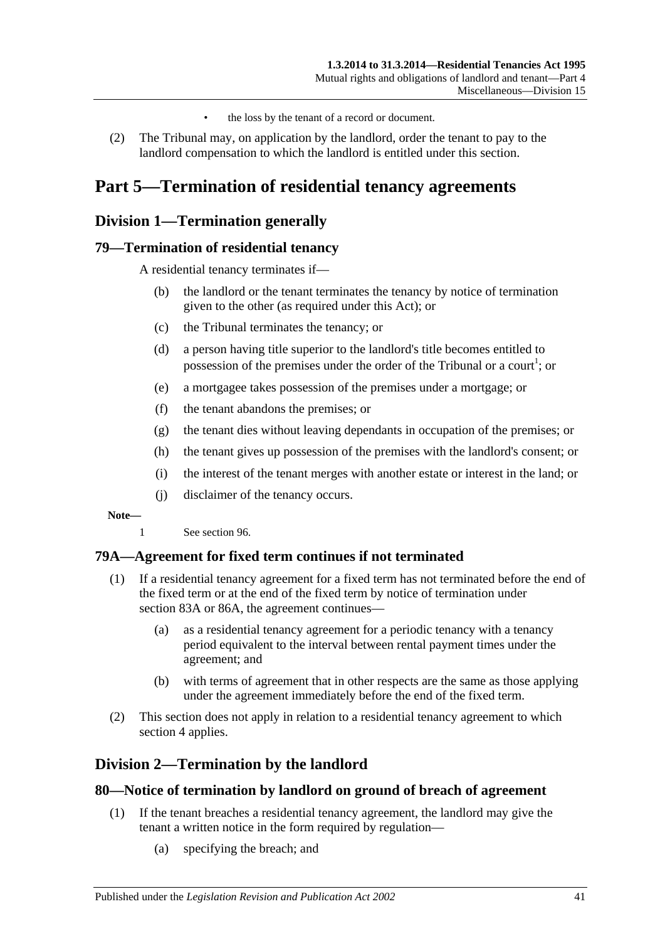- the loss by the tenant of a record or document.
- (2) The Tribunal may, on application by the landlord, order the tenant to pay to the landlord compensation to which the landlord is entitled under this section.

# **Part 5—Termination of residential tenancy agreements**

## **Division 1—Termination generally**

## **79—Termination of residential tenancy**

A residential tenancy terminates if—

- (b) the landlord or the tenant terminates the tenancy by notice of termination given to the other (as required under this Act); or
- (c) the Tribunal terminates the tenancy; or
- (d) a person having title superior to the landlord's title becomes entitled to possession of the premises under the order of the Tribunal or a court<sup>1</sup>; or
- (e) a mortgagee takes possession of the premises under a mortgage; or
- (f) the tenant abandons the premises; or
- (g) the tenant dies without leaving dependants in occupation of the premises; or
- (h) the tenant gives up possession of the premises with the landlord's consent; or
- (i) the interest of the tenant merges with another estate or interest in the land; or
- (j) disclaimer of the tenancy occurs.

**Note—**

1 See [section](#page-50-0) 96.

## **79A—Agreement for fixed term continues if not terminated**

- (1) If a residential tenancy agreement for a fixed term has not terminated before the end of the fixed term or at the end of the fixed term by notice of termination under [section](#page-43-0) 83A or [86A,](#page-45-0) the agreement continues—
	- (a) as a residential tenancy agreement for a periodic tenancy with a tenancy period equivalent to the interval between rental payment times under the agreement; and
	- (b) with terms of agreement that in other respects are the same as those applying under the agreement immediately before the end of the fixed term.
- (2) This section does not apply in relation to a residential tenancy agreement to which [section](#page-8-0) 4 applies.

## **Division 2—Termination by the landlord**

#### <span id="page-40-0"></span>**80—Notice of termination by landlord on ground of breach of agreement**

- (1) If the tenant breaches a residential tenancy agreement, the landlord may give the tenant a written notice in the form required by regulation—
	- (a) specifying the breach; and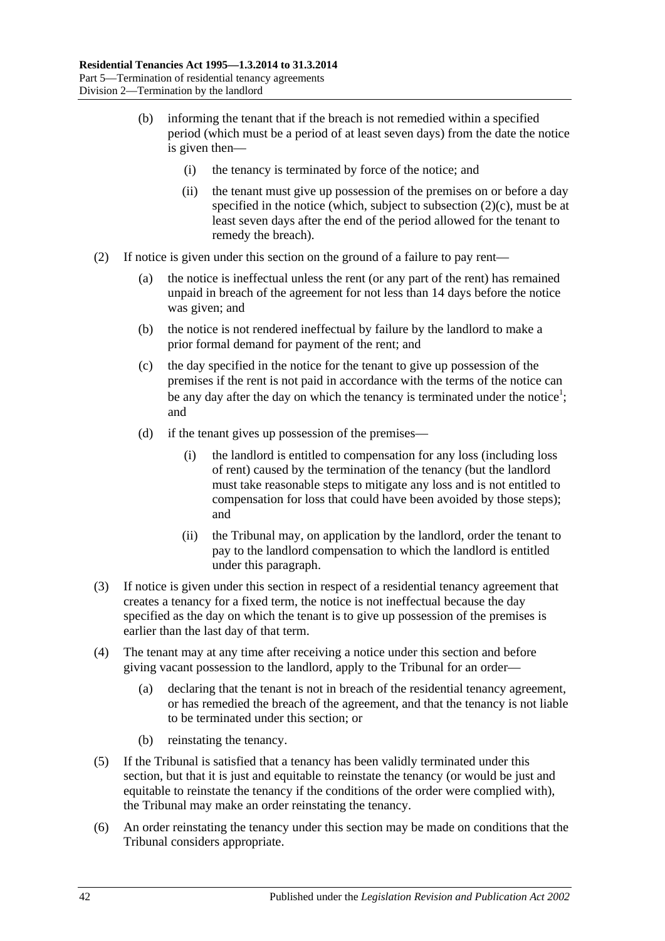- (b) informing the tenant that if the breach is not remedied within a specified period (which must be a period of at least seven days) from the date the notice is given then—
	- (i) the tenancy is terminated by force of the notice; and
	- (ii) the tenant must give up possession of the premises on or before a day specified in the notice (which, subject to [subsection](#page-41-0)  $(2)(c)$ , must be at least seven days after the end of the period allowed for the tenant to remedy the breach).
- <span id="page-41-1"></span><span id="page-41-0"></span>(2) If notice is given under this section on the ground of a failure to pay rent—
	- (a) the notice is ineffectual unless the rent (or any part of the rent) has remained unpaid in breach of the agreement for not less than 14 days before the notice was given; and
	- (b) the notice is not rendered ineffectual by failure by the landlord to make a prior formal demand for payment of the rent; and
	- (c) the day specified in the notice for the tenant to give up possession of the premises if the rent is not paid in accordance with the terms of the notice can be any day after the day on which the tenancy is terminated under the notice<sup>1</sup>; and
	- (d) if the tenant gives up possession of the premises—
		- (i) the landlord is entitled to compensation for any loss (including loss of rent) caused by the termination of the tenancy (but the landlord must take reasonable steps to mitigate any loss and is not entitled to compensation for loss that could have been avoided by those steps); and
		- (ii) the Tribunal may, on application by the landlord, order the tenant to pay to the landlord compensation to which the landlord is entitled under this paragraph.
- (3) If notice is given under this section in respect of a residential tenancy agreement that creates a tenancy for a fixed term, the notice is not ineffectual because the day specified as the day on which the tenant is to give up possession of the premises is earlier than the last day of that term.
- (4) The tenant may at any time after receiving a notice under this section and before giving vacant possession to the landlord, apply to the Tribunal for an order—
	- (a) declaring that the tenant is not in breach of the residential tenancy agreement, or has remedied the breach of the agreement, and that the tenancy is not liable to be terminated under this section; or
	- (b) reinstating the tenancy.
- (5) If the Tribunal is satisfied that a tenancy has been validly terminated under this section, but that it is just and equitable to reinstate the tenancy (or would be just and equitable to reinstate the tenancy if the conditions of the order were complied with), the Tribunal may make an order reinstating the tenancy.
- (6) An order reinstating the tenancy under this section may be made on conditions that the Tribunal considers appropriate.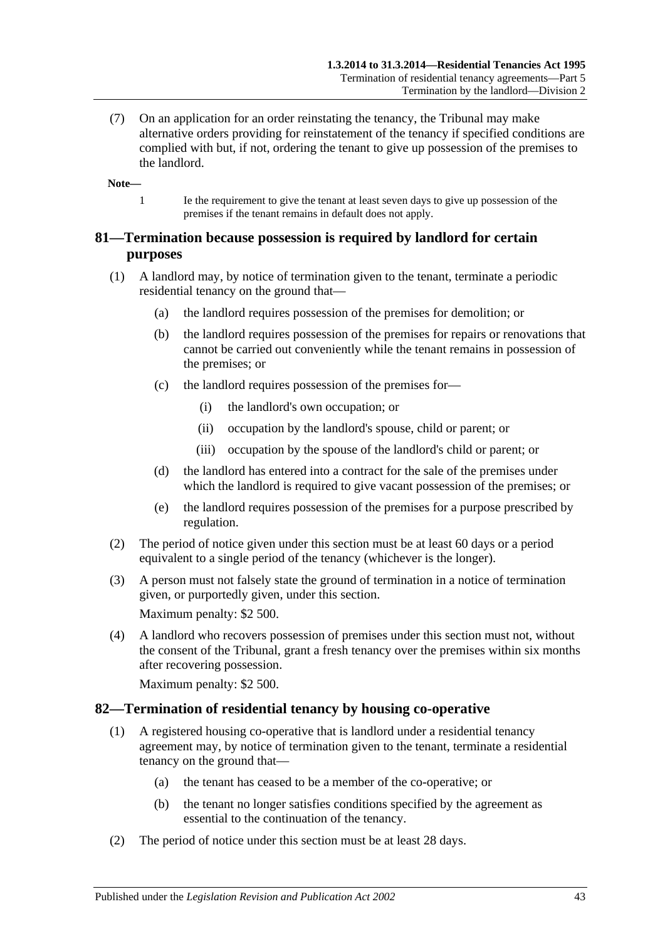(7) On an application for an order reinstating the tenancy, the Tribunal may make alternative orders providing for reinstatement of the tenancy if specified conditions are complied with but, if not, ordering the tenant to give up possession of the premises to the landlord.

**Note—**

1 Ie the requirement to give the tenant at least seven days to give up possession of the premises if the tenant remains in default does not apply.

## **81—Termination because possession is required by landlord for certain purposes**

- (1) A landlord may, by notice of termination given to the tenant, terminate a periodic residential tenancy on the ground that—
	- (a) the landlord requires possession of the premises for demolition; or
	- (b) the landlord requires possession of the premises for repairs or renovations that cannot be carried out conveniently while the tenant remains in possession of the premises; or
	- (c) the landlord requires possession of the premises for—
		- (i) the landlord's own occupation; or
		- (ii) occupation by the landlord's spouse, child or parent; or
		- (iii) occupation by the spouse of the landlord's child or parent; or
	- (d) the landlord has entered into a contract for the sale of the premises under which the landlord is required to give vacant possession of the premises; or
	- (e) the landlord requires possession of the premises for a purpose prescribed by regulation.
- (2) The period of notice given under this section must be at least 60 days or a period equivalent to a single period of the tenancy (whichever is the longer).
- (3) A person must not falsely state the ground of termination in a notice of termination given, or purportedly given, under this section.

Maximum penalty: \$2 500.

(4) A landlord who recovers possession of premises under this section must not, without the consent of the Tribunal, grant a fresh tenancy over the premises within six months after recovering possession.

Maximum penalty: \$2 500.

## **82—Termination of residential tenancy by housing co-operative**

- (1) A registered housing co-operative that is landlord under a residential tenancy agreement may, by notice of termination given to the tenant, terminate a residential tenancy on the ground that—
	- (a) the tenant has ceased to be a member of the co-operative; or
	- (b) the tenant no longer satisfies conditions specified by the agreement as essential to the continuation of the tenancy.
- (2) The period of notice under this section must be at least 28 days.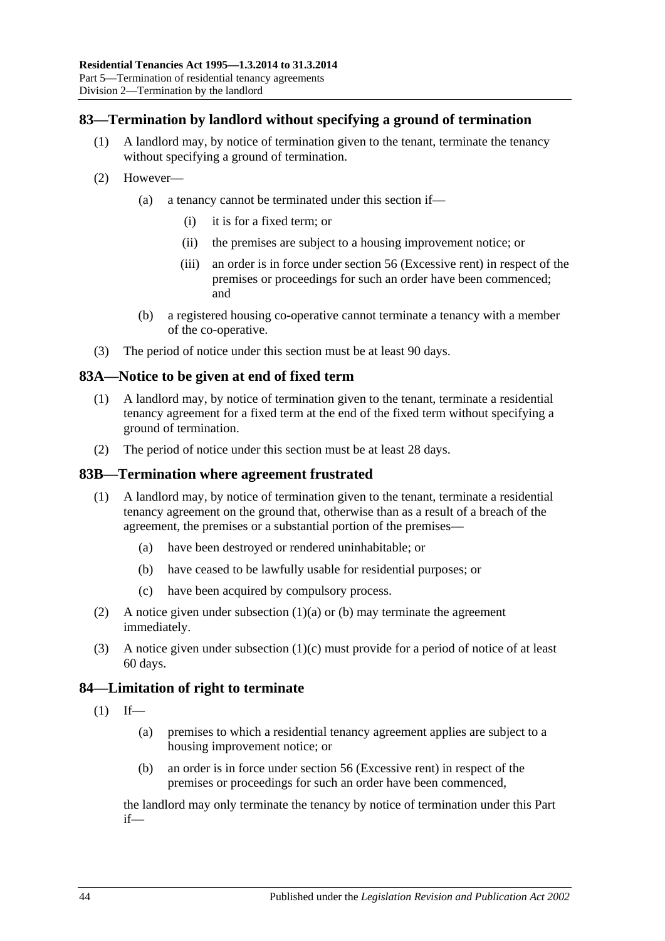## **83—Termination by landlord without specifying a ground of termination**

- (1) A landlord may, by notice of termination given to the tenant, terminate the tenancy without specifying a ground of termination.
- (2) However—
	- (a) a tenancy cannot be terminated under this section if—
		- (i) it is for a fixed term; or
		- (ii) the premises are subject to a housing improvement notice; or
		- (iii) an order is in force under [section](#page-25-0) 56 (Excessive rent) in respect of the premises or proceedings for such an order have been commenced; and
	- (b) a registered housing co-operative cannot terminate a tenancy with a member of the co-operative.
- (3) The period of notice under this section must be at least 90 days.

#### <span id="page-43-0"></span>**83A—Notice to be given at end of fixed term**

- (1) A landlord may, by notice of termination given to the tenant, terminate a residential tenancy agreement for a fixed term at the end of the fixed term without specifying a ground of termination.
- (2) The period of notice under this section must be at least 28 days.

#### **83B—Termination where agreement frustrated**

- <span id="page-43-1"></span>(1) A landlord may, by notice of termination given to the tenant, terminate a residential tenancy agreement on the ground that, otherwise than as a result of a breach of the agreement, the premises or a substantial portion of the premises—
	- (a) have been destroyed or rendered uninhabitable; or
	- (b) have ceased to be lawfully usable for residential purposes; or
	- (c) have been acquired by compulsory process.
- <span id="page-43-3"></span><span id="page-43-2"></span>(2) A notice given under [subsection](#page-43-1) (1)(a) or [\(b\)](#page-43-2) may terminate the agreement immediately.
- (3) A notice given under [subsection](#page-43-3) (1)(c) must provide for a period of notice of at least 60 days.

#### **84—Limitation of right to terminate**

- $(1)$  If—
	- (a) premises to which a residential tenancy agreement applies are subject to a housing improvement notice; or
	- (b) an order is in force under [section](#page-25-0) 56 (Excessive rent) in respect of the premises or proceedings for such an order have been commenced,

the landlord may only terminate the tenancy by notice of termination under this Part if—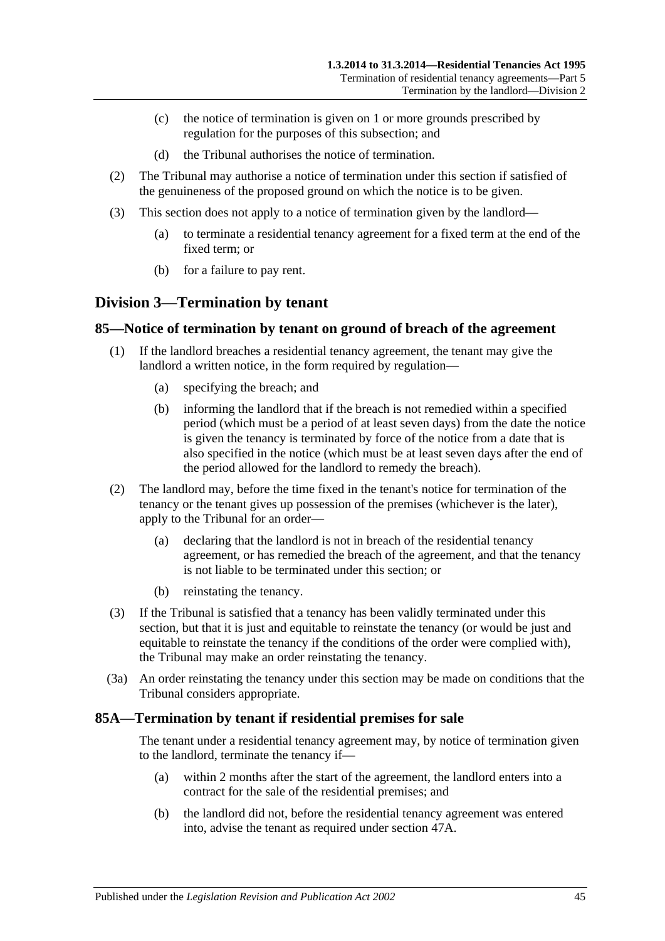- (c) the notice of termination is given on 1 or more grounds prescribed by regulation for the purposes of this subsection; and
- (d) the Tribunal authorises the notice of termination.
- (2) The Tribunal may authorise a notice of termination under this section if satisfied of the genuineness of the proposed ground on which the notice is to be given.
- (3) This section does not apply to a notice of termination given by the landlord—
	- (a) to terminate a residential tenancy agreement for a fixed term at the end of the fixed term; or
	- (b) for a failure to pay rent.

## **Division 3—Termination by tenant**

#### <span id="page-44-0"></span>**85—Notice of termination by tenant on ground of breach of the agreement**

- (1) If the landlord breaches a residential tenancy agreement, the tenant may give the landlord a written notice, in the form required by regulation—
	- (a) specifying the breach; and
	- (b) informing the landlord that if the breach is not remedied within a specified period (which must be a period of at least seven days) from the date the notice is given the tenancy is terminated by force of the notice from a date that is also specified in the notice (which must be at least seven days after the end of the period allowed for the landlord to remedy the breach).
- (2) The landlord may, before the time fixed in the tenant's notice for termination of the tenancy or the tenant gives up possession of the premises (whichever is the later), apply to the Tribunal for an order—
	- (a) declaring that the landlord is not in breach of the residential tenancy agreement, or has remedied the breach of the agreement, and that the tenancy is not liable to be terminated under this section; or
	- (b) reinstating the tenancy.
- (3) If the Tribunal is satisfied that a tenancy has been validly terminated under this section, but that it is just and equitable to reinstate the tenancy (or would be just and equitable to reinstate the tenancy if the conditions of the order were complied with). the Tribunal may make an order reinstating the tenancy.
- (3a) An order reinstating the tenancy under this section may be made on conditions that the Tribunal considers appropriate.

#### **85A—Termination by tenant if residential premises for sale**

The tenant under a residential tenancy agreement may, by notice of termination given to the landlord, terminate the tenancy if—

- (a) within 2 months after the start of the agreement, the landlord enters into a contract for the sale of the residential premises; and
- (b) the landlord did not, before the residential tenancy agreement was entered into, advise the tenant as required under [section](#page-19-0) 47A.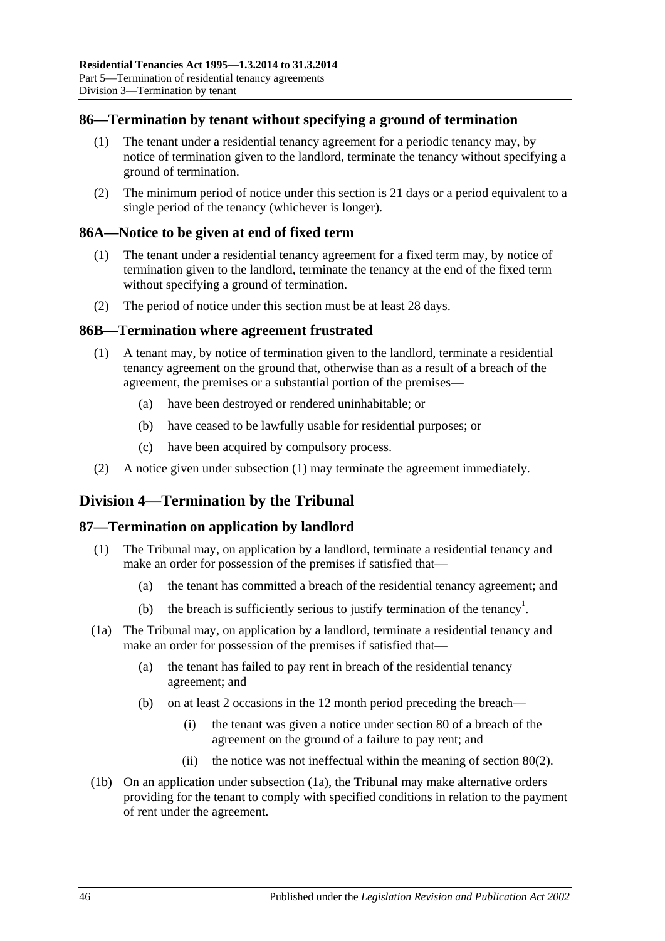## **86—Termination by tenant without specifying a ground of termination**

- (1) The tenant under a residential tenancy agreement for a periodic tenancy may, by notice of termination given to the landlord, terminate the tenancy without specifying a ground of termination.
- (2) The minimum period of notice under this section is 21 days or a period equivalent to a single period of the tenancy (whichever is longer).

## <span id="page-45-0"></span>**86A—Notice to be given at end of fixed term**

- (1) The tenant under a residential tenancy agreement for a fixed term may, by notice of termination given to the landlord, terminate the tenancy at the end of the fixed term without specifying a ground of termination.
- (2) The period of notice under this section must be at least 28 days.

## <span id="page-45-1"></span>**86B—Termination where agreement frustrated**

- (1) A tenant may, by notice of termination given to the landlord, terminate a residential tenancy agreement on the ground that, otherwise than as a result of a breach of the agreement, the premises or a substantial portion of the premises—
	- (a) have been destroyed or rendered uninhabitable; or
	- (b) have ceased to be lawfully usable for residential purposes; or
	- (c) have been acquired by compulsory process.
- (2) A notice given under [subsection](#page-45-1) (1) may terminate the agreement immediately.

## **Division 4—Termination by the Tribunal**

## **87—Termination on application by landlord**

- (1) The Tribunal may, on application by a landlord, terminate a residential tenancy and make an order for possession of the premises if satisfied that—
	- (a) the tenant has committed a breach of the residential tenancy agreement; and
	- (b) the breach is sufficiently serious to justify termination of the tenancy<sup>1</sup>.
- (1a) The Tribunal may, on application by a landlord, terminate a residential tenancy and make an order for possession of the premises if satisfied that—
	- (a) the tenant has failed to pay rent in breach of the residential tenancy agreement; and
	- (b) on at least 2 occasions in the 12 month period preceding the breach—
		- (i) the tenant was given a notice under section 80 of a breach of the agreement on the ground of a failure to pay rent; and
		- (ii) the notice was not ineffectual within the meaning of [section](#page-41-1) 80(2).
- (1b) On an application under subsection (1a), the Tribunal may make alternative orders providing for the tenant to comply with specified conditions in relation to the payment of rent under the agreement.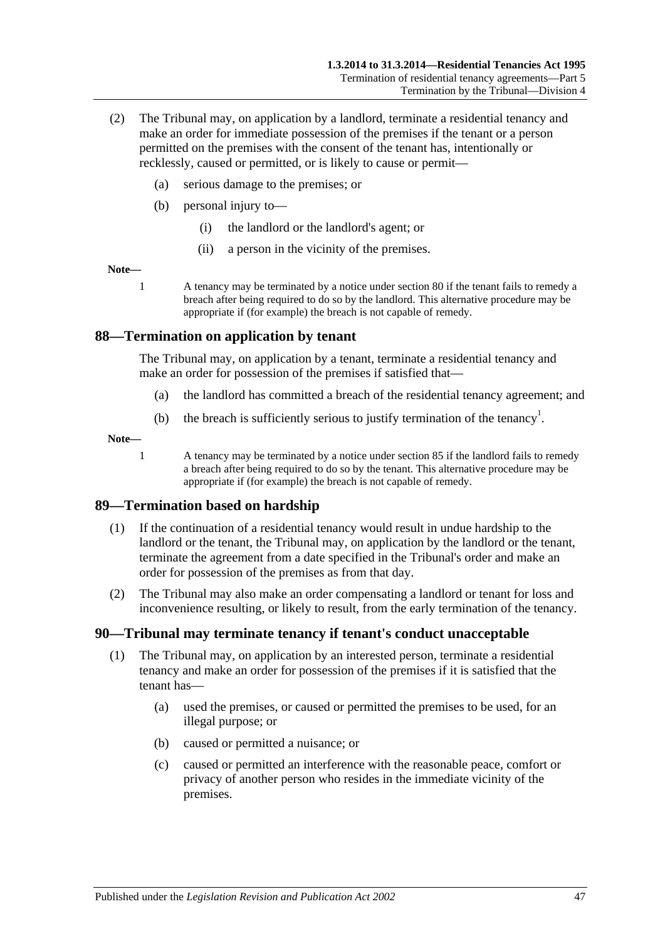- (2) The Tribunal may, on application by a landlord, terminate a residential tenancy and make an order for immediate possession of the premises if the tenant or a person permitted on the premises with the consent of the tenant has, intentionally or recklessly, caused or permitted, or is likely to cause or permit—
	- (a) serious damage to the premises; or
	- (b) personal injury to—
		- (i) the landlord or the landlord's agent; or
		- (ii) a person in the vicinity of the premises.

#### **Note—**

1 A tenancy may be terminated by a notice under [section](#page-40-0) 80 if the tenant fails to remedy a breach after being required to do so by the landlord. This alternative procedure may be appropriate if (for example) the breach is not capable of remedy.

### **88—Termination on application by tenant**

The Tribunal may, on application by a tenant, terminate a residential tenancy and make an order for possession of the premises if satisfied that—

- (a) the landlord has committed a breach of the residential tenancy agreement; and
- (b) the breach is sufficiently serious to justify termination of the tenancy<sup>1</sup>.

#### **Note—**

1 A tenancy may be terminated by a notice under [section](#page-44-0) 85 if the landlord fails to remedy a breach after being required to do so by the tenant. This alternative procedure may be appropriate if (for example) the breach is not capable of remedy.

## **89—Termination based on hardship**

- (1) If the continuation of a residential tenancy would result in undue hardship to the landlord or the tenant, the Tribunal may, on application by the landlord or the tenant, terminate the agreement from a date specified in the Tribunal's order and make an order for possession of the premises as from that day.
- (2) The Tribunal may also make an order compensating a landlord or tenant for loss and inconvenience resulting, or likely to result, from the early termination of the tenancy.

## **90—Tribunal may terminate tenancy if tenant's conduct unacceptable**

- (1) The Tribunal may, on application by an interested person, terminate a residential tenancy and make an order for possession of the premises if it is satisfied that the tenant has—
	- (a) used the premises, or caused or permitted the premises to be used, for an illegal purpose; or
	- (b) caused or permitted a nuisance; or
	- (c) caused or permitted an interference with the reasonable peace, comfort or privacy of another person who resides in the immediate vicinity of the premises.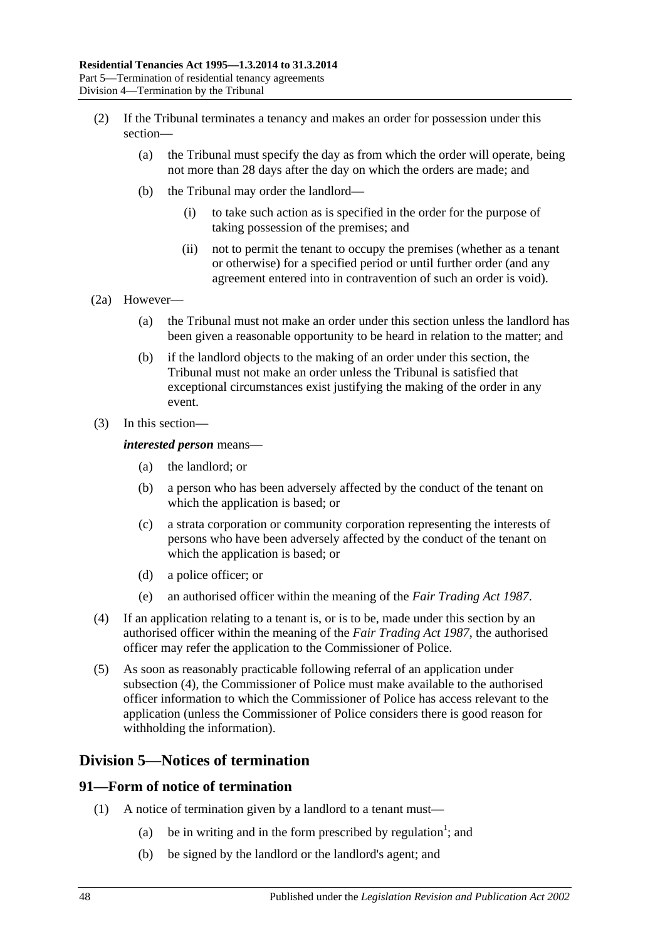- (2) If the Tribunal terminates a tenancy and makes an order for possession under this section—
	- (a) the Tribunal must specify the day as from which the order will operate, being not more than 28 days after the day on which the orders are made; and
	- (b) the Tribunal may order the landlord—
		- (i) to take such action as is specified in the order for the purpose of taking possession of the premises; and
		- (ii) not to permit the tenant to occupy the premises (whether as a tenant or otherwise) for a specified period or until further order (and any agreement entered into in contravention of such an order is void).
- (2a) However—
	- (a) the Tribunal must not make an order under this section unless the landlord has been given a reasonable opportunity to be heard in relation to the matter; and
	- (b) if the landlord objects to the making of an order under this section, the Tribunal must not make an order unless the Tribunal is satisfied that exceptional circumstances exist justifying the making of the order in any event.
- (3) In this section—

#### *interested person* means—

- (a) the landlord; or
- (b) a person who has been adversely affected by the conduct of the tenant on which the application is based; or
- (c) a strata corporation or community corporation representing the interests of persons who have been adversely affected by the conduct of the tenant on which the application is based; or
- (d) a police officer; or
- (e) an authorised officer within the meaning of the *[Fair Trading Act](http://www.legislation.sa.gov.au/index.aspx?action=legref&type=act&legtitle=Fair%20Trading%20Act%201987) 1987*.
- (4) If an application relating to a tenant is, or is to be, made under this section by an authorised officer within the meaning of the *[Fair Trading Act](http://www.legislation.sa.gov.au/index.aspx?action=legref&type=act&legtitle=Fair%20Trading%20Act%201987) 1987*, the authorised officer may refer the application to the Commissioner of Police.
- (5) As soon as reasonably practicable following referral of an application under subsection (4), the Commissioner of Police must make available to the authorised officer information to which the Commissioner of Police has access relevant to the application (unless the Commissioner of Police considers there is good reason for withholding the information).

## **Division 5—Notices of termination**

#### **91—Form of notice of termination**

- (1) A notice of termination given by a landlord to a tenant must—
	- (a) be in writing and in the form prescribed by regulation<sup>1</sup>; and
	- (b) be signed by the landlord or the landlord's agent; and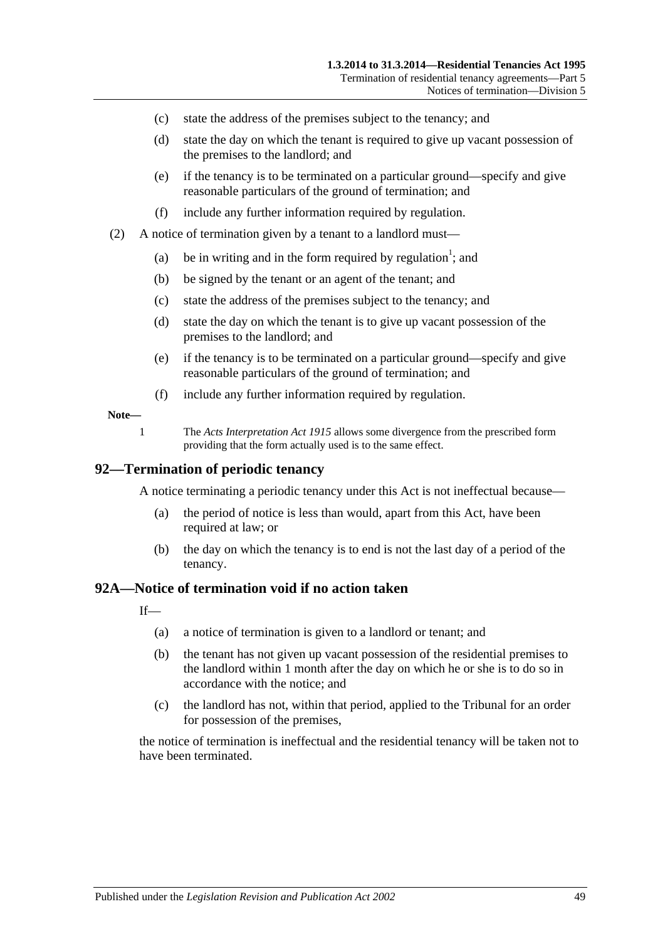- (c) state the address of the premises subject to the tenancy; and
- (d) state the day on which the tenant is required to give up vacant possession of the premises to the landlord; and
- (e) if the tenancy is to be terminated on a particular ground—specify and give reasonable particulars of the ground of termination; and
- (f) include any further information required by regulation.
- (2) A notice of termination given by a tenant to a landlord must—
	- (a) be in writing and in the form required by regulation<sup>1</sup>; and
	- (b) be signed by the tenant or an agent of the tenant; and
	- (c) state the address of the premises subject to the tenancy; and
	- (d) state the day on which the tenant is to give up vacant possession of the premises to the landlord; and
	- (e) if the tenancy is to be terminated on a particular ground—specify and give reasonable particulars of the ground of termination; and
	- (f) include any further information required by regulation.

#### **Note—**

1 The *[Acts Interpretation Act](http://www.legislation.sa.gov.au/index.aspx?action=legref&type=act&legtitle=Acts%20Interpretation%20Act%201915) 1915* allows some divergence from the prescribed form providing that the form actually used is to the same effect.

#### **92—Termination of periodic tenancy**

A notice terminating a periodic tenancy under this Act is not ineffectual because—

- (a) the period of notice is less than would, apart from this Act, have been required at law; or
- (b) the day on which the tenancy is to end is not the last day of a period of the tenancy.

#### <span id="page-48-0"></span>**92A—Notice of termination void if no action taken**

 $If$ <sub>—</sub>

- (a) a notice of termination is given to a landlord or tenant; and
- (b) the tenant has not given up vacant possession of the residential premises to the landlord within 1 month after the day on which he or she is to do so in accordance with the notice; and
- (c) the landlord has not, within that period, applied to the Tribunal for an order for possession of the premises,

the notice of termination is ineffectual and the residential tenancy will be taken not to have been terminated.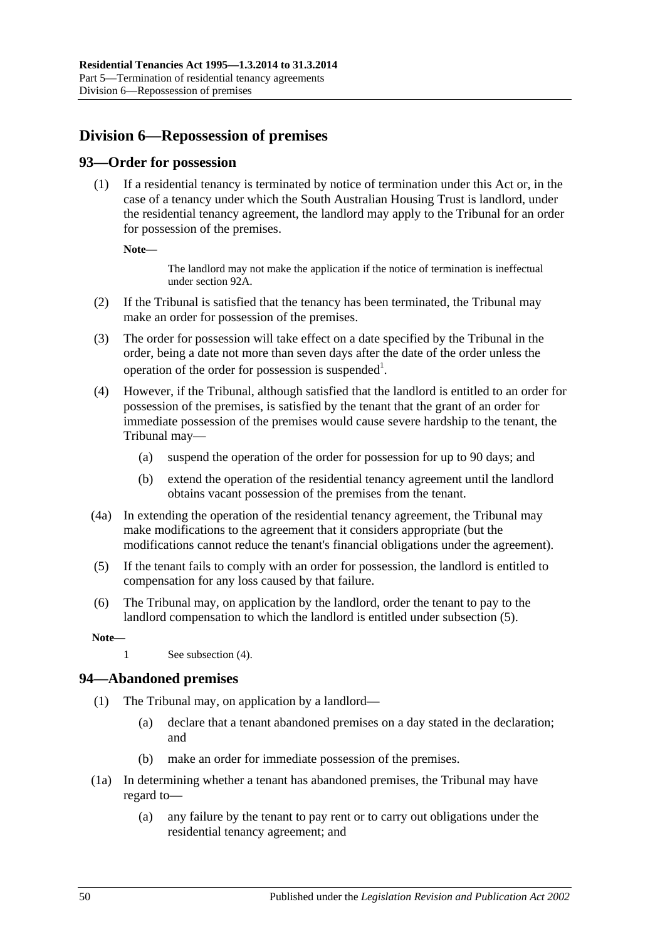## **Division 6—Repossession of premises**

## **93—Order for possession**

(1) If a residential tenancy is terminated by notice of termination under this Act or, in the case of a tenancy under which the South Australian Housing Trust is landlord, under the residential tenancy agreement, the landlord may apply to the Tribunal for an order for possession of the premises.

**Note—**

The landlord may not make the application if the notice of termination is ineffectual unde[r section](#page-48-0) 92A.

- (2) If the Tribunal is satisfied that the tenancy has been terminated, the Tribunal may make an order for possession of the premises.
- (3) The order for possession will take effect on a date specified by the Tribunal in the order, being a date not more than seven days after the date of the order unless the operation of the order for possession is suspended<sup>1</sup>.
- <span id="page-49-1"></span>(4) However, if the Tribunal, although satisfied that the landlord is entitled to an order for possession of the premises, is satisfied by the tenant that the grant of an order for immediate possession of the premises would cause severe hardship to the tenant, the Tribunal may—
	- (a) suspend the operation of the order for possession for up to 90 days; and
	- (b) extend the operation of the residential tenancy agreement until the landlord obtains vacant possession of the premises from the tenant.
- (4a) In extending the operation of the residential tenancy agreement, the Tribunal may make modifications to the agreement that it considers appropriate (but the modifications cannot reduce the tenant's financial obligations under the agreement).
- <span id="page-49-0"></span>(5) If the tenant fails to comply with an order for possession, the landlord is entitled to compensation for any loss caused by that failure.
- (6) The Tribunal may, on application by the landlord, order the tenant to pay to the landlord compensation to which the landlord is entitled under [subsection](#page-49-0) (5).

**Note—**

1 See [subsection](#page-49-1) (4).

## **94—Abandoned premises**

- (1) The Tribunal may, on application by a landlord—
	- (a) declare that a tenant abandoned premises on a day stated in the declaration; and
	- (b) make an order for immediate possession of the premises.
- (1a) In determining whether a tenant has abandoned premises, the Tribunal may have regard to—
	- (a) any failure by the tenant to pay rent or to carry out obligations under the residential tenancy agreement; and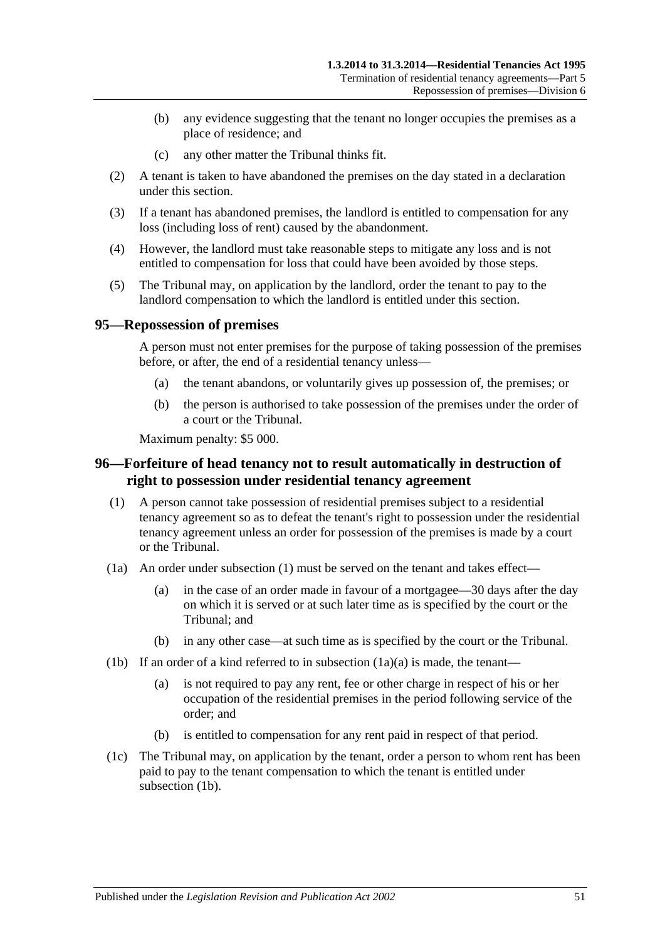- (b) any evidence suggesting that the tenant no longer occupies the premises as a place of residence; and
- (c) any other matter the Tribunal thinks fit.
- (2) A tenant is taken to have abandoned the premises on the day stated in a declaration under this section.
- (3) If a tenant has abandoned premises, the landlord is entitled to compensation for any loss (including loss of rent) caused by the abandonment.
- (4) However, the landlord must take reasonable steps to mitigate any loss and is not entitled to compensation for loss that could have been avoided by those steps.
- (5) The Tribunal may, on application by the landlord, order the tenant to pay to the landlord compensation to which the landlord is entitled under this section.

#### **95—Repossession of premises**

A person must not enter premises for the purpose of taking possession of the premises before, or after, the end of a residential tenancy unless—

- (a) the tenant abandons, or voluntarily gives up possession of, the premises; or
- (b) the person is authorised to take possession of the premises under the order of a court or the Tribunal.

Maximum penalty: \$5 000.

## <span id="page-50-0"></span>**96—Forfeiture of head tenancy not to result automatically in destruction of right to possession under residential tenancy agreement**

- <span id="page-50-1"></span>(1) A person cannot take possession of residential premises subject to a residential tenancy agreement so as to defeat the tenant's right to possession under the residential tenancy agreement unless an order for possession of the premises is made by a court or the Tribunal.
- (1a) An order under [subsection](#page-50-1) (1) must be served on the tenant and takes effect—
	- (a) in the case of an order made in favour of a mortgagee—30 days after the day on which it is served or at such later time as is specified by the court or the Tribunal; and
	- (b) in any other case—at such time as is specified by the court or the Tribunal.
- (1b) If an order of a kind referred to in subsection  $(1a)(a)$  is made, the tenant—
	- (a) is not required to pay any rent, fee or other charge in respect of his or her occupation of the residential premises in the period following service of the order; and
	- (b) is entitled to compensation for any rent paid in respect of that period.
- (1c) The Tribunal may, on application by the tenant, order a person to whom rent has been paid to pay to the tenant compensation to which the tenant is entitled under subsection (1b).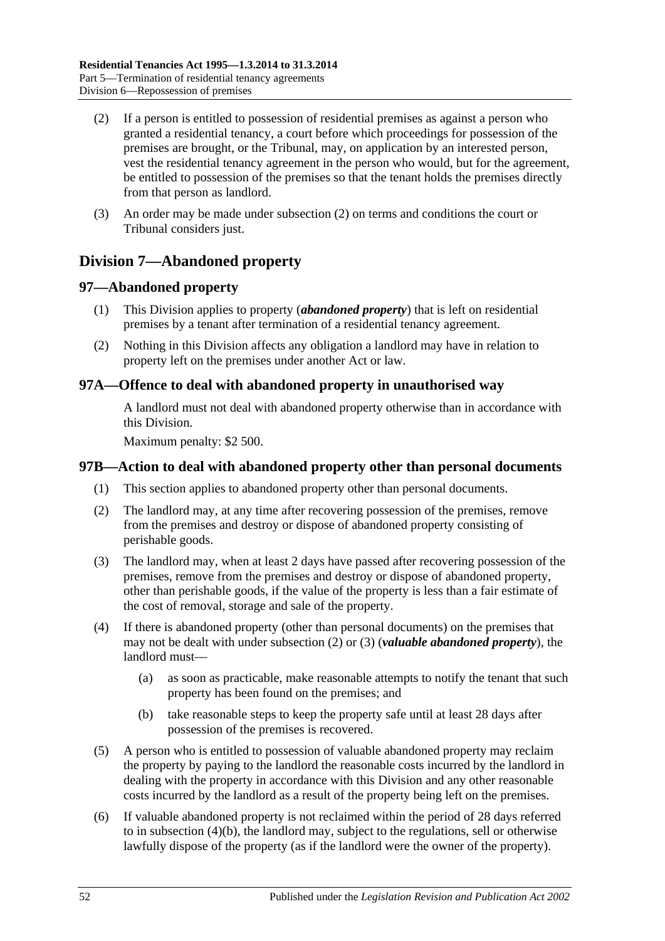- <span id="page-51-0"></span>(2) If a person is entitled to possession of residential premises as against a person who granted a residential tenancy, a court before which proceedings for possession of the premises are brought, or the Tribunal, may, on application by an interested person, vest the residential tenancy agreement in the person who would, but for the agreement, be entitled to possession of the premises so that the tenant holds the premises directly from that person as landlord.
- (3) An order may be made under [subsection](#page-51-0) (2) on terms and conditions the court or Tribunal considers just.

## **Division 7—Abandoned property**

## **97—Abandoned property**

- (1) This Division applies to property (*abandoned property*) that is left on residential premises by a tenant after termination of a residential tenancy agreement.
- (2) Nothing in this Division affects any obligation a landlord may have in relation to property left on the premises under another Act or law.

## **97A—Offence to deal with abandoned property in unauthorised way**

A landlord must not deal with abandoned property otherwise than in accordance with this Division.

Maximum penalty: \$2 500.

## **97B—Action to deal with abandoned property other than personal documents**

- (1) This section applies to abandoned property other than personal documents.
- <span id="page-51-1"></span>(2) The landlord may, at any time after recovering possession of the premises, remove from the premises and destroy or dispose of abandoned property consisting of perishable goods.
- <span id="page-51-2"></span>(3) The landlord may, when at least 2 days have passed after recovering possession of the premises, remove from the premises and destroy or dispose of abandoned property, other than perishable goods, if the value of the property is less than a fair estimate of the cost of removal, storage and sale of the property.
- (4) If there is abandoned property (other than personal documents) on the premises that may not be dealt with under [subsection](#page-51-1) (2) or [\(3\)](#page-51-2) (*valuable abandoned property*), the landlord must—
	- (a) as soon as practicable, make reasonable attempts to notify the tenant that such property has been found on the premises; and
	- (b) take reasonable steps to keep the property safe until at least 28 days after possession of the premises is recovered.
- <span id="page-51-3"></span>(5) A person who is entitled to possession of valuable abandoned property may reclaim the property by paying to the landlord the reasonable costs incurred by the landlord in dealing with the property in accordance with this Division and any other reasonable costs incurred by the landlord as a result of the property being left on the premises.
- (6) If valuable abandoned property is not reclaimed within the period of 28 days referred to in [subsection](#page-51-3) (4)(b), the landlord may, subject to the regulations, sell or otherwise lawfully dispose of the property (as if the landlord were the owner of the property).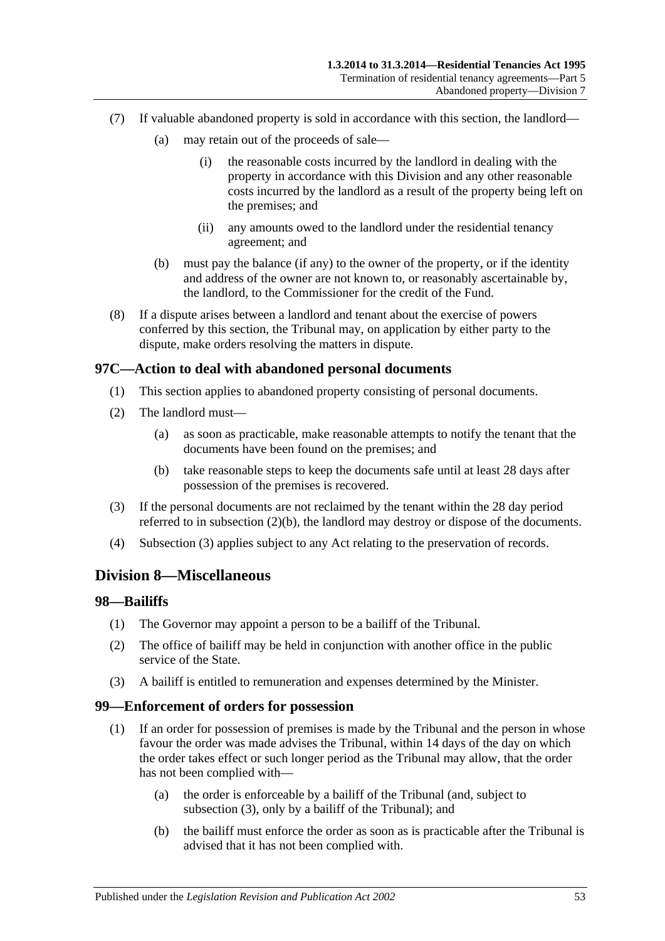- (7) If valuable abandoned property is sold in accordance with this section, the landlord—
	- (a) may retain out of the proceeds of sale—
		- (i) the reasonable costs incurred by the landlord in dealing with the property in accordance with this Division and any other reasonable costs incurred by the landlord as a result of the property being left on the premises; and
		- (ii) any amounts owed to the landlord under the residential tenancy agreement; and
	- (b) must pay the balance (if any) to the owner of the property, or if the identity and address of the owner are not known to, or reasonably ascertainable by, the landlord, to the Commissioner for the credit of the Fund.
- (8) If a dispute arises between a landlord and tenant about the exercise of powers conferred by this section, the Tribunal may, on application by either party to the dispute, make orders resolving the matters in dispute.

## **97C—Action to deal with abandoned personal documents**

- (1) This section applies to abandoned property consisting of personal documents.
- (2) The landlord must—
	- (a) as soon as practicable, make reasonable attempts to notify the tenant that the documents have been found on the premises; and
	- (b) take reasonable steps to keep the documents safe until at least 28 days after possession of the premises is recovered.
- <span id="page-52-1"></span><span id="page-52-0"></span>(3) If the personal documents are not reclaimed by the tenant within the 28 day period referred to in [subsection](#page-52-0) (2)(b), the landlord may destroy or dispose of the documents.
- (4) [Subsection](#page-52-1) (3) applies subject to any Act relating to the preservation of records.

## **Division 8—Miscellaneous**

#### **98—Bailiffs**

- (1) The Governor may appoint a person to be a bailiff of the Tribunal.
- (2) The office of bailiff may be held in conjunction with another office in the public service of the State.
- (3) A bailiff is entitled to remuneration and expenses determined by the Minister.

#### **99—Enforcement of orders for possession**

- (1) If an order for possession of premises is made by the Tribunal and the person in whose favour the order was made advises the Tribunal, within 14 days of the day on which the order takes effect or such longer period as the Tribunal may allow, that the order has not been complied with—
	- (a) the order is enforceable by a bailiff of the Tribunal (and, subject to subsection (3), only by a bailiff of the Tribunal); and
	- (b) the bailiff must enforce the order as soon as is practicable after the Tribunal is advised that it has not been complied with.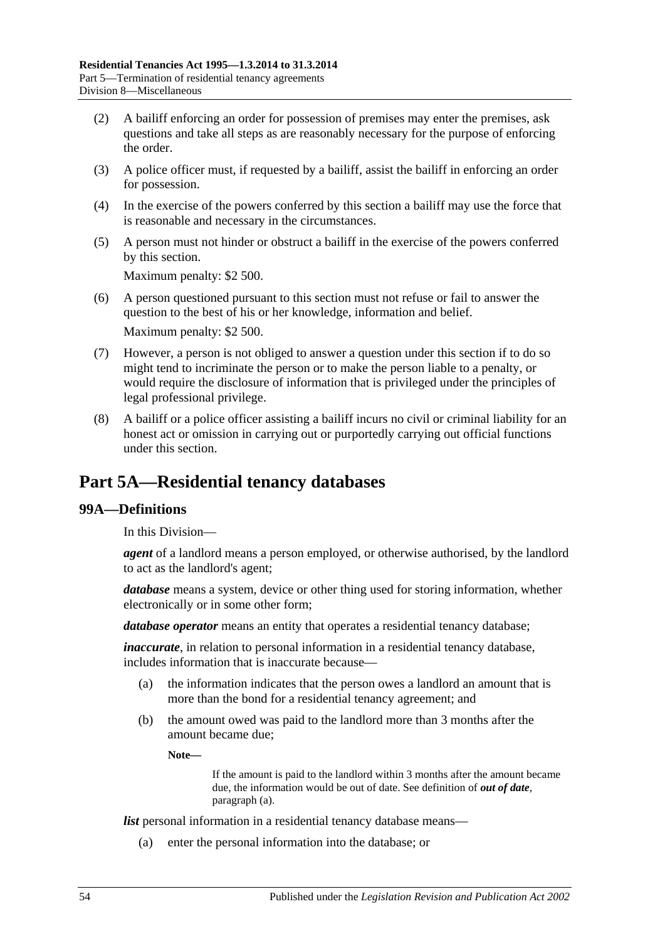- (2) A bailiff enforcing an order for possession of premises may enter the premises, ask questions and take all steps as are reasonably necessary for the purpose of enforcing the order.
- (3) A police officer must, if requested by a bailiff, assist the bailiff in enforcing an order for possession.
- (4) In the exercise of the powers conferred by this section a bailiff may use the force that is reasonable and necessary in the circumstances.
- (5) A person must not hinder or obstruct a bailiff in the exercise of the powers conferred by this section.

Maximum penalty: \$2 500.

- (6) A person questioned pursuant to this section must not refuse or fail to answer the question to the best of his or her knowledge, information and belief. Maximum penalty: \$2 500.
- (7) However, a person is not obliged to answer a question under this section if to do so might tend to incriminate the person or to make the person liable to a penalty, or would require the disclosure of information that is privileged under the principles of legal professional privilege.
- (8) A bailiff or a police officer assisting a bailiff incurs no civil or criminal liability for an honest act or omission in carrying out or purportedly carrying out official functions under this section.

# **Part 5A—Residential tenancy databases**

## **99A—Definitions**

In this Division—

*agent* of a landlord means a person employed, or otherwise authorised, by the landlord to act as the landlord's agent;

*database* means a system, device or other thing used for storing information, whether electronically or in some other form;

*database operator* means an entity that operates a residential tenancy database;

*inaccurate*, in relation to personal information in a residential tenancy database, includes information that is inaccurate because—

- (a) the information indicates that the person owes a landlord an amount that is more than the bond for a residential tenancy agreement; and
- (b) the amount owed was paid to the landlord more than 3 months after the amount became due;

**Note—**

If the amount is paid to the landlord within 3 months after the amount became due, the information would be out of date. See definition of *out of date*, [paragraph](#page-54-0) (a).

*list* personal information in a residential tenancy database means—

(a) enter the personal information into the database; or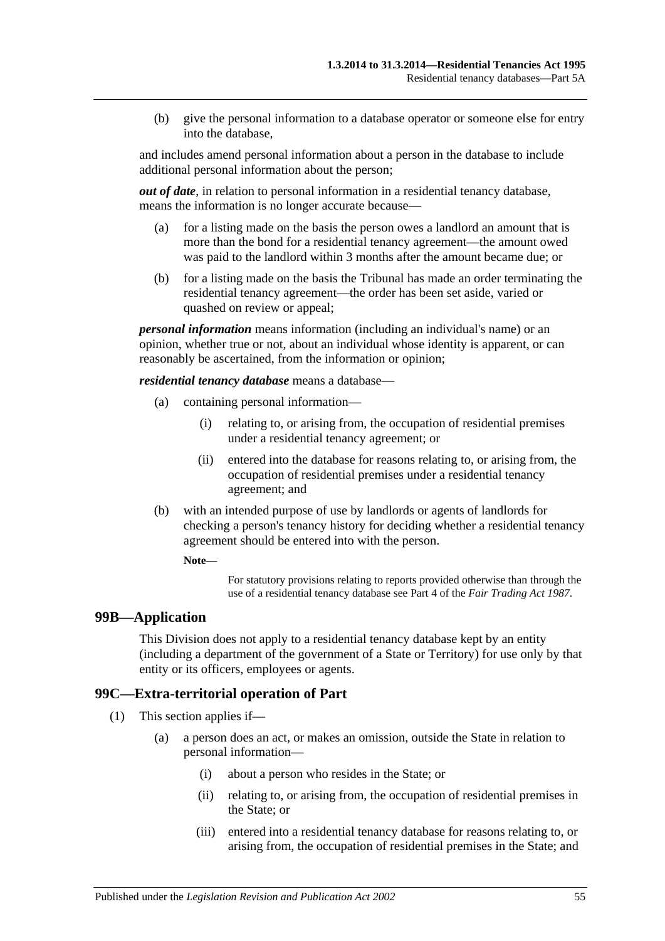(b) give the personal information to a database operator or someone else for entry into the database,

and includes amend personal information about a person in the database to include additional personal information about the person;

<span id="page-54-0"></span>*out of date*, in relation to personal information in a residential tenancy database, means the information is no longer accurate because—

- (a) for a listing made on the basis the person owes a landlord an amount that is more than the bond for a residential tenancy agreement—the amount owed was paid to the landlord within 3 months after the amount became due; or
- (b) for a listing made on the basis the Tribunal has made an order terminating the residential tenancy agreement—the order has been set aside, varied or quashed on review or appeal;

*personal information* means information (including an individual's name) or an opinion, whether true or not, about an individual whose identity is apparent, or can reasonably be ascertained, from the information or opinion;

*residential tenancy database* means a database—

- (a) containing personal information—
	- (i) relating to, or arising from, the occupation of residential premises under a residential tenancy agreement; or
	- (ii) entered into the database for reasons relating to, or arising from, the occupation of residential premises under a residential tenancy agreement; and
- (b) with an intended purpose of use by landlords or agents of landlords for checking a person's tenancy history for deciding whether a residential tenancy agreement should be entered into with the person.

#### **Note—**

For statutory provisions relating to reports provided otherwise than through the use of a residential tenancy database see Part 4 of the *[Fair Trading Act](http://www.legislation.sa.gov.au/index.aspx?action=legref&type=act&legtitle=Fair%20Trading%20Act%201987) 1987*.

#### **99B—Application**

This Division does not apply to a residential tenancy database kept by an entity (including a department of the government of a State or Territory) for use only by that entity or its officers, employees or agents.

#### **99C—Extra-territorial operation of Part**

- (1) This section applies if—
	- (a) a person does an act, or makes an omission, outside the State in relation to personal information—
		- (i) about a person who resides in the State; or
		- (ii) relating to, or arising from, the occupation of residential premises in the State; or
		- (iii) entered into a residential tenancy database for reasons relating to, or arising from, the occupation of residential premises in the State; and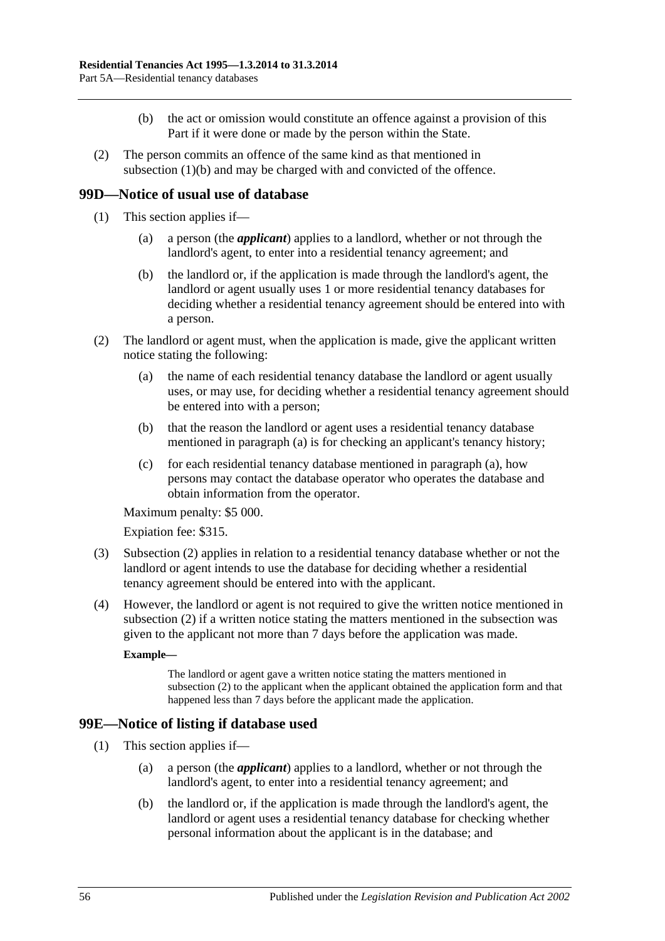- (b) the act or omission would constitute an offence against a provision of this Part if it were done or made by the person within the State.
- <span id="page-55-0"></span>(2) The person commits an offence of the same kind as that mentioned in [subsection](#page-55-0) (1)(b) and may be charged with and convicted of the offence.

## **99D—Notice of usual use of database**

- (1) This section applies if—
	- (a) a person (the *applicant*) applies to a landlord, whether or not through the landlord's agent, to enter into a residential tenancy agreement; and
	- (b) the landlord or, if the application is made through the landlord's agent, the landlord or agent usually uses 1 or more residential tenancy databases for deciding whether a residential tenancy agreement should be entered into with a person.
- <span id="page-55-2"></span><span id="page-55-1"></span>(2) The landlord or agent must, when the application is made, give the applicant written notice stating the following:
	- (a) the name of each residential tenancy database the landlord or agent usually uses, or may use, for deciding whether a residential tenancy agreement should be entered into with a person;
	- (b) that the reason the landlord or agent uses a residential tenancy database mentioned in [paragraph](#page-55-1) (a) is for checking an applicant's tenancy history;
	- (c) for each residential tenancy database mentioned in [paragraph](#page-55-1) (a), how persons may contact the database operator who operates the database and obtain information from the operator.

Maximum penalty: \$5 000.

Expiation fee: \$315.

- (3) [Subsection](#page-55-2) (2) applies in relation to a residential tenancy database whether or not the landlord or agent intends to use the database for deciding whether a residential tenancy agreement should be entered into with the applicant.
- (4) However, the landlord or agent is not required to give the written notice mentioned in [subsection](#page-55-2) (2) if a written notice stating the matters mentioned in the subsection was given to the applicant not more than 7 days before the application was made.

#### **Example—**

The landlord or agent gave a written notice stating the matters mentioned in [subsection](#page-55-2) (2) to the applicant when the applicant obtained the application form and that happened less than 7 days before the applicant made the application.

## **99E—Notice of listing if database used**

- (1) This section applies if—
	- (a) a person (the *applicant*) applies to a landlord, whether or not through the landlord's agent, to enter into a residential tenancy agreement; and
	- (b) the landlord or, if the application is made through the landlord's agent, the landlord or agent uses a residential tenancy database for checking whether personal information about the applicant is in the database; and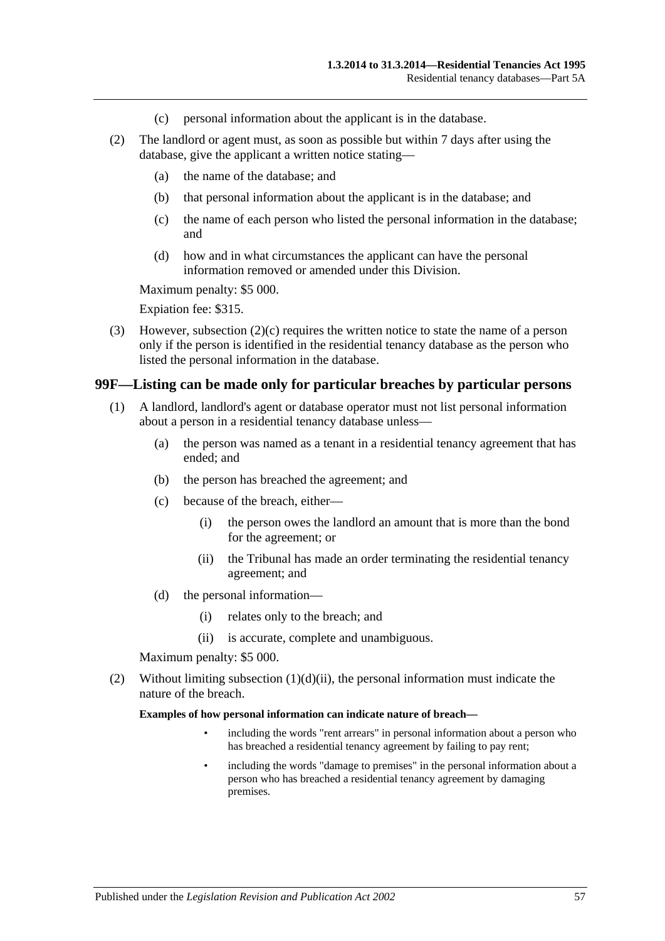- (c) personal information about the applicant is in the database.
- <span id="page-56-0"></span>(2) The landlord or agent must, as soon as possible but within 7 days after using the database, give the applicant a written notice stating—
	- (a) the name of the database; and
	- (b) that personal information about the applicant is in the database; and
	- (c) the name of each person who listed the personal information in the database; and
	- (d) how and in what circumstances the applicant can have the personal information removed or amended under this Division.

Maximum penalty: \$5 000.

Expiation fee: \$315.

(3) However, [subsection](#page-56-0) (2)(c) requires the written notice to state the name of a person only if the person is identified in the residential tenancy database as the person who listed the personal information in the database.

#### **99F—Listing can be made only for particular breaches by particular persons**

- (1) A landlord, landlord's agent or database operator must not list personal information about a person in a residential tenancy database unless—
	- (a) the person was named as a tenant in a residential tenancy agreement that has ended; and
	- (b) the person has breached the agreement; and
	- (c) because of the breach, either—
		- (i) the person owes the landlord an amount that is more than the bond for the agreement; or
		- (ii) the Tribunal has made an order terminating the residential tenancy agreement; and
	- (d) the personal information—
		- (i) relates only to the breach; and
		- (ii) is accurate, complete and unambiguous.

Maximum penalty: \$5 000.

<span id="page-56-1"></span>(2) Without limiting [subsection](#page-56-1)  $(1)(d)(ii)$ , the personal information must indicate the nature of the breach.

#### **Examples of how personal information can indicate nature of breach—**

- including the words "rent arrears" in personal information about a person who has breached a residential tenancy agreement by failing to pay rent;
- including the words "damage to premises" in the personal information about a person who has breached a residential tenancy agreement by damaging premises.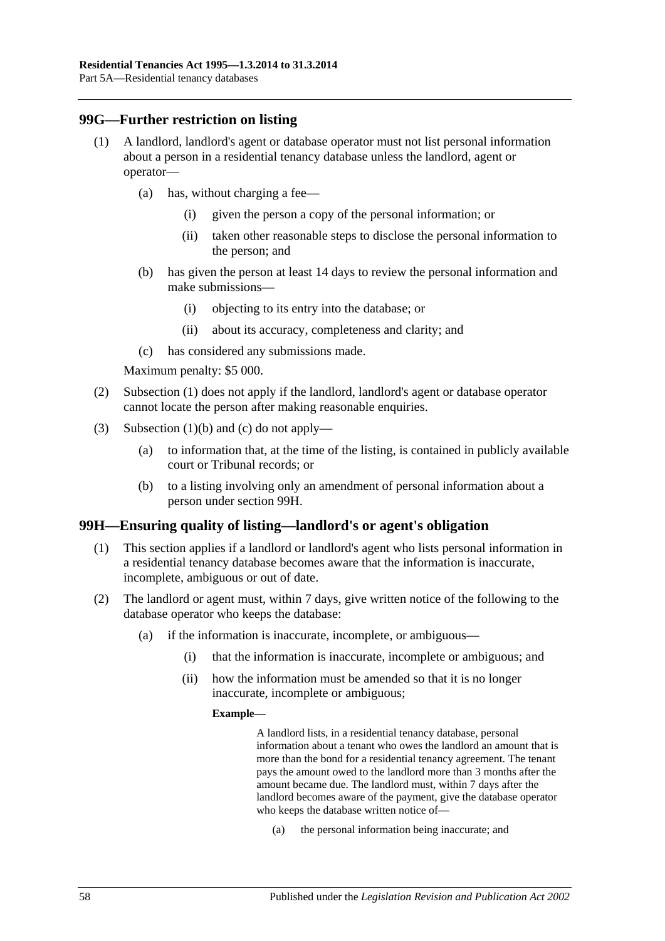## <span id="page-57-0"></span>**99G—Further restriction on listing**

- (1) A landlord, landlord's agent or database operator must not list personal information about a person in a residential tenancy database unless the landlord, agent or operator—
	- (a) has, without charging a fee—
		- (i) given the person a copy of the personal information; or
		- (ii) taken other reasonable steps to disclose the personal information to the person; and
	- (b) has given the person at least 14 days to review the personal information and make submissions—
		- (i) objecting to its entry into the database; or
		- (ii) about its accuracy, completeness and clarity; and
	- (c) has considered any submissions made.

<span id="page-57-1"></span>Maximum penalty: \$5 000.

- <span id="page-57-2"></span>(2) [Subsection](#page-57-0) (1) does not apply if the landlord, landlord's agent or database operator cannot locate the person after making reasonable enquiries.
- (3) [Subsection](#page-57-1) (1)(b) and [\(c\)](#page-57-2) do not apply—
	- (a) to information that, at the time of the listing, is contained in publicly available court or Tribunal records; or
	- (b) to a listing involving only an amendment of personal information about a person under [section](#page-57-3) 99H.

#### <span id="page-57-3"></span>**99H—Ensuring quality of listing—landlord's or agent's obligation**

- (1) This section applies if a landlord or landlord's agent who lists personal information in a residential tenancy database becomes aware that the information is inaccurate, incomplete, ambiguous or out of date.
- <span id="page-57-4"></span>(2) The landlord or agent must, within 7 days, give written notice of the following to the database operator who keeps the database:
	- (a) if the information is inaccurate, incomplete, or ambiguous—
		- (i) that the information is inaccurate, incomplete or ambiguous; and
		- (ii) how the information must be amended so that it is no longer inaccurate, incomplete or ambiguous;

#### **Example—**

A landlord lists, in a residential tenancy database, personal information about a tenant who owes the landlord an amount that is more than the bond for a residential tenancy agreement. The tenant pays the amount owed to the landlord more than 3 months after the amount became due. The landlord must, within 7 days after the landlord becomes aware of the payment, give the database operator who keeps the database written notice of—

(a) the personal information being inaccurate; and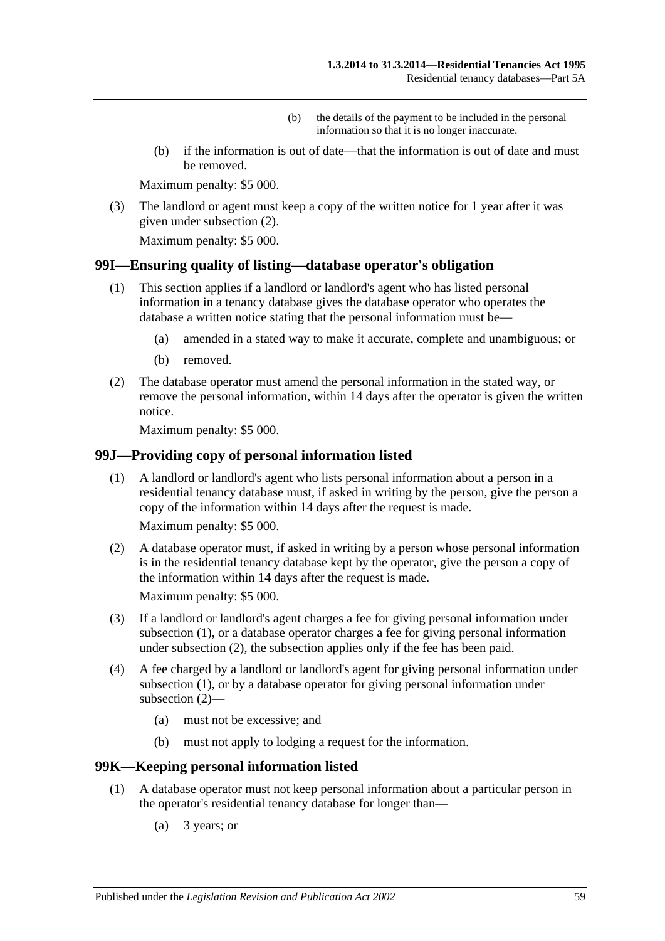- (b) the details of the payment to be included in the personal information so that it is no longer inaccurate.
- (b) if the information is out of date—that the information is out of date and must be removed.

Maximum penalty: \$5 000.

(3) The landlord or agent must keep a copy of the written notice for 1 year after it was given under [subsection](#page-57-4) (2).

Maximum penalty: \$5 000.

#### **99I—Ensuring quality of listing—database operator's obligation**

- (1) This section applies if a landlord or landlord's agent who has listed personal information in a tenancy database gives the database operator who operates the database a written notice stating that the personal information must be—
	- (a) amended in a stated way to make it accurate, complete and unambiguous; or
	- (b) removed.
- (2) The database operator must amend the personal information in the stated way, or remove the personal information, within 14 days after the operator is given the written notice.

Maximum penalty: \$5 000.

#### <span id="page-58-0"></span>**99J—Providing copy of personal information listed**

(1) A landlord or landlord's agent who lists personal information about a person in a residential tenancy database must, if asked in writing by the person, give the person a copy of the information within 14 days after the request is made.

Maximum penalty: \$5 000.

<span id="page-58-1"></span>(2) A database operator must, if asked in writing by a person whose personal information is in the residential tenancy database kept by the operator, give the person a copy of the information within 14 days after the request is made.

Maximum penalty: \$5 000.

- (3) If a landlord or landlord's agent charges a fee for giving personal information under [subsection](#page-58-0) (1), or a database operator charges a fee for giving personal information under [subsection](#page-58-1) (2), the subsection applies only if the fee has been paid.
- (4) A fee charged by a landlord or landlord's agent for giving personal information under [subsection](#page-58-0) (1), or by a database operator for giving personal information under [subsection](#page-58-1) (2)—
	- (a) must not be excessive; and
	- (b) must not apply to lodging a request for the information.

#### <span id="page-58-3"></span>**99K—Keeping personal information listed**

- <span id="page-58-2"></span>(1) A database operator must not keep personal information about a particular person in the operator's residential tenancy database for longer than—
	- (a) 3 years; or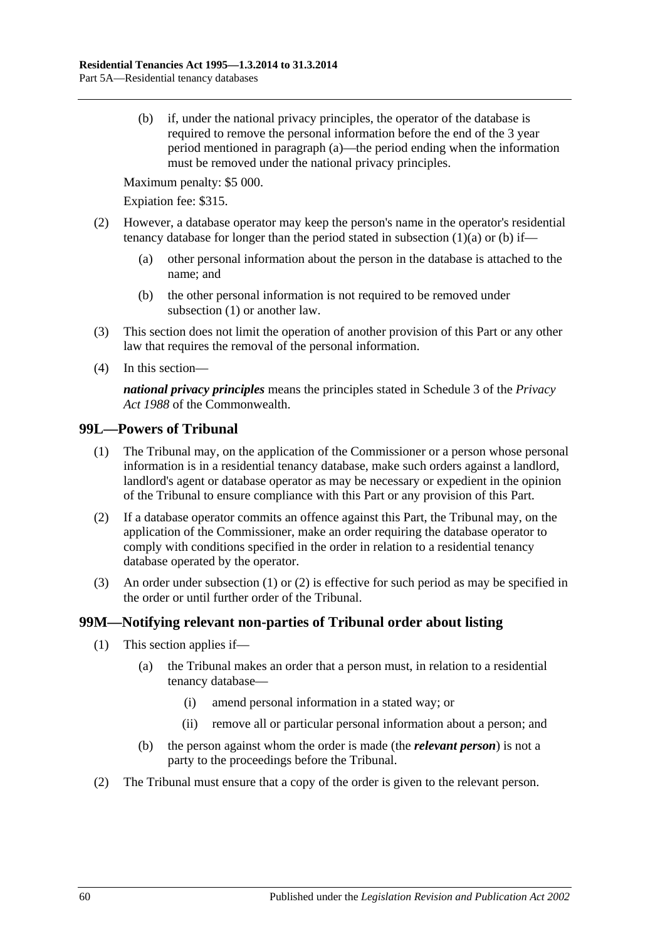<span id="page-59-0"></span>(b) if, under the national privacy principles, the operator of the database is required to remove the personal information before the end of the 3 year period mentioned in [paragraph](#page-58-2) (a)—the period ending when the information must be removed under the national privacy principles.

Maximum penalty: \$5 000.

Expiation fee: \$315.

- (2) However, a database operator may keep the person's name in the operator's residential tenancy database for longer than the period stated in [subsection](#page-58-2)  $(1)(a)$  or  $(b)$  if—
	- (a) other personal information about the person in the database is attached to the name; and
	- (b) the other personal information is not required to be removed under [subsection](#page-58-3) (1) or another law.
- (3) This section does not limit the operation of another provision of this Part or any other law that requires the removal of the personal information.
- (4) In this section—

*national privacy principles* means the principles stated in Schedule 3 of the *Privacy Act 1988* of the Commonwealth.

#### <span id="page-59-1"></span>**99L—Powers of Tribunal**

- (1) The Tribunal may, on the application of the Commissioner or a person whose personal information is in a residential tenancy database, make such orders against a landlord, landlord's agent or database operator as may be necessary or expedient in the opinion of the Tribunal to ensure compliance with this Part or any provision of this Part.
- <span id="page-59-2"></span>(2) If a database operator commits an offence against this Part, the Tribunal may, on the application of the Commissioner, make an order requiring the database operator to comply with conditions specified in the order in relation to a residential tenancy database operated by the operator.
- (3) An order under [subsection](#page-59-1) (1) or [\(2\)](#page-59-2) is effective for such period as may be specified in the order or until further order of the Tribunal.

## **99M—Notifying relevant non-parties of Tribunal order about listing**

- (1) This section applies if—
	- (a) the Tribunal makes an order that a person must, in relation to a residential tenancy database—
		- (i) amend personal information in a stated way; or
		- (ii) remove all or particular personal information about a person; and
	- (b) the person against whom the order is made (the *relevant person*) is not a party to the proceedings before the Tribunal.
- (2) The Tribunal must ensure that a copy of the order is given to the relevant person.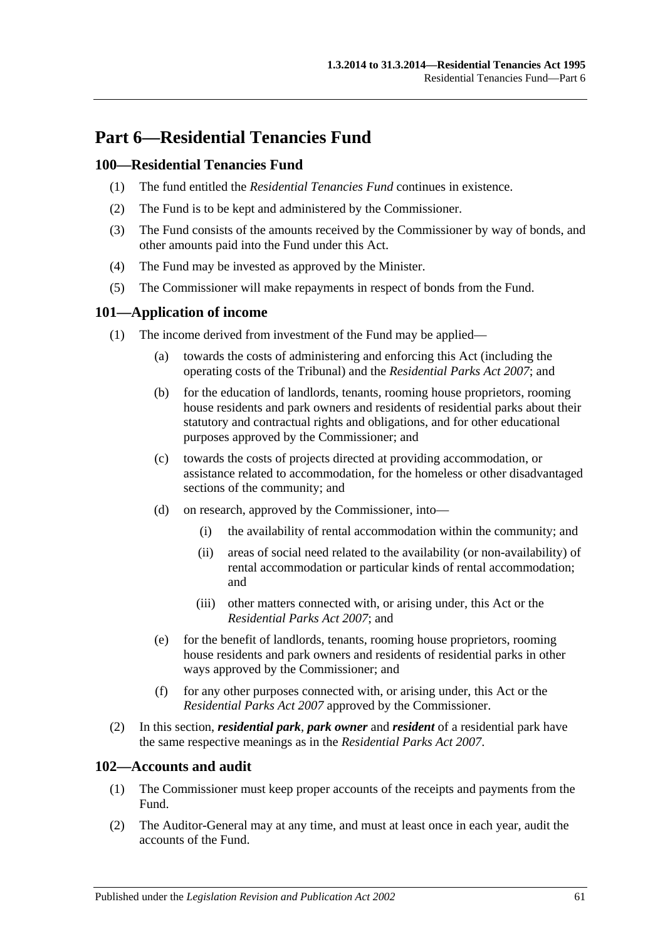# **Part 6—Residential Tenancies Fund**

## **100—Residential Tenancies Fund**

- (1) The fund entitled the *Residential Tenancies Fund* continues in existence.
- (2) The Fund is to be kept and administered by the Commissioner.
- (3) The Fund consists of the amounts received by the Commissioner by way of bonds, and other amounts paid into the Fund under this Act.
- (4) The Fund may be invested as approved by the Minister.
- (5) The Commissioner will make repayments in respect of bonds from the Fund.

## **101—Application of income**

- (1) The income derived from investment of the Fund may be applied—
	- (a) towards the costs of administering and enforcing this Act (including the operating costs of the Tribunal) and the *[Residential Parks Act](http://www.legislation.sa.gov.au/index.aspx?action=legref&type=act&legtitle=Residential%20Parks%20Act%202007) 2007*; and
	- (b) for the education of landlords, tenants, rooming house proprietors, rooming house residents and park owners and residents of residential parks about their statutory and contractual rights and obligations, and for other educational purposes approved by the Commissioner; and
	- (c) towards the costs of projects directed at providing accommodation, or assistance related to accommodation, for the homeless or other disadvantaged sections of the community; and
	- (d) on research, approved by the Commissioner, into—
		- (i) the availability of rental accommodation within the community; and
		- (ii) areas of social need related to the availability (or non-availability) of rental accommodation or particular kinds of rental accommodation; and
		- (iii) other matters connected with, or arising under, this Act or the *[Residential Parks Act](http://www.legislation.sa.gov.au/index.aspx?action=legref&type=act&legtitle=Residential%20Parks%20Act%202007) 2007*; and
	- (e) for the benefit of landlords, tenants, rooming house proprietors, rooming house residents and park owners and residents of residential parks in other ways approved by the Commissioner; and
	- (f) for any other purposes connected with, or arising under, this Act or the *[Residential Parks Act](http://www.legislation.sa.gov.au/index.aspx?action=legref&type=act&legtitle=Residential%20Parks%20Act%202007) 2007* approved by the Commissioner.
- (2) In this section, *residential park*, *park owner* and *resident* of a residential park have the same respective meanings as in the *[Residential Parks Act](http://www.legislation.sa.gov.au/index.aspx?action=legref&type=act&legtitle=Residential%20Parks%20Act%202007) 2007*.

## **102—Accounts and audit**

- (1) The Commissioner must keep proper accounts of the receipts and payments from the Fund.
- (2) The Auditor-General may at any time, and must at least once in each year, audit the accounts of the Fund.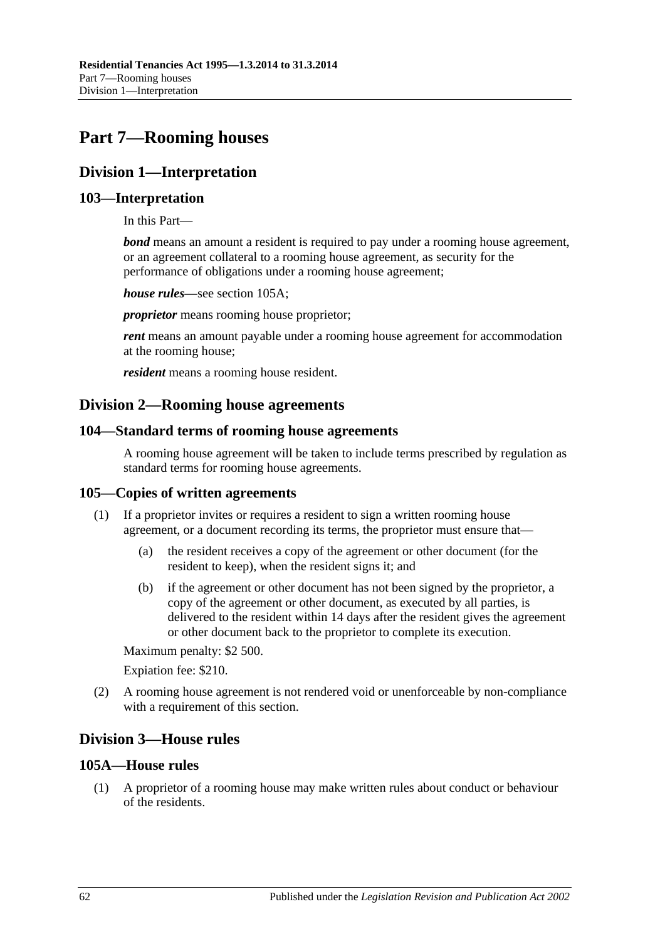# **Part 7—Rooming houses**

## **Division 1—Interpretation**

## **103—Interpretation**

In this Part—

*bond* means an amount a resident is required to pay under a rooming house agreement, or an agreement collateral to a rooming house agreement, as security for the performance of obligations under a rooming house agreement;

*house rules*—see [section](#page-61-0) 105A;

*proprietor* means rooming house proprietor;

*rent* means an amount payable under a rooming house agreement for accommodation at the rooming house;

*resident* means a rooming house resident.

## **Division 2—Rooming house agreements**

## **104—Standard terms of rooming house agreements**

A rooming house agreement will be taken to include terms prescribed by regulation as standard terms for rooming house agreements.

## **105—Copies of written agreements**

- (1) If a proprietor invites or requires a resident to sign a written rooming house agreement, or a document recording its terms, the proprietor must ensure that—
	- (a) the resident receives a copy of the agreement or other document (for the resident to keep), when the resident signs it; and
	- (b) if the agreement or other document has not been signed by the proprietor, a copy of the agreement or other document, as executed by all parties, is delivered to the resident within 14 days after the resident gives the agreement or other document back to the proprietor to complete its execution.

Maximum penalty: \$2 500.

Expiation fee: \$210.

(2) A rooming house agreement is not rendered void or unenforceable by non-compliance with a requirement of this section.

## **Division 3—House rules**

## <span id="page-61-0"></span>**105A—House rules**

(1) A proprietor of a rooming house may make written rules about conduct or behaviour of the residents.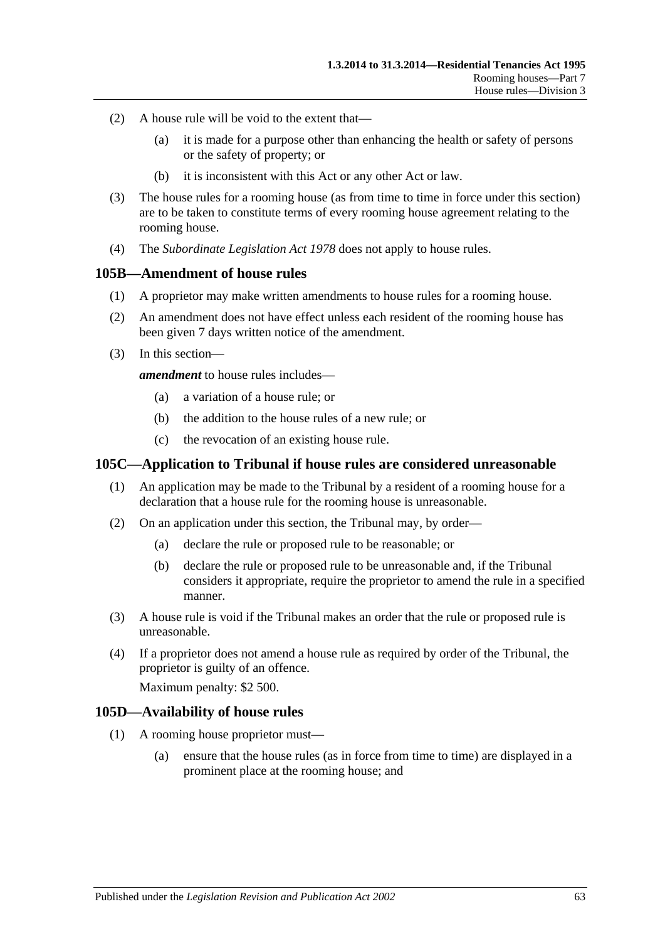- (2) A house rule will be void to the extent that—
	- (a) it is made for a purpose other than enhancing the health or safety of persons or the safety of property; or
	- (b) it is inconsistent with this Act or any other Act or law.
- (3) The house rules for a rooming house (as from time to time in force under this section) are to be taken to constitute terms of every rooming house agreement relating to the rooming house.
- (4) The *[Subordinate Legislation Act](http://www.legislation.sa.gov.au/index.aspx?action=legref&type=act&legtitle=Subordinate%20Legislation%20Act%201978) 1978* does not apply to house rules.

#### **105B—Amendment of house rules**

- (1) A proprietor may make written amendments to house rules for a rooming house.
- (2) An amendment does not have effect unless each resident of the rooming house has been given 7 days written notice of the amendment.
- (3) In this section—

*amendment* to house rules includes—

- (a) a variation of a house rule; or
- (b) the addition to the house rules of a new rule; or
- (c) the revocation of an existing house rule.

### **105C—Application to Tribunal if house rules are considered unreasonable**

- (1) An application may be made to the Tribunal by a resident of a rooming house for a declaration that a house rule for the rooming house is unreasonable.
- (2) On an application under this section, the Tribunal may, by order—
	- (a) declare the rule or proposed rule to be reasonable; or
	- (b) declare the rule or proposed rule to be unreasonable and, if the Tribunal considers it appropriate, require the proprietor to amend the rule in a specified manner.
- (3) A house rule is void if the Tribunal makes an order that the rule or proposed rule is unreasonable.
- (4) If a proprietor does not amend a house rule as required by order of the Tribunal, the proprietor is guilty of an offence.

Maximum penalty: \$2 500.

#### **105D—Availability of house rules**

- (1) A rooming house proprietor must—
	- (a) ensure that the house rules (as in force from time to time) are displayed in a prominent place at the rooming house; and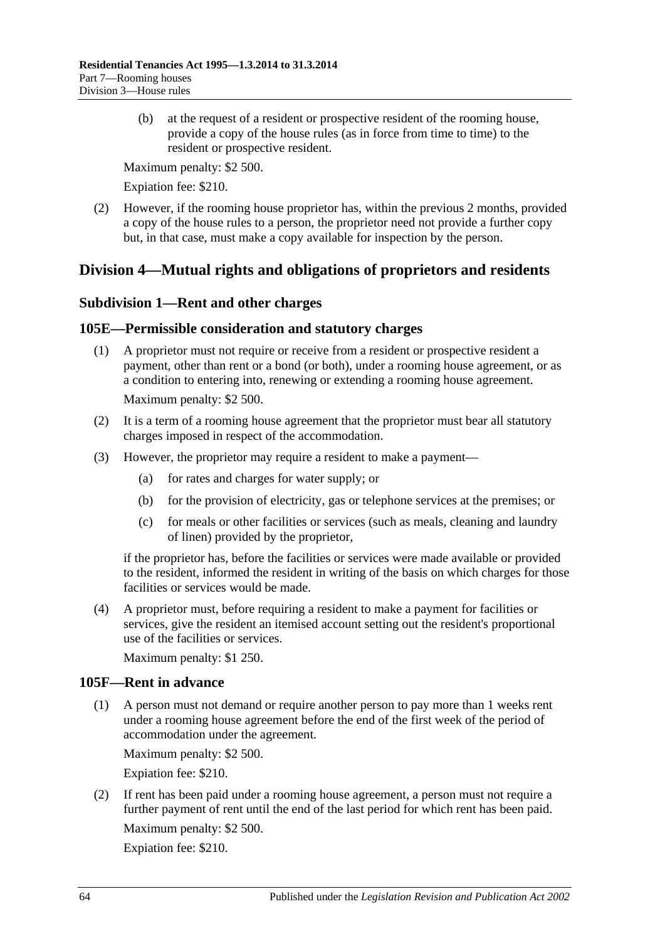(b) at the request of a resident or prospective resident of the rooming house, provide a copy of the house rules (as in force from time to time) to the resident or prospective resident.

Maximum penalty: \$2 500.

Expiation fee: \$210.

(2) However, if the rooming house proprietor has, within the previous 2 months, provided a copy of the house rules to a person, the proprietor need not provide a further copy but, in that case, must make a copy available for inspection by the person.

## **Division 4—Mutual rights and obligations of proprietors and residents**

## **Subdivision 1—Rent and other charges**

## **105E—Permissible consideration and statutory charges**

- (1) A proprietor must not require or receive from a resident or prospective resident a payment, other than rent or a bond (or both), under a rooming house agreement, or as a condition to entering into, renewing or extending a rooming house agreement. Maximum penalty: \$2 500.
- (2) It is a term of a rooming house agreement that the proprietor must bear all statutory charges imposed in respect of the accommodation.
- (3) However, the proprietor may require a resident to make a payment—
	- (a) for rates and charges for water supply; or
	- (b) for the provision of electricity, gas or telephone services at the premises; or
	- (c) for meals or other facilities or services (such as meals, cleaning and laundry of linen) provided by the proprietor,

if the proprietor has, before the facilities or services were made available or provided to the resident, informed the resident in writing of the basis on which charges for those facilities or services would be made.

(4) A proprietor must, before requiring a resident to make a payment for facilities or services, give the resident an itemised account setting out the resident's proportional use of the facilities or services.

Maximum penalty: \$1 250.

## **105F—Rent in advance**

(1) A person must not demand or require another person to pay more than 1 weeks rent under a rooming house agreement before the end of the first week of the period of accommodation under the agreement.

Maximum penalty: \$2 500.

Expiation fee: \$210.

(2) If rent has been paid under a rooming house agreement, a person must not require a further payment of rent until the end of the last period for which rent has been paid. Maximum penalty: \$2 500.

Expiation fee: \$210.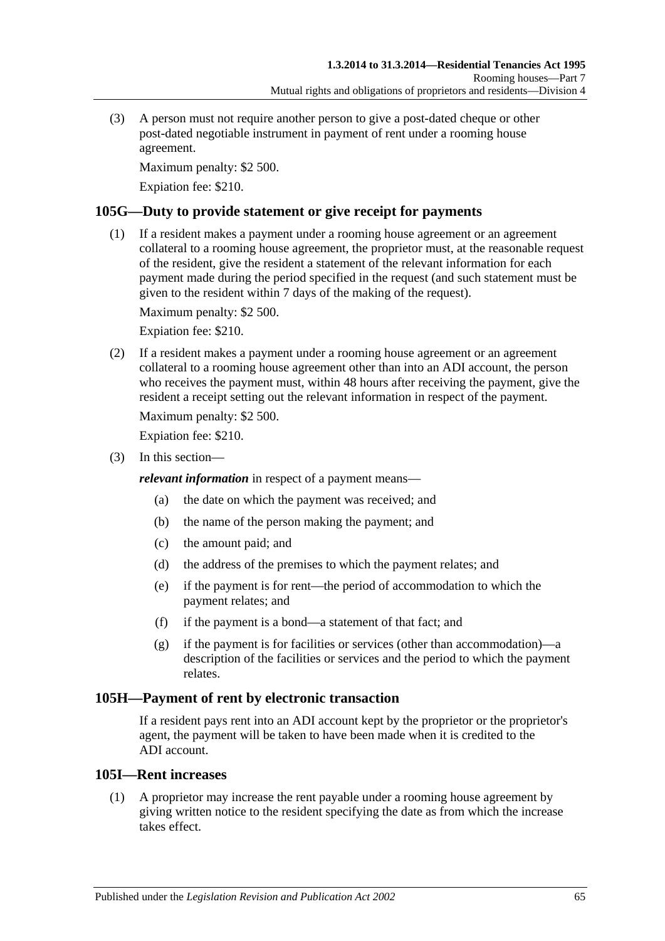(3) A person must not require another person to give a post-dated cheque or other post-dated negotiable instrument in payment of rent under a rooming house agreement.

Maximum penalty: \$2 500.

Expiation fee: \$210.

## **105G—Duty to provide statement or give receipt for payments**

(1) If a resident makes a payment under a rooming house agreement or an agreement collateral to a rooming house agreement, the proprietor must, at the reasonable request of the resident, give the resident a statement of the relevant information for each payment made during the period specified in the request (and such statement must be given to the resident within 7 days of the making of the request).

Maximum penalty: \$2 500.

Expiation fee: \$210.

(2) If a resident makes a payment under a rooming house agreement or an agreement collateral to a rooming house agreement other than into an ADI account, the person who receives the payment must, within 48 hours after receiving the payment, give the resident a receipt setting out the relevant information in respect of the payment.

Maximum penalty: \$2 500.

Expiation fee: \$210.

(3) In this section—

*relevant information* in respect of a payment means—

- (a) the date on which the payment was received; and
- (b) the name of the person making the payment; and
- (c) the amount paid; and
- (d) the address of the premises to which the payment relates; and
- (e) if the payment is for rent—the period of accommodation to which the payment relates; and
- (f) if the payment is a bond—a statement of that fact; and
- (g) if the payment is for facilities or services (other than accommodation)—a description of the facilities or services and the period to which the payment relates.

## **105H—Payment of rent by electronic transaction**

If a resident pays rent into an ADI account kept by the proprietor or the proprietor's agent, the payment will be taken to have been made when it is credited to the ADI account.

## **105I—Rent increases**

(1) A proprietor may increase the rent payable under a rooming house agreement by giving written notice to the resident specifying the date as from which the increase takes effect.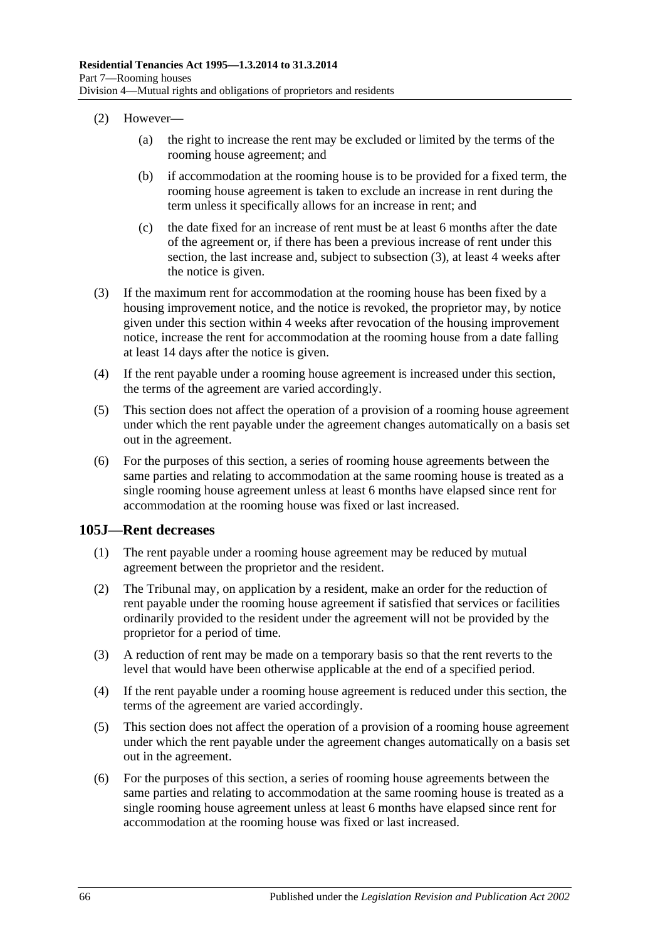- (2) However—
	- (a) the right to increase the rent may be excluded or limited by the terms of the rooming house agreement; and
	- (b) if accommodation at the rooming house is to be provided for a fixed term, the rooming house agreement is taken to exclude an increase in rent during the term unless it specifically allows for an increase in rent; and
	- (c) the date fixed for an increase of rent must be at least 6 months after the date of the agreement or, if there has been a previous increase of rent under this section, the last increase and, subject to [subsection](#page-65-0) (3), at least 4 weeks after the notice is given.
- <span id="page-65-0"></span>(3) If the maximum rent for accommodation at the rooming house has been fixed by a housing improvement notice, and the notice is revoked, the proprietor may, by notice given under this section within 4 weeks after revocation of the housing improvement notice, increase the rent for accommodation at the rooming house from a date falling at least 14 days after the notice is given.
- (4) If the rent payable under a rooming house agreement is increased under this section, the terms of the agreement are varied accordingly.
- (5) This section does not affect the operation of a provision of a rooming house agreement under which the rent payable under the agreement changes automatically on a basis set out in the agreement.
- (6) For the purposes of this section, a series of rooming house agreements between the same parties and relating to accommodation at the same rooming house is treated as a single rooming house agreement unless at least 6 months have elapsed since rent for accommodation at the rooming house was fixed or last increased.

#### **105J—Rent decreases**

- (1) The rent payable under a rooming house agreement may be reduced by mutual agreement between the proprietor and the resident.
- (2) The Tribunal may, on application by a resident, make an order for the reduction of rent payable under the rooming house agreement if satisfied that services or facilities ordinarily provided to the resident under the agreement will not be provided by the proprietor for a period of time.
- (3) A reduction of rent may be made on a temporary basis so that the rent reverts to the level that would have been otherwise applicable at the end of a specified period.
- (4) If the rent payable under a rooming house agreement is reduced under this section, the terms of the agreement are varied accordingly.
- (5) This section does not affect the operation of a provision of a rooming house agreement under which the rent payable under the agreement changes automatically on a basis set out in the agreement.
- (6) For the purposes of this section, a series of rooming house agreements between the same parties and relating to accommodation at the same rooming house is treated as a single rooming house agreement unless at least 6 months have elapsed since rent for accommodation at the rooming house was fixed or last increased.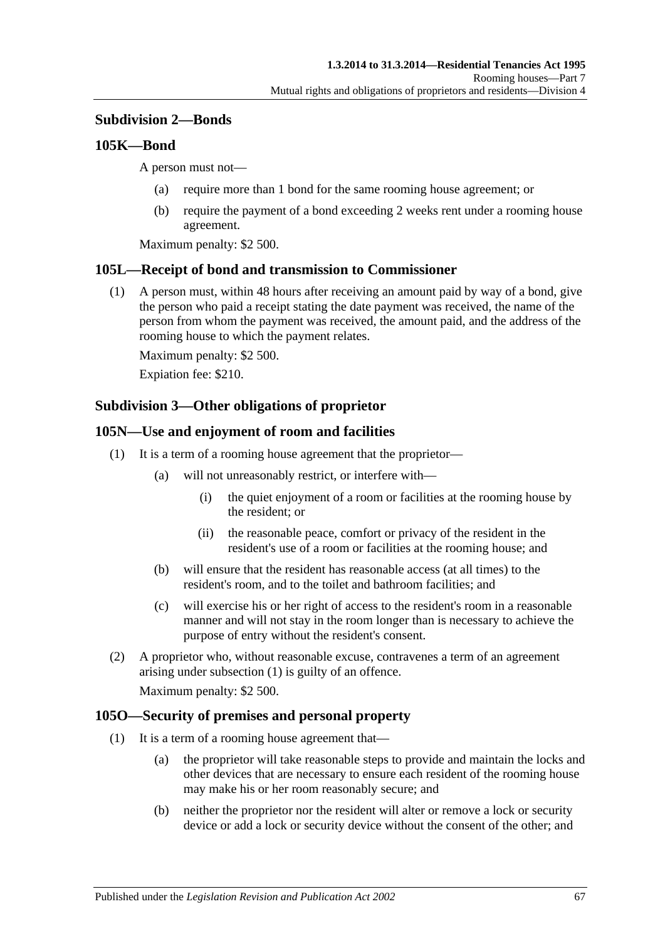## **Subdivision 2—Bonds**

### **105K—Bond**

A person must not—

- (a) require more than 1 bond for the same rooming house agreement; or
- (b) require the payment of a bond exceeding 2 weeks rent under a rooming house agreement.

Maximum penalty: \$2 500.

### **105L—Receipt of bond and transmission to Commissioner**

(1) A person must, within 48 hours after receiving an amount paid by way of a bond, give the person who paid a receipt stating the date payment was received, the name of the person from whom the payment was received, the amount paid, and the address of the rooming house to which the payment relates.

Maximum penalty: \$2 500.

Expiation fee: \$210.

### **Subdivision 3—Other obligations of proprietor**

### <span id="page-66-0"></span>**105N—Use and enjoyment of room and facilities**

- (1) It is a term of a rooming house agreement that the proprietor—
	- (a) will not unreasonably restrict, or interfere with—
		- (i) the quiet enjoyment of a room or facilities at the rooming house by the resident; or
		- (ii) the reasonable peace, comfort or privacy of the resident in the resident's use of a room or facilities at the rooming house; and
	- (b) will ensure that the resident has reasonable access (at all times) to the resident's room, and to the toilet and bathroom facilities; and
	- (c) will exercise his or her right of access to the resident's room in a reasonable manner and will not stay in the room longer than is necessary to achieve the purpose of entry without the resident's consent.
- (2) A proprietor who, without reasonable excuse, contravenes a term of an agreement arising under [subsection](#page-66-0) (1) is guilty of an offence.

Maximum penalty: \$2 500.

#### <span id="page-66-1"></span>**105O—Security of premises and personal property**

- (1) It is a term of a rooming house agreement that—
	- (a) the proprietor will take reasonable steps to provide and maintain the locks and other devices that are necessary to ensure each resident of the rooming house may make his or her room reasonably secure; and
	- (b) neither the proprietor nor the resident will alter or remove a lock or security device or add a lock or security device without the consent of the other; and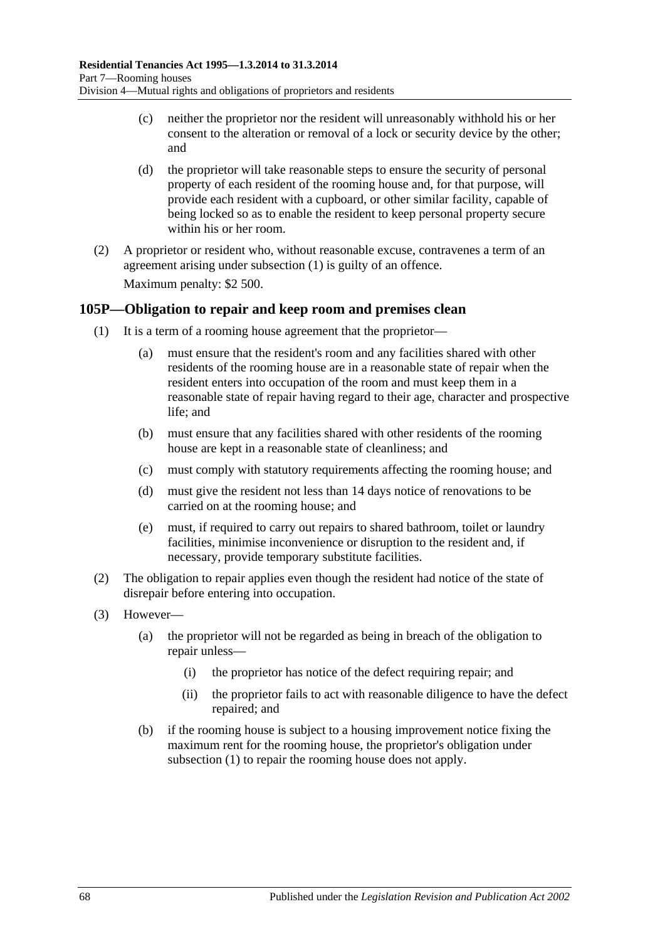- (c) neither the proprietor nor the resident will unreasonably withhold his or her consent to the alteration or removal of a lock or security device by the other; and
- (d) the proprietor will take reasonable steps to ensure the security of personal property of each resident of the rooming house and, for that purpose, will provide each resident with a cupboard, or other similar facility, capable of being locked so as to enable the resident to keep personal property secure within his or her room.
- (2) A proprietor or resident who, without reasonable excuse, contravenes a term of an agreement arising under [subsection](#page-66-1) (1) is guilty of an offence.

Maximum penalty: \$2 500.

## <span id="page-67-0"></span>**105P—Obligation to repair and keep room and premises clean**

- (1) It is a term of a rooming house agreement that the proprietor—
	- (a) must ensure that the resident's room and any facilities shared with other residents of the rooming house are in a reasonable state of repair when the resident enters into occupation of the room and must keep them in a reasonable state of repair having regard to their age, character and prospective life; and
	- (b) must ensure that any facilities shared with other residents of the rooming house are kept in a reasonable state of cleanliness; and
	- (c) must comply with statutory requirements affecting the rooming house; and
	- (d) must give the resident not less than 14 days notice of renovations to be carried on at the rooming house; and
	- (e) must, if required to carry out repairs to shared bathroom, toilet or laundry facilities, minimise inconvenience or disruption to the resident and, if necessary, provide temporary substitute facilities.
- (2) The obligation to repair applies even though the resident had notice of the state of disrepair before entering into occupation.
- (3) However—
	- (a) the proprietor will not be regarded as being in breach of the obligation to repair unless—
		- (i) the proprietor has notice of the defect requiring repair; and
		- (ii) the proprietor fails to act with reasonable diligence to have the defect repaired; and
	- (b) if the rooming house is subject to a housing improvement notice fixing the maximum rent for the rooming house, the proprietor's obligation under [subsection](#page-67-0) (1) to repair the rooming house does not apply.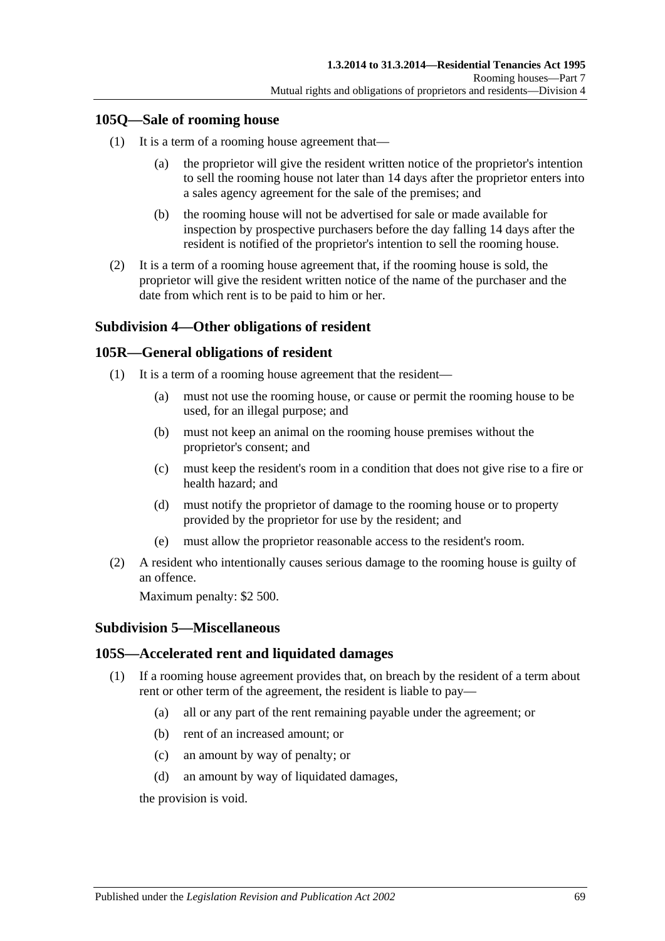## **105Q—Sale of rooming house**

- (1) It is a term of a rooming house agreement that—
	- (a) the proprietor will give the resident written notice of the proprietor's intention to sell the rooming house not later than 14 days after the proprietor enters into a sales agency agreement for the sale of the premises; and
	- (b) the rooming house will not be advertised for sale or made available for inspection by prospective purchasers before the day falling 14 days after the resident is notified of the proprietor's intention to sell the rooming house.
- (2) It is a term of a rooming house agreement that, if the rooming house is sold, the proprietor will give the resident written notice of the name of the purchaser and the date from which rent is to be paid to him or her.

## **Subdivision 4—Other obligations of resident**

### **105R—General obligations of resident**

- (1) It is a term of a rooming house agreement that the resident—
	- (a) must not use the rooming house, or cause or permit the rooming house to be used, for an illegal purpose; and
	- (b) must not keep an animal on the rooming house premises without the proprietor's consent; and
	- (c) must keep the resident's room in a condition that does not give rise to a fire or health hazard; and
	- (d) must notify the proprietor of damage to the rooming house or to property provided by the proprietor for use by the resident; and
	- (e) must allow the proprietor reasonable access to the resident's room.
- (2) A resident who intentionally causes serious damage to the rooming house is guilty of an offence.

Maximum penalty: \$2 500.

#### **Subdivision 5—Miscellaneous**

## **105S—Accelerated rent and liquidated damages**

- (1) If a rooming house agreement provides that, on breach by the resident of a term about rent or other term of the agreement, the resident is liable to pay—
	- (a) all or any part of the rent remaining payable under the agreement; or
	- (b) rent of an increased amount; or
	- (c) an amount by way of penalty; or
	- (d) an amount by way of liquidated damages,

the provision is void.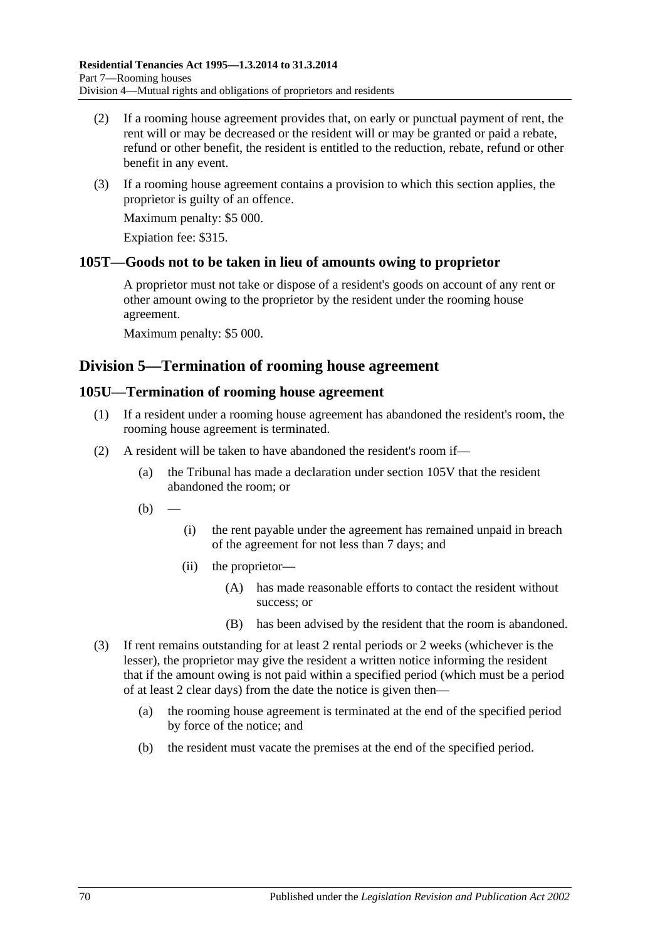- (2) If a rooming house agreement provides that, on early or punctual payment of rent, the rent will or may be decreased or the resident will or may be granted or paid a rebate, refund or other benefit, the resident is entitled to the reduction, rebate, refund or other benefit in any event.
- (3) If a rooming house agreement contains a provision to which this section applies, the proprietor is guilty of an offence.

Maximum penalty: \$5 000.

Expiation fee: \$315.

## **105T—Goods not to be taken in lieu of amounts owing to proprietor**

A proprietor must not take or dispose of a resident's goods on account of any rent or other amount owing to the proprietor by the resident under the rooming house agreement.

Maximum penalty: \$5 000.

## **Division 5—Termination of rooming house agreement**

### **105U—Termination of rooming house agreement**

- (1) If a resident under a rooming house agreement has abandoned the resident's room, the rooming house agreement is terminated.
- (2) A resident will be taken to have abandoned the resident's room if—
	- (a) the Tribunal has made a declaration under [section](#page-70-0) 105V that the resident abandoned the room; or
	- $(b)$
- (i) the rent payable under the agreement has remained unpaid in breach of the agreement for not less than 7 days; and
- (ii) the proprietor—
	- (A) has made reasonable efforts to contact the resident without success; or
	- (B) has been advised by the resident that the room is abandoned.
- (3) If rent remains outstanding for at least 2 rental periods or 2 weeks (whichever is the lesser), the proprietor may give the resident a written notice informing the resident that if the amount owing is not paid within a specified period (which must be a period of at least 2 clear days) from the date the notice is given then—
	- (a) the rooming house agreement is terminated at the end of the specified period by force of the notice; and
	- (b) the resident must vacate the premises at the end of the specified period.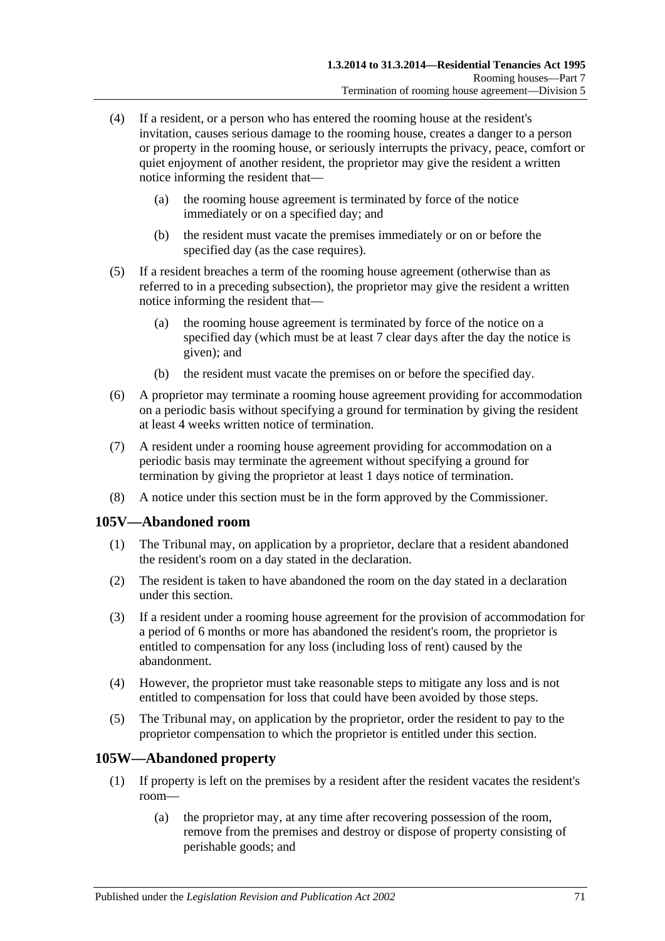- (4) If a resident, or a person who has entered the rooming house at the resident's invitation, causes serious damage to the rooming house, creates a danger to a person or property in the rooming house, or seriously interrupts the privacy, peace, comfort or quiet enjoyment of another resident, the proprietor may give the resident a written notice informing the resident that—
	- (a) the rooming house agreement is terminated by force of the notice immediately or on a specified day; and
	- (b) the resident must vacate the premises immediately or on or before the specified day (as the case requires).
- (5) If a resident breaches a term of the rooming house agreement (otherwise than as referred to in a preceding subsection), the proprietor may give the resident a written notice informing the resident that—
	- (a) the rooming house agreement is terminated by force of the notice on a specified day (which must be at least 7 clear days after the day the notice is given); and
	- (b) the resident must vacate the premises on or before the specified day.
- (6) A proprietor may terminate a rooming house agreement providing for accommodation on a periodic basis without specifying a ground for termination by giving the resident at least 4 weeks written notice of termination.
- (7) A resident under a rooming house agreement providing for accommodation on a periodic basis may terminate the agreement without specifying a ground for termination by giving the proprietor at least 1 days notice of termination.
- (8) A notice under this section must be in the form approved by the Commissioner.

## <span id="page-70-0"></span>**105V—Abandoned room**

- (1) The Tribunal may, on application by a proprietor, declare that a resident abandoned the resident's room on a day stated in the declaration.
- (2) The resident is taken to have abandoned the room on the day stated in a declaration under this section.
- (3) If a resident under a rooming house agreement for the provision of accommodation for a period of 6 months or more has abandoned the resident's room, the proprietor is entitled to compensation for any loss (including loss of rent) caused by the abandonment.
- (4) However, the proprietor must take reasonable steps to mitigate any loss and is not entitled to compensation for loss that could have been avoided by those steps.
- (5) The Tribunal may, on application by the proprietor, order the resident to pay to the proprietor compensation to which the proprietor is entitled under this section.

## **105W—Abandoned property**

- (1) If property is left on the premises by a resident after the resident vacates the resident's room—
	- (a) the proprietor may, at any time after recovering possession of the room, remove from the premises and destroy or dispose of property consisting of perishable goods; and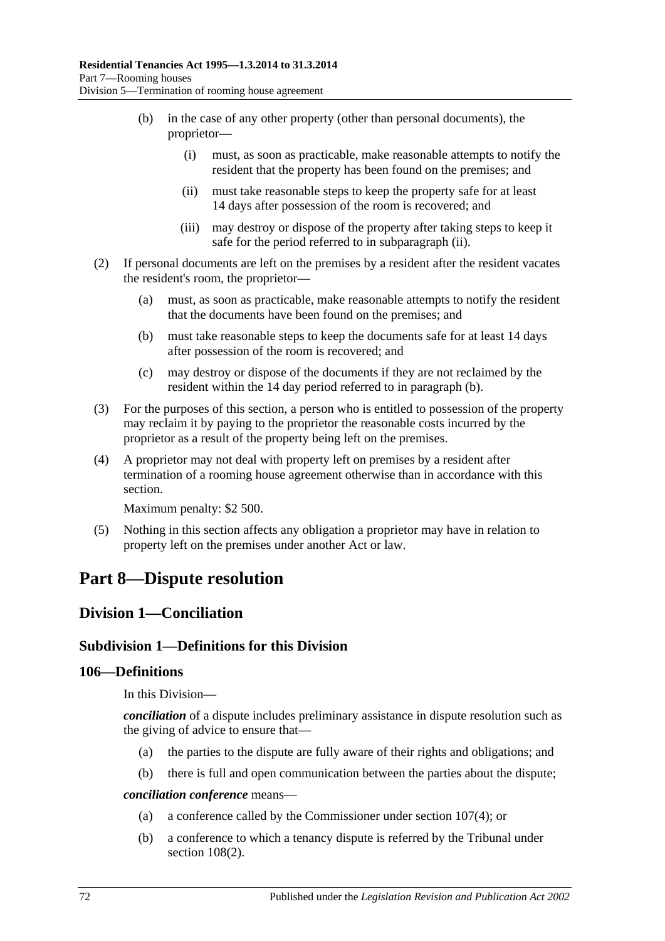- (b) in the case of any other property (other than personal documents), the proprietor—
	- (i) must, as soon as practicable, make reasonable attempts to notify the resident that the property has been found on the premises; and
	- (ii) must take reasonable steps to keep the property safe for at least 14 days after possession of the room is recovered; and
	- (iii) may destroy or dispose of the property after taking steps to keep it safe for the period referred to in [subparagraph](#page-71-0) (ii).
- <span id="page-71-1"></span><span id="page-71-0"></span>(2) If personal documents are left on the premises by a resident after the resident vacates the resident's room, the proprietor—
	- (a) must, as soon as practicable, make reasonable attempts to notify the resident that the documents have been found on the premises; and
	- (b) must take reasonable steps to keep the documents safe for at least 14 days after possession of the room is recovered; and
	- (c) may destroy or dispose of the documents if they are not reclaimed by the resident within the 14 day period referred to in [paragraph](#page-71-1) (b).
- (3) For the purposes of this section, a person who is entitled to possession of the property may reclaim it by paying to the proprietor the reasonable costs incurred by the proprietor as a result of the property being left on the premises.
- (4) A proprietor may not deal with property left on premises by a resident after termination of a rooming house agreement otherwise than in accordance with this section.

Maximum penalty: \$2 500.

(5) Nothing in this section affects any obligation a proprietor may have in relation to property left on the premises under another Act or law.

# **Part 8—Dispute resolution**

## **Division 1—Conciliation**

## **Subdivision 1—Definitions for this Division**

## **106—Definitions**

In this Division—

*conciliation* of a dispute includes preliminary assistance in dispute resolution such as the giving of advice to ensure that—

- (a) the parties to the dispute are fully aware of their rights and obligations; and
- (b) there is full and open communication between the parties about the dispute;

*conciliation conference* means—

- (a) a conference called by the Commissioner under [section](#page-72-0) 107(4); or
- (b) a conference to which a tenancy dispute is referred by the Tribunal under section [108\(2\).](#page-72-1)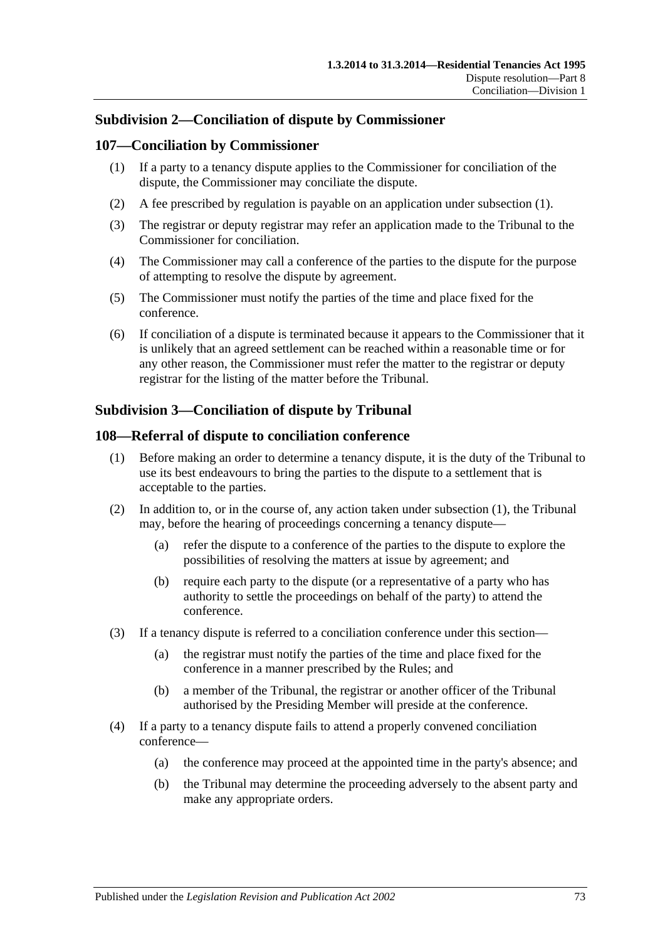# **Subdivision 2—Conciliation of dispute by Commissioner**

#### <span id="page-72-0"></span>**107—Conciliation by Commissioner**

- (1) If a party to a tenancy dispute applies to the Commissioner for conciliation of the dispute, the Commissioner may conciliate the dispute.
- (2) A fee prescribed by regulation is payable on an application under [subsection](#page-72-0) (1).
- (3) The registrar or deputy registrar may refer an application made to the Tribunal to the Commissioner for conciliation.
- (4) The Commissioner may call a conference of the parties to the dispute for the purpose of attempting to resolve the dispute by agreement.
- (5) The Commissioner must notify the parties of the time and place fixed for the conference.
- (6) If conciliation of a dispute is terminated because it appears to the Commissioner that it is unlikely that an agreed settlement can be reached within a reasonable time or for any other reason, the Commissioner must refer the matter to the registrar or deputy registrar for the listing of the matter before the Tribunal.

# **Subdivision 3—Conciliation of dispute by Tribunal**

#### <span id="page-72-1"></span>**108—Referral of dispute to conciliation conference**

- (1) Before making an order to determine a tenancy dispute, it is the duty of the Tribunal to use its best endeavours to bring the parties to the dispute to a settlement that is acceptable to the parties.
- (2) In addition to, or in the course of, any action taken under [subsection](#page-72-1) (1), the Tribunal may, before the hearing of proceedings concerning a tenancy dispute—
	- (a) refer the dispute to a conference of the parties to the dispute to explore the possibilities of resolving the matters at issue by agreement; and
	- (b) require each party to the dispute (or a representative of a party who has authority to settle the proceedings on behalf of the party) to attend the conference.
- (3) If a tenancy dispute is referred to a conciliation conference under this section—
	- (a) the registrar must notify the parties of the time and place fixed for the conference in a manner prescribed by the Rules; and
	- (b) a member of the Tribunal, the registrar or another officer of the Tribunal authorised by the Presiding Member will preside at the conference.
- (4) If a party to a tenancy dispute fails to attend a properly convened conciliation conference—
	- (a) the conference may proceed at the appointed time in the party's absence; and
	- (b) the Tribunal may determine the proceeding adversely to the absent party and make any appropriate orders.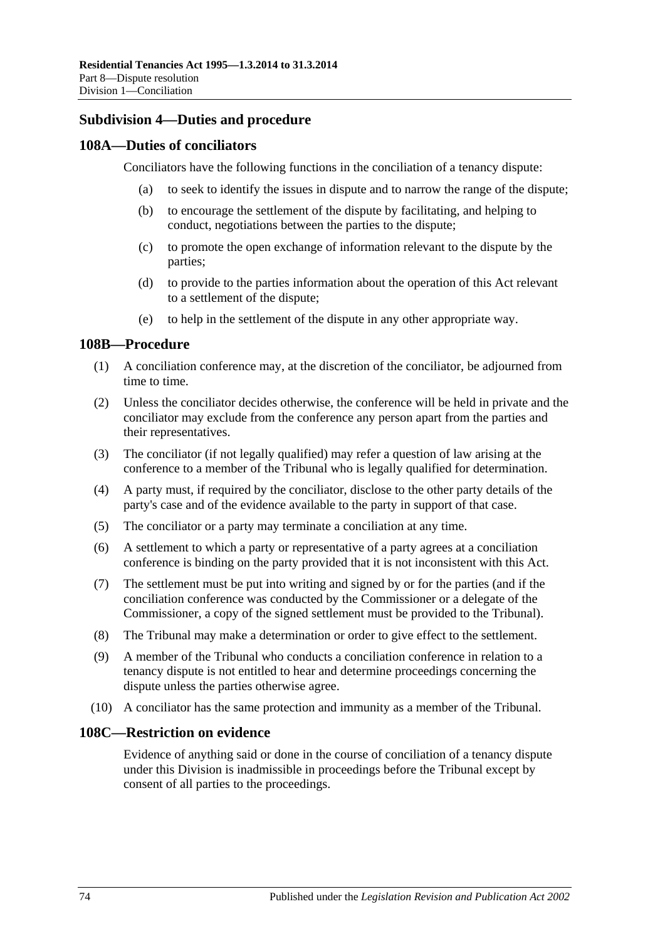# **Subdivision 4—Duties and procedure**

### **108A—Duties of conciliators**

Conciliators have the following functions in the conciliation of a tenancy dispute:

- (a) to seek to identify the issues in dispute and to narrow the range of the dispute;
- (b) to encourage the settlement of the dispute by facilitating, and helping to conduct, negotiations between the parties to the dispute;
- (c) to promote the open exchange of information relevant to the dispute by the parties;
- (d) to provide to the parties information about the operation of this Act relevant to a settlement of the dispute;
- (e) to help in the settlement of the dispute in any other appropriate way.

#### **108B—Procedure**

- (1) A conciliation conference may, at the discretion of the conciliator, be adjourned from time to time.
- (2) Unless the conciliator decides otherwise, the conference will be held in private and the conciliator may exclude from the conference any person apart from the parties and their representatives.
- (3) The conciliator (if not legally qualified) may refer a question of law arising at the conference to a member of the Tribunal who is legally qualified for determination.
- (4) A party must, if required by the conciliator, disclose to the other party details of the party's case and of the evidence available to the party in support of that case.
- (5) The conciliator or a party may terminate a conciliation at any time.
- (6) A settlement to which a party or representative of a party agrees at a conciliation conference is binding on the party provided that it is not inconsistent with this Act.
- (7) The settlement must be put into writing and signed by or for the parties (and if the conciliation conference was conducted by the Commissioner or a delegate of the Commissioner, a copy of the signed settlement must be provided to the Tribunal).
- (8) The Tribunal may make a determination or order to give effect to the settlement.
- (9) A member of the Tribunal who conducts a conciliation conference in relation to a tenancy dispute is not entitled to hear and determine proceedings concerning the dispute unless the parties otherwise agree.
- (10) A conciliator has the same protection and immunity as a member of the Tribunal.

# **108C—Restriction on evidence**

Evidence of anything said or done in the course of conciliation of a tenancy dispute under this Division is inadmissible in proceedings before the Tribunal except by consent of all parties to the proceedings.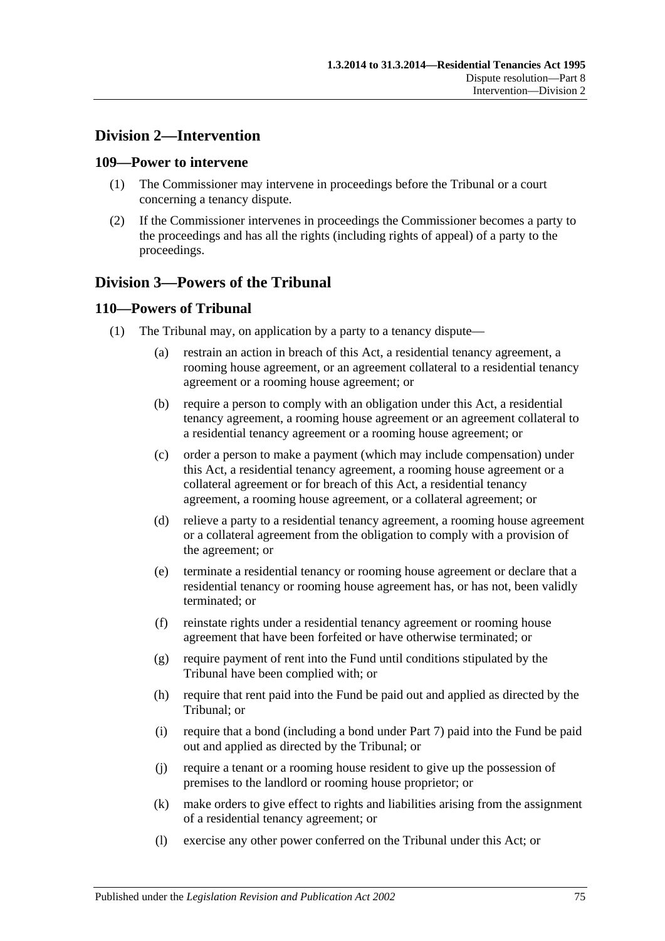# **Division 2—Intervention**

#### **109—Power to intervene**

- (1) The Commissioner may intervene in proceedings before the Tribunal or a court concerning a tenancy dispute.
- (2) If the Commissioner intervenes in proceedings the Commissioner becomes a party to the proceedings and has all the rights (including rights of appeal) of a party to the proceedings.

# **Division 3—Powers of the Tribunal**

# **110—Powers of Tribunal**

- (1) The Tribunal may, on application by a party to a tenancy dispute—
	- (a) restrain an action in breach of this Act, a residential tenancy agreement, a rooming house agreement, or an agreement collateral to a residential tenancy agreement or a rooming house agreement; or
	- (b) require a person to comply with an obligation under this Act, a residential tenancy agreement, a rooming house agreement or an agreement collateral to a residential tenancy agreement or a rooming house agreement; or
	- (c) order a person to make a payment (which may include compensation) under this Act, a residential tenancy agreement, a rooming house agreement or a collateral agreement or for breach of this Act, a residential tenancy agreement, a rooming house agreement, or a collateral agreement; or
	- (d) relieve a party to a residential tenancy agreement, a rooming house agreement or a collateral agreement from the obligation to comply with a provision of the agreement; or
	- (e) terminate a residential tenancy or rooming house agreement or declare that a residential tenancy or rooming house agreement has, or has not, been validly terminated; or
	- (f) reinstate rights under a residential tenancy agreement or rooming house agreement that have been forfeited or have otherwise terminated; or
	- (g) require payment of rent into the Fund until conditions stipulated by the Tribunal have been complied with; or
	- (h) require that rent paid into the Fund be paid out and applied as directed by the Tribunal; or
	- (i) require that a bond (including a bond under Part 7) paid into the Fund be paid out and applied as directed by the Tribunal; or
	- (j) require a tenant or a rooming house resident to give up the possession of premises to the landlord or rooming house proprietor; or
	- (k) make orders to give effect to rights and liabilities arising from the assignment of a residential tenancy agreement; or
	- (l) exercise any other power conferred on the Tribunal under this Act; or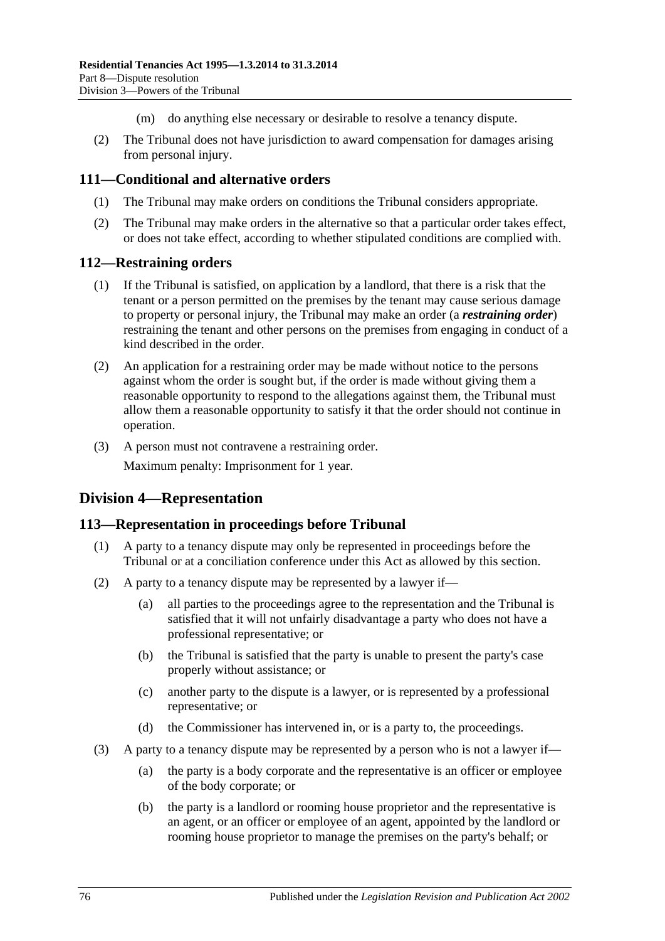- (m) do anything else necessary or desirable to resolve a tenancy dispute.
- (2) The Tribunal does not have jurisdiction to award compensation for damages arising from personal injury.

# **111—Conditional and alternative orders**

- (1) The Tribunal may make orders on conditions the Tribunal considers appropriate.
- (2) The Tribunal may make orders in the alternative so that a particular order takes effect, or does not take effect, according to whether stipulated conditions are complied with.

#### **112—Restraining orders**

- (1) If the Tribunal is satisfied, on application by a landlord, that there is a risk that the tenant or a person permitted on the premises by the tenant may cause serious damage to property or personal injury, the Tribunal may make an order (a *restraining order*) restraining the tenant and other persons on the premises from engaging in conduct of a kind described in the order.
- (2) An application for a restraining order may be made without notice to the persons against whom the order is sought but, if the order is made without giving them a reasonable opportunity to respond to the allegations against them, the Tribunal must allow them a reasonable opportunity to satisfy it that the order should not continue in operation.
- (3) A person must not contravene a restraining order.

Maximum penalty: Imprisonment for 1 year.

# **Division 4—Representation**

# **113—Representation in proceedings before Tribunal**

- (1) A party to a tenancy dispute may only be represented in proceedings before the Tribunal or at a conciliation conference under this Act as allowed by this section.
- (2) A party to a tenancy dispute may be represented by a lawyer if—
	- (a) all parties to the proceedings agree to the representation and the Tribunal is satisfied that it will not unfairly disadvantage a party who does not have a professional representative; or
	- (b) the Tribunal is satisfied that the party is unable to present the party's case properly without assistance; or
	- (c) another party to the dispute is a lawyer, or is represented by a professional representative; or
	- (d) the Commissioner has intervened in, or is a party to, the proceedings.
- (3) A party to a tenancy dispute may be represented by a person who is not a lawyer if—
	- (a) the party is a body corporate and the representative is an officer or employee of the body corporate; or
	- (b) the party is a landlord or rooming house proprietor and the representative is an agent, or an officer or employee of an agent, appointed by the landlord or rooming house proprietor to manage the premises on the party's behalf; or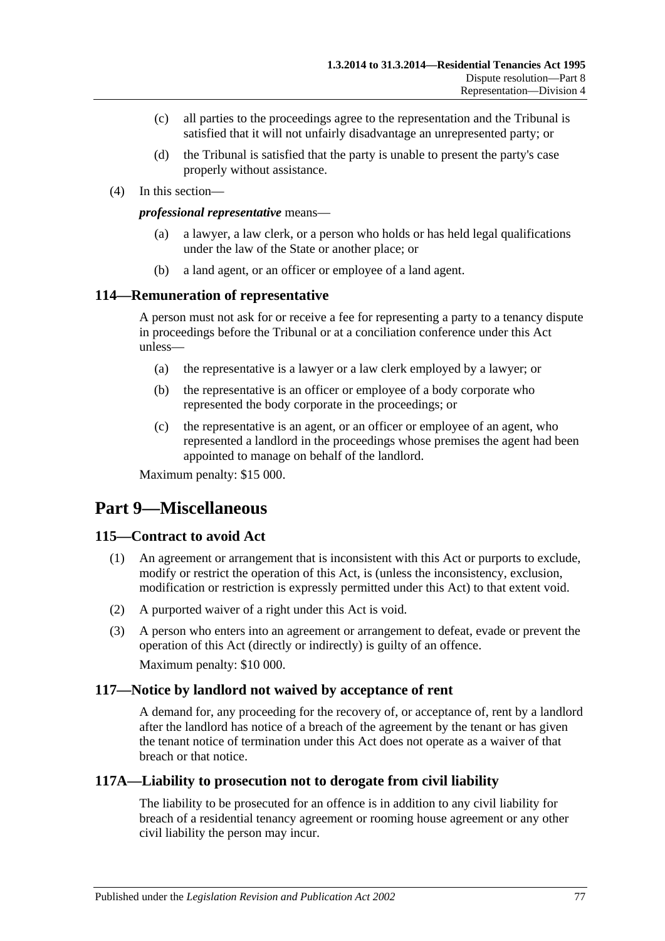- (c) all parties to the proceedings agree to the representation and the Tribunal is satisfied that it will not unfairly disadvantage an unrepresented party; or
- (d) the Tribunal is satisfied that the party is unable to present the party's case properly without assistance.
- (4) In this section—

#### *professional representative* means—

- (a) a lawyer, a law clerk, or a person who holds or has held legal qualifications under the law of the State or another place; or
- (b) a land agent, or an officer or employee of a land agent.

#### **114—Remuneration of representative**

A person must not ask for or receive a fee for representing a party to a tenancy dispute in proceedings before the Tribunal or at a conciliation conference under this Act unless—

- (a) the representative is a lawyer or a law clerk employed by a lawyer; or
- (b) the representative is an officer or employee of a body corporate who represented the body corporate in the proceedings; or
- (c) the representative is an agent, or an officer or employee of an agent, who represented a landlord in the proceedings whose premises the agent had been appointed to manage on behalf of the landlord.

Maximum penalty: \$15 000.

# **Part 9—Miscellaneous**

# **115—Contract to avoid Act**

- (1) An agreement or arrangement that is inconsistent with this Act or purports to exclude, modify or restrict the operation of this Act, is (unless the inconsistency, exclusion, modification or restriction is expressly permitted under this Act) to that extent void.
- (2) A purported waiver of a right under this Act is void.
- (3) A person who enters into an agreement or arrangement to defeat, evade or prevent the operation of this Act (directly or indirectly) is guilty of an offence. Maximum penalty: \$10 000.

#### **117—Notice by landlord not waived by acceptance of rent**

A demand for, any proceeding for the recovery of, or acceptance of, rent by a landlord after the landlord has notice of a breach of the agreement by the tenant or has given the tenant notice of termination under this Act does not operate as a waiver of that breach or that notice.

# **117A—Liability to prosecution not to derogate from civil liability**

The liability to be prosecuted for an offence is in addition to any civil liability for breach of a residential tenancy agreement or rooming house agreement or any other civil liability the person may incur.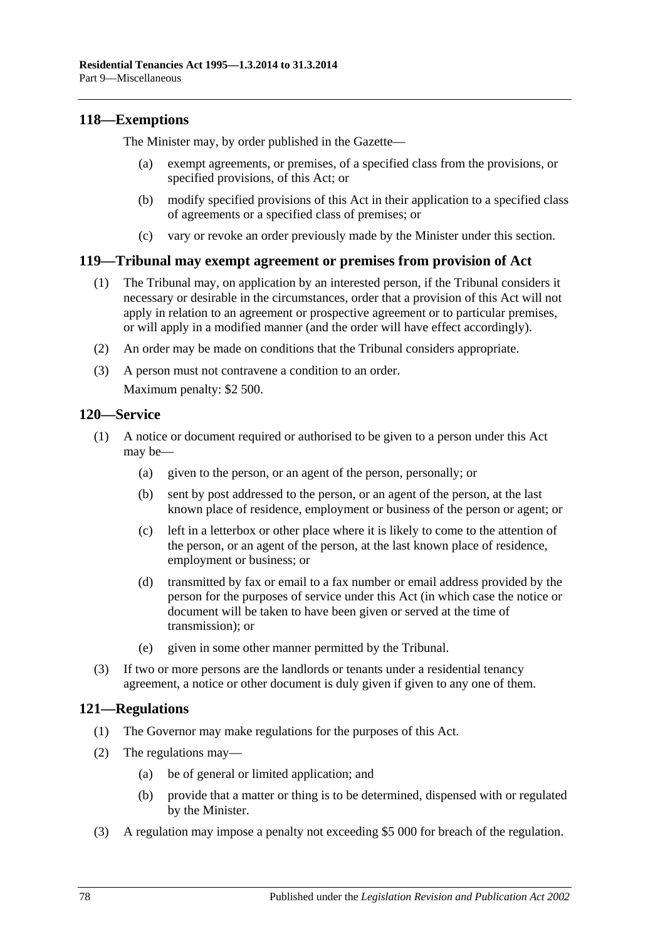# **118—Exemptions**

The Minister may, by order published in the Gazette—

- (a) exempt agreements, or premises, of a specified class from the provisions, or specified provisions, of this Act; or
- (b) modify specified provisions of this Act in their application to a specified class of agreements or a specified class of premises; or
- (c) vary or revoke an order previously made by the Minister under this section.

#### **119—Tribunal may exempt agreement or premises from provision of Act**

- (1) The Tribunal may, on application by an interested person, if the Tribunal considers it necessary or desirable in the circumstances, order that a provision of this Act will not apply in relation to an agreement or prospective agreement or to particular premises, or will apply in a modified manner (and the order will have effect accordingly).
- (2) An order may be made on conditions that the Tribunal considers appropriate.
- (3) A person must not contravene a condition to an order. Maximum penalty: \$2 500.

#### **120—Service**

- (1) A notice or document required or authorised to be given to a person under this Act may be—
	- (a) given to the person, or an agent of the person, personally; or
	- (b) sent by post addressed to the person, or an agent of the person, at the last known place of residence, employment or business of the person or agent; or
	- (c) left in a letterbox or other place where it is likely to come to the attention of the person, or an agent of the person, at the last known place of residence, employment or business; or
	- (d) transmitted by fax or email to a fax number or email address provided by the person for the purposes of service under this Act (in which case the notice or document will be taken to have been given or served at the time of transmission); or
	- (e) given in some other manner permitted by the Tribunal.
- (3) If two or more persons are the landlords or tenants under a residential tenancy agreement, a notice or other document is duly given if given to any one of them.

#### **121—Regulations**

- (1) The Governor may make regulations for the purposes of this Act.
- (2) The regulations may—
	- (a) be of general or limited application; and
	- (b) provide that a matter or thing is to be determined, dispensed with or regulated by the Minister.
- (3) A regulation may impose a penalty not exceeding \$5 000 for breach of the regulation.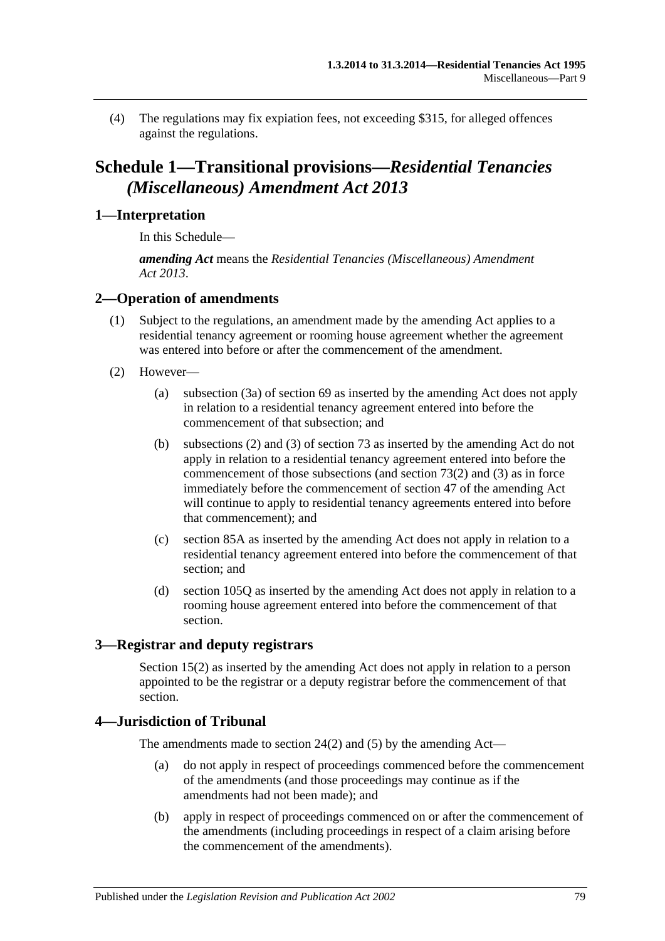(4) The regulations may fix expiation fees, not exceeding \$315, for alleged offences against the regulations.

# **Schedule 1—Transitional provisions—***Residential Tenancies (Miscellaneous) Amendment Act 2013*

# **1—Interpretation**

In this Schedule—

*amending Act* means the *[Residential Tenancies \(Miscellaneous\) Amendment](http://www.legislation.sa.gov.au/index.aspx?action=legref&type=act&legtitle=Residential%20Tenancies%20(Miscellaneous)%20Amendment%20Act%202013)  Act [2013](http://www.legislation.sa.gov.au/index.aspx?action=legref&type=act&legtitle=Residential%20Tenancies%20(Miscellaneous)%20Amendment%20Act%202013)*.

# **2—Operation of amendments**

- (1) Subject to the regulations, an amendment made by the amending Act applies to a residential tenancy agreement or rooming house agreement whether the agreement was entered into before or after the commencement of the amendment.
- (2) However—
	- (a) [subsection](#page-33-0) (3a) of [section](#page-33-1) 69 as inserted by the amending Act does not apply in relation to a residential tenancy agreement entered into before the commencement of that subsection; and
	- (b) [subsections](#page-36-0) (2) and [\(3\)](#page-36-1) of [section](#page-36-2) 73 as inserted by the amending Act do not apply in relation to a residential tenancy agreement entered into before the commencement of those subsections (and [section](#page-36-0)  $73(2)$ ) and  $(3)$ ) as in force immediately before the commencement of [section](#page-19-0) 47 of the amending Act will continue to apply to residential tenancy agreements entered into before that commencement); and
	- (c) [section](#page-44-0) 85A as inserted by the amending Act does not apply in relation to a residential tenancy agreement entered into before the commencement of that section; and
	- (d) [section](#page-68-0) 105Q as inserted by the amending Act does not apply in relation to a rooming house agreement entered into before the commencement of that section.

# **3—Registrar and deputy registrars**

[Section](#page-12-0) 15(2) as inserted by the amending Act does not apply in relation to a person appointed to be the registrar or a deputy registrar before the commencement of that section.

# **4—Jurisdiction of Tribunal**

The amendments made to [section](#page-14-0) 24(2) and [\(5\)](#page-14-1) by the amending Act—

- (a) do not apply in respect of proceedings commenced before the commencement of the amendments (and those proceedings may continue as if the amendments had not been made); and
- (b) apply in respect of proceedings commenced on or after the commencement of the amendments (including proceedings in respect of a claim arising before the commencement of the amendments).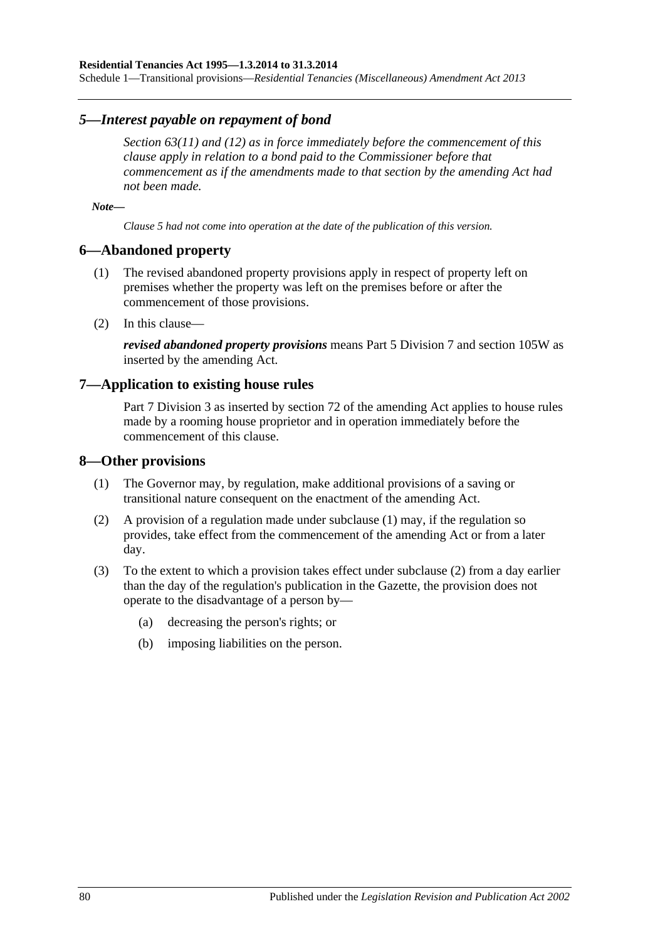Schedule 1—Transitional provisions—*Residential Tenancies (Miscellaneous) Amendment Act 2013*

#### *5—Interest payable on repayment of bond*

*[Section](#page-30-0) 63(11) and [\(12\)](#page-30-1) as in force immediately before the commencement of this clause apply in relation to a bond paid to the Commissioner before that commencement as if the amendments made to that section by the amending Act had not been made.*

*Note—*

*Clause 5 had not come into operation at the date of the publication of this version.*

#### **6—Abandoned property**

- (1) The revised abandoned property provisions apply in respect of property left on premises whether the property was left on the premises before or after the commencement of those provisions.
- (2) In this clause—

*revised abandoned property provisions* means [Part 5 Division 7](#page-51-0) and [section](#page-70-0) 105W as inserted by the amending Act.

#### **7—Application to existing house rules**

[Part 7 Division](#page-61-0) 3 as inserted by section 72 of the amending Act applies to house rules made by a rooming house proprietor and in operation immediately before the commencement of this clause.

#### <span id="page-79-0"></span>**8—Other provisions**

- (1) The Governor may, by regulation, make additional provisions of a saving or transitional nature consequent on the enactment of the amending Act.
- <span id="page-79-1"></span>(2) A provision of a regulation made under [subclause](#page-79-0) (1) may, if the regulation so provides, take effect from the commencement of the amending Act or from a later day.
- (3) To the extent to which a provision takes effect under [subclause](#page-79-1) (2) from a day earlier than the day of the regulation's publication in the Gazette, the provision does not operate to the disadvantage of a person by—
	- (a) decreasing the person's rights; or
	- (b) imposing liabilities on the person.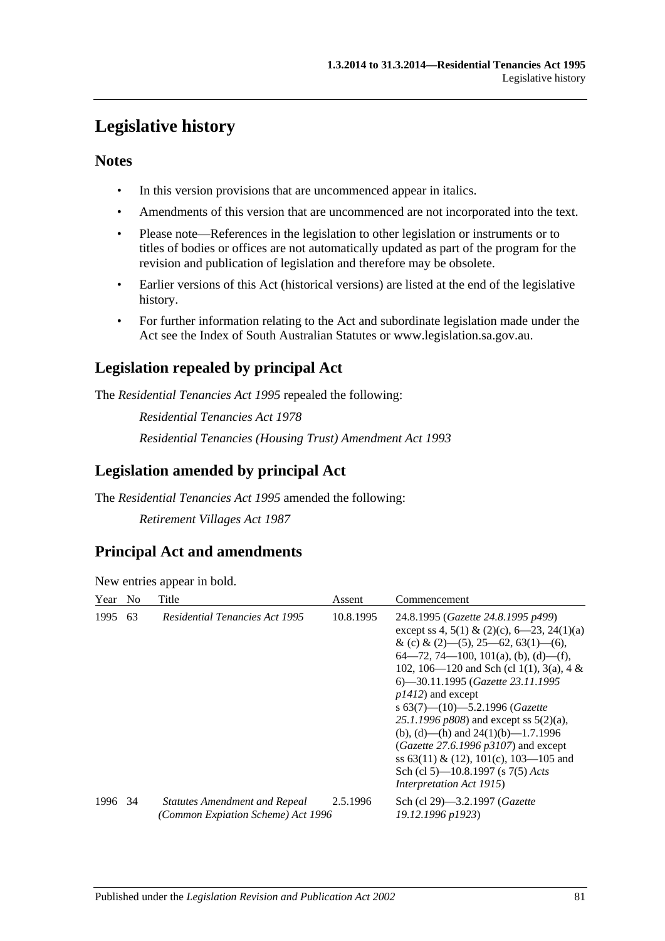# **Legislative history**

# **Notes**

- In this version provisions that are uncommenced appear in italics.
- Amendments of this version that are uncommenced are not incorporated into the text.
- Please note—References in the legislation to other legislation or instruments or to titles of bodies or offices are not automatically updated as part of the program for the revision and publication of legislation and therefore may be obsolete.
- Earlier versions of this Act (historical versions) are listed at the end of the legislative history.
- For further information relating to the Act and subordinate legislation made under the Act see the Index of South Australian Statutes or www.legislation.sa.gov.au.

# **Legislation repealed by principal Act**

The *Residential Tenancies Act 1995* repealed the following:

*Residential Tenancies Act 1978 Residential Tenancies (Housing Trust) Amendment Act 1993*

# **Legislation amended by principal Act**

The *Residential Tenancies Act 1995* amended the following:

*Retirement Villages Act 1987*

# **Principal Act and amendments**

New entries appear in bold.

| Year    | N <sub>0</sub> | Title                                                                      | Assent    | Commencement                                                                                                                                                                                                                                                                                                                                                                                                                                                                                                                                                                        |
|---------|----------------|----------------------------------------------------------------------------|-----------|-------------------------------------------------------------------------------------------------------------------------------------------------------------------------------------------------------------------------------------------------------------------------------------------------------------------------------------------------------------------------------------------------------------------------------------------------------------------------------------------------------------------------------------------------------------------------------------|
| 1995    | 63             | <b>Residential Tenancies Act 1995</b>                                      | 10.8.1995 | 24.8.1995 (Gazette 24.8.1995 p499)<br>except ss 4, 5(1) & (2)(c), 6–23, 24(1)(a)<br>& (c) & (2)–(5), 25–62, 63(1)–(6),<br>$64-72, 74-100, 101(a), (b), (d)-(f),$<br>102, 106—120 and Sch (cl 1(1), 3(a), 4 &<br>6—30.11.1995 (Gazette 23.11.1995<br>$p1412$ ) and except<br>s $63(7)$ — $(10)$ — $5.2.1996$ (Gazette<br>25.1.1996 $p808$ ) and except ss $5(2)(a)$ ,<br>(b), (d)—(h) and $24(1)(b)$ —1.7.1996<br>(Gazette 27.6.1996 $p3107$ ) and except<br>ss $63(11) \& (12)$ , $101(c)$ , $103-105$ and<br>Sch (cl 5)—10.8.1997 (s 7(5) Acts<br><i>Interpretation Act 1915</i> ) |
| 1996 34 |                | <b>Statutes Amendment and Repeal</b><br>(Common Expiation Scheme) Act 1996 | 2.5.1996  | Sch (cl 29)-3.2.1997 (Gazette<br>19.12.1996 p1923)                                                                                                                                                                                                                                                                                                                                                                                                                                                                                                                                  |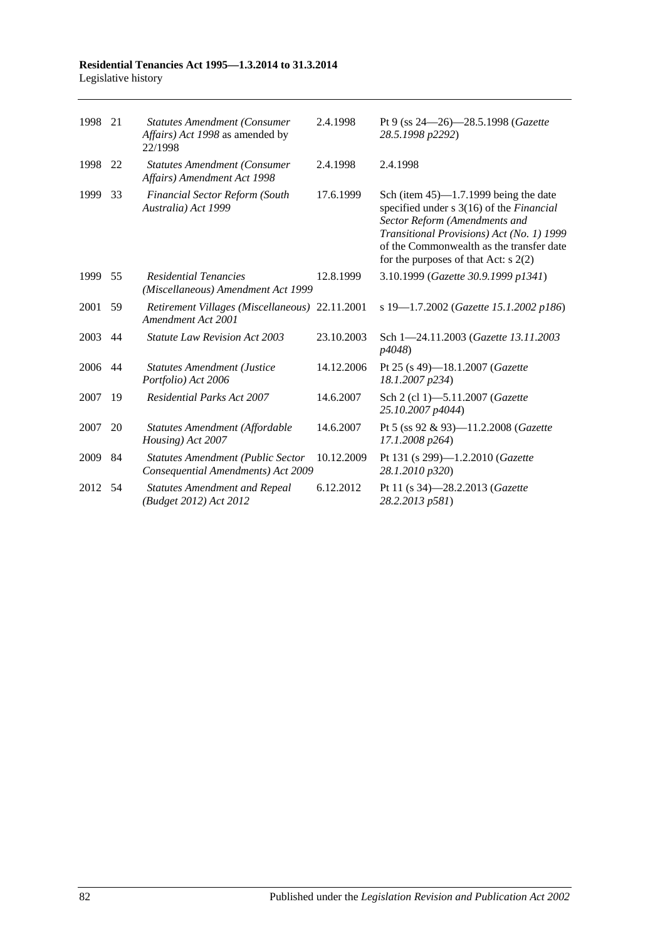#### **Residential Tenancies Act 1995—1.3.2014 to 31.3.2014** Legislative history

| 1998 | 21 | <b>Statutes Amendment (Consumer</b><br>Affairs) Act 1998 as amended by<br>22/1998 | 2.4.1998   | Pt 9 (ss 24–26)–28.5.1998 (Gazette<br>28.5.1998 p2292)                                                                                                                                                                                                   |
|------|----|-----------------------------------------------------------------------------------|------------|----------------------------------------------------------------------------------------------------------------------------------------------------------------------------------------------------------------------------------------------------------|
| 1998 | 22 | <b>Statutes Amendment (Consumer</b><br>Affairs) Amendment Act 1998                | 2.4.1998   | 2.4.1998                                                                                                                                                                                                                                                 |
| 1999 | 33 | <b>Financial Sector Reform (South</b><br>Australia) Act 1999                      | 17.6.1999  | Sch (item $45$ )—1.7.1999 being the date<br>specified under s 3(16) of the Financial<br>Sector Reform (Amendments and<br>Transitional Provisions) Act (No. 1) 1999<br>of the Commonwealth as the transfer date<br>for the purposes of that Act: $s$ 2(2) |
| 1999 | 55 | <b>Residential Tenancies</b><br>(Miscellaneous) Amendment Act 1999                | 12.8.1999  | 3.10.1999 (Gazette 30.9.1999 p1341)                                                                                                                                                                                                                      |
| 2001 | 59 | Retirement Villages (Miscellaneous) 22.11.2001<br>Amendment Act 2001              |            | s 19-1.7.2002 (Gazette 15.1.2002 p186)                                                                                                                                                                                                                   |
| 2003 | 44 | Statute Law Revision Act 2003                                                     | 23.10.2003 | Sch 1-24.11.2003 (Gazette 13.11.2003)<br>p4048)                                                                                                                                                                                                          |
| 2006 | 44 | <b>Statutes Amendment (Justice</b><br>Portfolio) Act 2006                         | 14.12.2006 | Pt 25 (s 49)-18.1.2007 (Gazette<br>18.1.2007 p234)                                                                                                                                                                                                       |
| 2007 | 19 | <b>Residential Parks Act 2007</b>                                                 | 14.6.2007  | Sch 2 (cl 1)-5.11.2007 (Gazette<br>25.10.2007 p4044)                                                                                                                                                                                                     |
| 2007 | 20 | Statutes Amendment (Affordable<br>Housing) Act 2007                               | 14.6.2007  | Pt 5 (ss 92 & 93)-11.2.2008 (Gazette<br>17.1.2008 p264)                                                                                                                                                                                                  |
| 2009 | 84 | <b>Statutes Amendment (Public Sector</b><br>Consequential Amendments) Act 2009    | 10.12.2009 | Pt 131 (s 299)-1.2.2010 (Gazette<br>28.1.2010 p320)                                                                                                                                                                                                      |
| 2012 | 54 | <b>Statutes Amendment and Repeal</b><br>(Budget 2012) Act 2012                    | 6.12.2012  | Pt 11 (s 34)-28.2.2013 ( <i>Gazette</i><br>28.2.2013 p581)                                                                                                                                                                                               |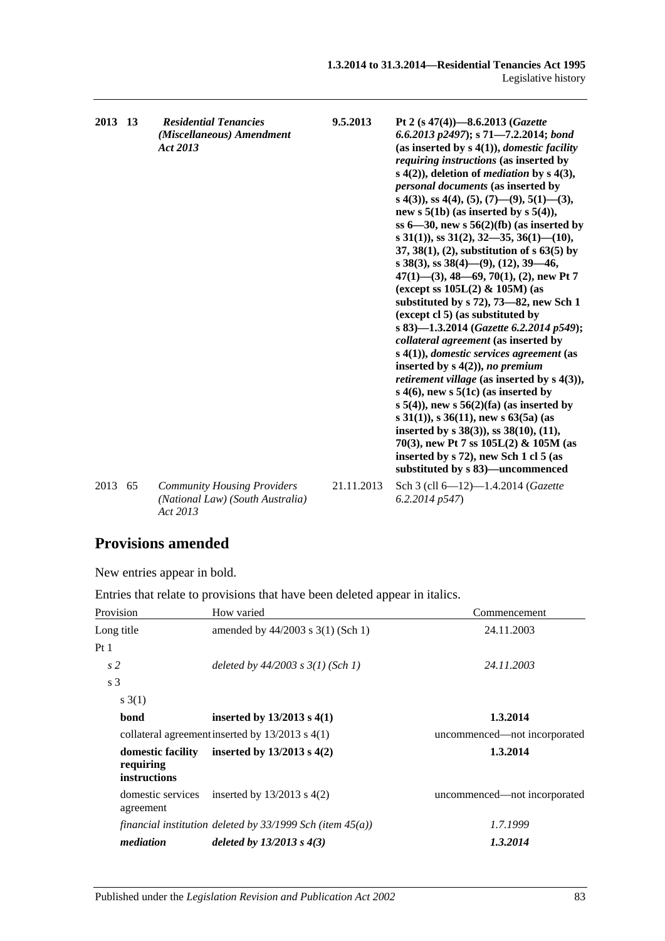| 2013 13 |    | <b>Residential Tenancies</b><br>(Miscellaneous) Amendment<br>Act 2013              | 9.5.2013   | Pt 2 (s $47(4)$ )-8.6.2013 (Gazette<br>6.6.2013 p2497); s 71-7.2.2014; bond<br>(as inserted by $s(4(1))$ , <i>domestic facility</i><br>requiring instructions (as inserted by<br>s $4(2)$ ), deletion of <i>mediation</i> by s $4(3)$ ,<br>personal documents (as inserted by<br>s 4(3)), ss 4(4), (5), (7)—(9), 5(1)—(3),<br>new s $5(1b)$ (as inserted by s $5(4)$ ),<br>ss $6-30$ , new s $56(2)(fb)$ (as inserted by<br>s 31(1)), ss 31(2), 32–35, 36(1)–(10),<br>37, 38(1), (2), substitution of $s$ 63(5) by<br>s 38(3), ss 38(4)–(9), (12), 39–46,<br>$47(1)$ —(3), 48—69, 70(1), (2), new Pt 7<br>(except ss $105L(2)$ & $105M$ ) (as<br>substituted by $s$ 72), 73–82, new Sch 1<br>(except cl 5) (as substituted by<br>s 83)-1.3.2014 (Gazette 6.2.2014 p549);<br>collateral agreement (as inserted by<br>$s(4(1))$ , domestic services agreement (as<br>inserted by $s(4(2))$ , no premium<br><i>retirement village</i> (as inserted by $s$ 4(3)),<br>s $4(6)$ , new s $5(1c)$ (as inserted by<br>s $5(4)$ , new s $56(2)$ (fa) (as inserted by<br>s 31(1)), s 36(11), new s 63(5a) (as<br>inserted by $s$ 38(3)), ss 38(10), (11),<br>70(3), new Pt 7 ss $105L(2)$ & $105M$ (as<br>inserted by s 72), new Sch 1 cl 5 (as<br>substituted by s 83)-uncommenced |
|---------|----|------------------------------------------------------------------------------------|------------|--------------------------------------------------------------------------------------------------------------------------------------------------------------------------------------------------------------------------------------------------------------------------------------------------------------------------------------------------------------------------------------------------------------------------------------------------------------------------------------------------------------------------------------------------------------------------------------------------------------------------------------------------------------------------------------------------------------------------------------------------------------------------------------------------------------------------------------------------------------------------------------------------------------------------------------------------------------------------------------------------------------------------------------------------------------------------------------------------------------------------------------------------------------------------------------------------------------------------------------------------------------------------|
| 2013    | 65 | <b>Community Housing Providers</b><br>(National Law) (South Australia)<br>Act 2013 | 21.11.2013 | Sch 3 (cll 6-12)-1.4.2014 (Gazette<br>6.2.2014p547                                                                                                                                                                                                                                                                                                                                                                                                                                                                                                                                                                                                                                                                                                                                                                                                                                                                                                                                                                                                                                                                                                                                                                                                                       |

# **Provisions amended**

New entries appear in bold.

Entries that relate to provisions that have been deleted appear in italics.

| Provision                                             | How varied                                                     | Commencement                 |
|-------------------------------------------------------|----------------------------------------------------------------|------------------------------|
| Long title                                            | amended by $44/2003$ s 3(1) (Sch 1)                            | 24.11.2003                   |
| Pt <sub>1</sub>                                       |                                                                |                              |
| s <sub>2</sub>                                        | deleted by $44/2003$ s $3(1)$ (Sch 1)                          | 24.11.2003                   |
| s <sub>3</sub>                                        |                                                                |                              |
| s(1)                                                  |                                                                |                              |
| bond                                                  | inserted by $13/2013$ s $4(1)$                                 | 1.3.2014                     |
|                                                       | collateral agreement inserted by $13/2013$ s $4(1)$            | uncommenced—not incorporated |
| domestic facility<br>requiring<br><i>instructions</i> | inserted by $13/2013$ s $4(2)$                                 | 1.3.2014                     |
| agreement                                             | domestic services inserted by $13/2013$ s $4(2)$               | uncommenced—not incorporated |
|                                                       | financial institution deleted by $33/1999$ Sch (item $45(a)$ ) | 1.7.1999                     |
| mediation                                             | deleted by $13/2013$ s $4(3)$                                  | 1.3.2014                     |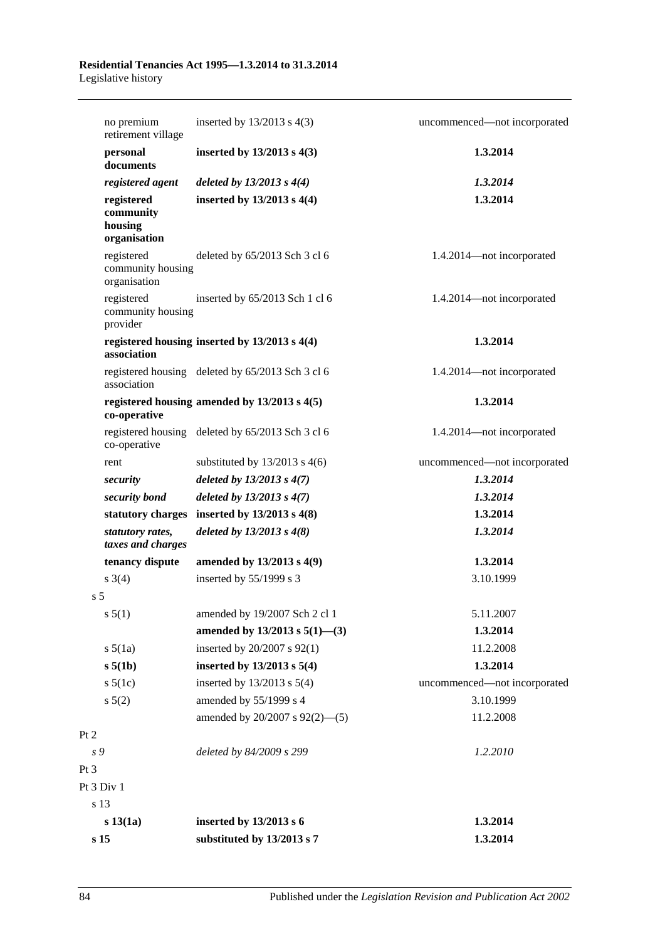|                        | no premium<br>retirement village      | inserted by $13/2013$ s $4(3)$                    | uncommenced—not incorporated |
|------------------------|---------------------------------------|---------------------------------------------------|------------------------------|
| personal               | documents                             | inserted by $13/2013$ s $4(3)$                    | 1.3.2014                     |
|                        | registered agent                      | deleted by $13/2013$ s $4(4)$                     | 1.3.2014                     |
| registered<br>housing  | community<br>organisation             | inserted by $13/2013$ s $4(4)$                    | 1.3.2014                     |
| registered             | community housing<br>organisation     | deleted by 65/2013 Sch 3 cl 6                     | 1.4.2014-not incorporated    |
| registered<br>provider | community housing                     | inserted by 65/2013 Sch 1 cl 6                    | 1.4.2014-not incorporated    |
|                        | association                           | registered housing inserted by $13/2013$ s $4(4)$ | 1.3.2014                     |
|                        | association                           | registered housing deleted by 65/2013 Sch 3 cl 6  | 1.4.2014-not incorporated    |
|                        | co-operative                          | registered housing amended by $13/2013$ s $4(5)$  | 1.3.2014                     |
|                        | co-operative                          | registered housing deleted by 65/2013 Sch 3 cl 6  | 1.4.2014-not incorporated    |
| rent                   |                                       | substituted by $13/2013$ s 4(6)                   | uncommenced—not incorporated |
| security               |                                       | deleted by $13/2013$ s $4(7)$                     | 1.3.2014                     |
|                        | security bond                         | deleted by $13/2013$ s $4(7)$                     | 1.3.2014                     |
|                        |                                       | statutory charges inserted by $13/2013$ s $4(8)$  | 1.3.2014                     |
|                        | statutory rates,<br>taxes and charges | deleted by $13/2013$ s $4(8)$                     | 1.3.2014                     |
|                        | tenancy dispute                       | amended by 13/2013 s 4(9)                         | 1.3.2014                     |
| $s \; 3(4)$            |                                       | inserted by 55/1999 s 3                           | 3.10.1999                    |
| s <sub>5</sub>         |                                       |                                                   |                              |
| s 5(1)                 |                                       | amended by 19/2007 Sch 2 cl 1                     | 5.11.2007                    |
|                        |                                       | amended by $13/2013$ s $5(1)$ —(3)                | 1.3.2014                     |
| $s\ 5(1a)$             |                                       | inserted by 20/2007 s 92(1)                       | 11.2.2008                    |
| s 5(1b)                |                                       | inserted by $13/2013$ s $5(4)$                    | 1.3.2014                     |
| $s\ 5(1c)$             |                                       | inserted by $13/2013$ s $5(4)$                    | uncommenced-not incorporated |
| $s\ 5(2)$              |                                       | amended by 55/1999 s 4                            | 3.10.1999                    |
|                        |                                       | amended by 20/2007 s 92(2)-(5)                    | 11.2.2008                    |
| Pt 2                   |                                       |                                                   |                              |
| s 9                    |                                       | deleted by 84/2009 s 299                          | 1.2.2010                     |
| Pt 3                   |                                       |                                                   |                              |
| Pt 3 Div 1             |                                       |                                                   |                              |
| s 13                   |                                       |                                                   |                              |
| $s\,13(1a)$            |                                       | inserted by 13/2013 s 6                           | 1.3.2014                     |
| s <sub>15</sub>        |                                       | substituted by 13/2013 s 7                        | 1.3.2014                     |
|                        |                                       |                                                   |                              |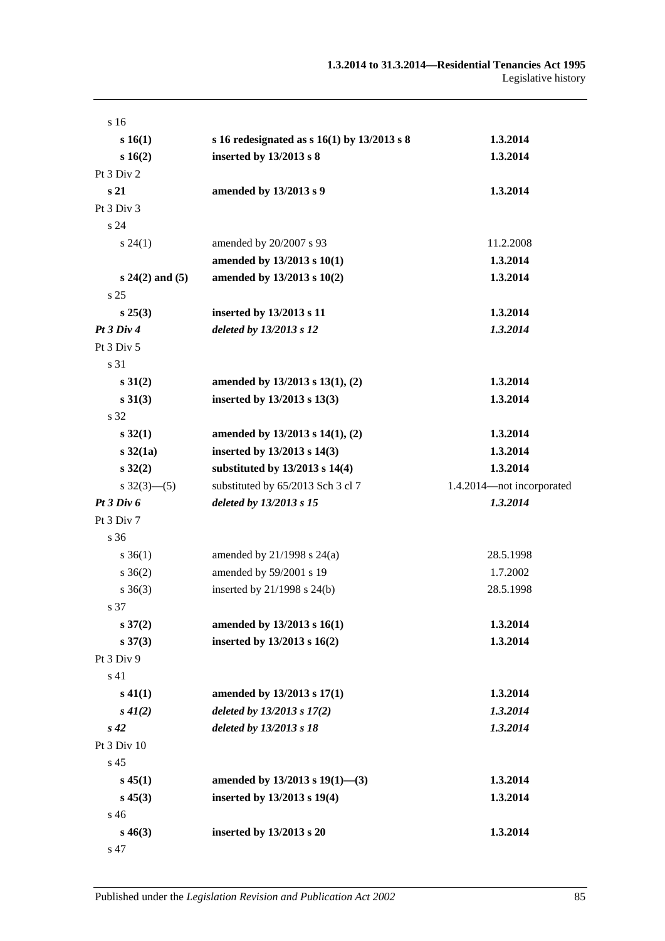| s 16                    |                                                 |                           |
|-------------------------|-------------------------------------------------|---------------------------|
| s 16(1)                 | s 16 redesignated as s $16(1)$ by $13/2013$ s 8 | 1.3.2014                  |
| s 16(2)                 | inserted by 13/2013 s 8                         | 1.3.2014                  |
| Pt 3 Div 2              |                                                 |                           |
| s <sub>21</sub>         | amended by 13/2013 s 9                          | 1.3.2014                  |
| Pt 3 Div 3              |                                                 |                           |
| s <sub>24</sub>         |                                                 |                           |
| $s\,24(1)$              | amended by 20/2007 s 93                         | 11.2.2008                 |
|                         | amended by 13/2013 s 10(1)                      | 1.3.2014                  |
| $s 24(2)$ and $(5)$     | amended by 13/2013 s 10(2)                      | 1.3.2014                  |
| s <sub>25</sub>         |                                                 |                           |
| $s\,25(3)$              | inserted by 13/2013 s 11                        | 1.3.2014                  |
| Pt3 Div4                | deleted by 13/2013 s 12                         | 1.3.2014                  |
| Pt 3 Div 5              |                                                 |                           |
| s 31                    |                                                 |                           |
| $s \, 31(2)$            | amended by 13/2013 s 13(1), (2)                 | 1.3.2014                  |
| $s \, 31(3)$            | inserted by 13/2013 s 13(3)                     | 1.3.2014                  |
| s 32                    |                                                 |                           |
| $s\,32(1)$              | amended by $13/2013$ s $14(1)$ , (2)            | 1.3.2014                  |
| $s \, 32(1a)$           | inserted by 13/2013 s 14(3)                     | 1.3.2014                  |
| $s\,32(2)$              | substituted by 13/2013 s 14(4)                  | 1.3.2014                  |
| $s \frac{32(3)-(5)}{2}$ | substituted by 65/2013 Sch 3 cl 7               | 1.4.2014-not incorporated |
| Pt3 Div6                | deleted by 13/2013 s 15                         | 1.3.2014                  |
| Pt 3 Div 7              |                                                 |                           |
| s 36                    |                                                 |                           |
| $s \, 36(1)$            | amended by $21/1998$ s $24(a)$                  | 28.5.1998                 |
| $s \, 36(2)$            | amended by 59/2001 s 19                         | 1.7.2002                  |
| $s \; 36(3)$            | inserted by $21/1998$ s $24(b)$                 | 28.5.1998                 |
| s 37                    |                                                 |                           |
| $s \, 37(2)$            | amended by 13/2013 s 16(1)                      | 1.3.2014                  |
| $s\,37(3)$              | inserted by 13/2013 s 16(2)                     | 1.3.2014                  |
| Pt 3 Div 9              |                                                 |                           |
| s 41                    |                                                 |                           |
| $s\,41(1)$              | amended by 13/2013 s 17(1)                      | 1.3.2014                  |
| $s\,41(2)$              | deleted by 13/2013 s 17(2)                      | 1.3.2014                  |
| $s\,42$                 | deleted by 13/2013 s 18                         | 1.3.2014                  |
| Pt 3 Div 10             |                                                 |                           |
| s 45                    |                                                 |                           |
| $s\,45(1)$              | amended by $13/2013$ s $19(1)$ —(3)             | 1.3.2014                  |
| $s\,45(3)$              | inserted by 13/2013 s 19(4)                     | 1.3.2014                  |
| s 46                    |                                                 |                           |
| $s\,46(3)$              | inserted by 13/2013 s 20                        | 1.3.2014                  |
| s 47                    |                                                 |                           |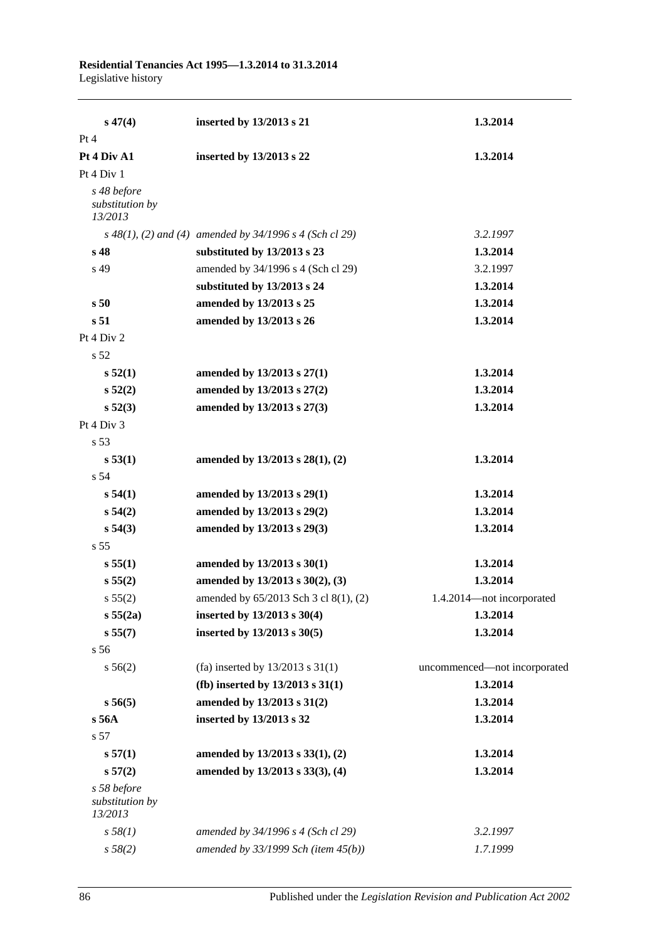| $s\,47(4)$                                | inserted by 13/2013 s 21                                  | 1.3.2014                     |
|-------------------------------------------|-----------------------------------------------------------|------------------------------|
| Pt 4                                      |                                                           |                              |
| Pt 4 Div A1                               | inserted by 13/2013 s 22                                  | 1.3.2014                     |
| Pt 4 Div 1                                |                                                           |                              |
| s 48 before<br>substitution by<br>13/2013 |                                                           |                              |
|                                           | $s$ 48(1), (2) and (4) amended by 34/1996 s 4 (Sch cl 29) | 3.2.1997                     |
| s 48                                      | substituted by 13/2013 s 23                               | 1.3.2014                     |
| s 49                                      | amended by 34/1996 s 4 (Sch cl 29)                        | 3.2.1997                     |
|                                           | substituted by 13/2013 s 24                               | 1.3.2014                     |
| s <sub>50</sub>                           | amended by 13/2013 s 25                                   | 1.3.2014                     |
| s 51                                      | amended by 13/2013 s 26                                   | 1.3.2014                     |
| Pt 4 Div 2                                |                                                           |                              |
| s 52                                      |                                                           |                              |
| s 52(1)                                   | amended by 13/2013 s 27(1)                                | 1.3.2014                     |
| s 52(2)                                   | amended by 13/2013 s 27(2)                                | 1.3.2014                     |
| s 52(3)                                   | amended by 13/2013 s 27(3)                                | 1.3.2014                     |
| Pt 4 Div 3                                |                                                           |                              |
| s 53                                      |                                                           |                              |
| s 53(1)                                   | amended by 13/2013 s 28(1), (2)                           | 1.3.2014                     |
| s 54                                      |                                                           |                              |
| s 54(1)                                   | amended by 13/2013 s 29(1)                                | 1.3.2014                     |
| s 54(2)                                   | amended by 13/2013 s 29(2)                                | 1.3.2014                     |
| s 54(3)                                   | amended by 13/2013 s 29(3)                                | 1.3.2014                     |
| s <sub>55</sub>                           |                                                           |                              |
| s 55(1)                                   | amended by 13/2013 s 30(1)                                | 1.3.2014                     |
| s 55(2)                                   | amended by 13/2013 s 30(2), (3)                           | 1.3.2014                     |
| s 55(2)                                   | amended by 65/2013 Sch 3 cl 8(1), (2)                     | 1.4.2014-not incorporated    |
| s 55(2a)                                  | inserted by 13/2013 s 30(4)                               | 1.3.2014                     |
| s 55(7)                                   | inserted by 13/2013 s 30(5)                               | 1.3.2014                     |
| s 56                                      |                                                           |                              |
| s 56(2)                                   | (fa) inserted by $13/2013$ s $31(1)$                      | uncommenced-not incorporated |
|                                           | (fb) inserted by $13/2013$ s $31(1)$                      | 1.3.2014                     |
| s 56(5)                                   | amended by 13/2013 s 31(2)                                | 1.3.2014                     |
| s 56A                                     | inserted by 13/2013 s 32                                  | 1.3.2014                     |
| s 57                                      |                                                           |                              |
| s 57(1)                                   | amended by 13/2013 s 33(1), (2)                           | 1.3.2014                     |
| s 57(2)                                   | amended by 13/2013 s 33(3), (4)                           | 1.3.2014                     |
| s 58 before<br>substitution by<br>13/2013 |                                                           |                              |
| s 58(1)                                   | amended by 34/1996 s 4 (Sch cl 29)                        | 3.2.1997                     |
| s 58(2)                                   | amended by $33/1999$ Sch (item $45(b)$ )                  | 1.7.1999                     |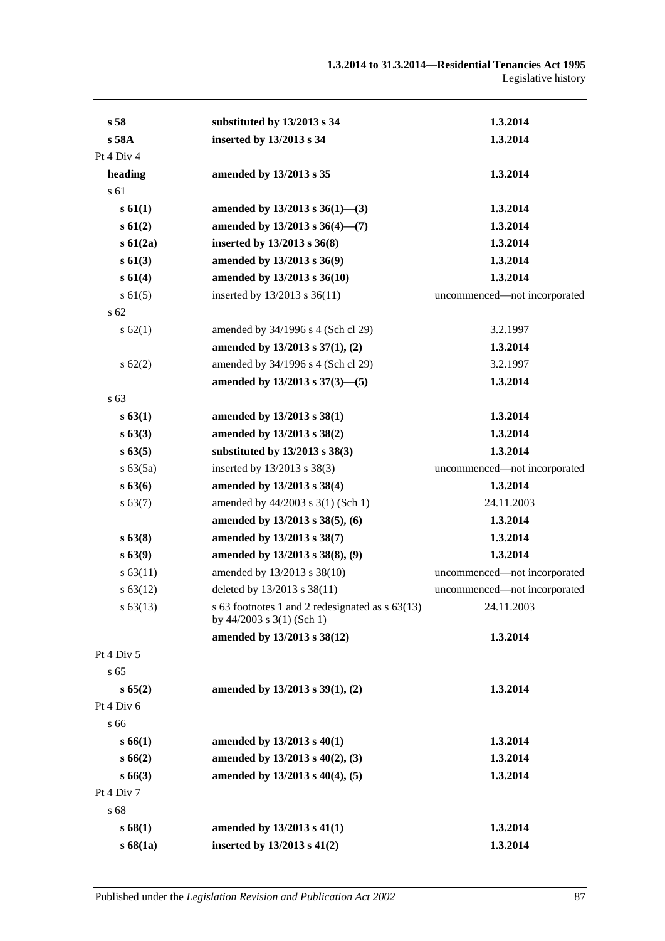| s <sub>58</sub> | substituted by 13/2013 s 34                                                        | 1.3.2014                     |
|-----------------|------------------------------------------------------------------------------------|------------------------------|
| s 58A           | inserted by 13/2013 s 34                                                           | 1.3.2014                     |
| Pt 4 Div 4      |                                                                                    |                              |
| heading         | amended by 13/2013 s 35                                                            | 1.3.2014                     |
| s 61            |                                                                                    |                              |
| s 61(1)         | amended by $13/2013$ s $36(1)$ —(3)                                                | 1.3.2014                     |
| s61(2)          | amended by 13/2013 s 36(4)-(7)                                                     | 1.3.2014                     |
| $s\ 61(2a)$     | inserted by 13/2013 s 36(8)                                                        | 1.3.2014                     |
| s61(3)          | amended by 13/2013 s 36(9)                                                         | 1.3.2014                     |
| s 61(4)         | amended by 13/2013 s 36(10)                                                        | 1.3.2014                     |
| $s \, 61(5)$    | inserted by $13/2013$ s $36(11)$                                                   | uncommenced-not incorporated |
| s 62            |                                                                                    |                              |
| s 62(1)         | amended by 34/1996 s 4 (Sch cl 29)                                                 | 3.2.1997                     |
|                 | amended by 13/2013 s 37(1), (2)                                                    | 1.3.2014                     |
| $s \, 62(2)$    | amended by 34/1996 s 4 (Sch cl 29)                                                 | 3.2.1997                     |
|                 | amended by 13/2013 s 37(3)-(5)                                                     | 1.3.2014                     |
| s 63            |                                                                                    |                              |
| s 63(1)         | amended by 13/2013 s 38(1)                                                         | 1.3.2014                     |
| s 63(3)         | amended by 13/2013 s 38(2)                                                         | 1.3.2014                     |
| s 63(5)         | substituted by 13/2013 s 38(3)                                                     | 1.3.2014                     |
| s 63(5a)        | inserted by 13/2013 s 38(3)                                                        | uncommenced-not incorporated |
| s 63(6)         | amended by 13/2013 s 38(4)                                                         | 1.3.2014                     |
| s 63(7)         | amended by 44/2003 s 3(1) (Sch 1)                                                  | 24.11.2003                   |
|                 | amended by 13/2013 s 38(5), (6)                                                    | 1.3.2014                     |
| s 63(8)         | amended by 13/2013 s 38(7)                                                         | 1.3.2014                     |
| s 63(9)         | amended by 13/2013 s 38(8), (9)                                                    | 1.3.2014                     |
| s 63(11)        | amended by 13/2013 s 38(10)                                                        | uncommenced-not incorporated |
| s 63(12)        | deleted by 13/2013 s 38(11)                                                        | uncommenced-not incorporated |
| $s\,63(13)$     | s 63 footnotes 1 and 2 redesignated as $s$ 63(13)<br>by $44/2003$ s $3(1)$ (Sch 1) | 24.11.2003                   |
|                 | amended by 13/2013 s 38(12)                                                        | 1.3.2014                     |
| Pt 4 Div 5      |                                                                                    |                              |
| s <sub>65</sub> |                                                                                    |                              |
| s 65(2)         | amended by 13/2013 s 39(1), (2)                                                    | 1.3.2014                     |
| Pt 4 Div 6      |                                                                                    |                              |
| s 66            |                                                                                    |                              |
| s 66(1)         | amended by 13/2013 s 40(1)                                                         | 1.3.2014                     |
| s66(2)          | amended by 13/2013 s 40(2), (3)                                                    | 1.3.2014                     |
| s 66(3)         | amended by 13/2013 s 40(4), (5)                                                    | 1.3.2014                     |
| Pt 4 Div 7      |                                                                                    |                              |
| s 68            |                                                                                    |                              |
| s68(1)          | amended by 13/2013 s 41(1)                                                         | 1.3.2014                     |
| s68(1a)         | inserted by 13/2013 s 41(2)                                                        | 1.3.2014                     |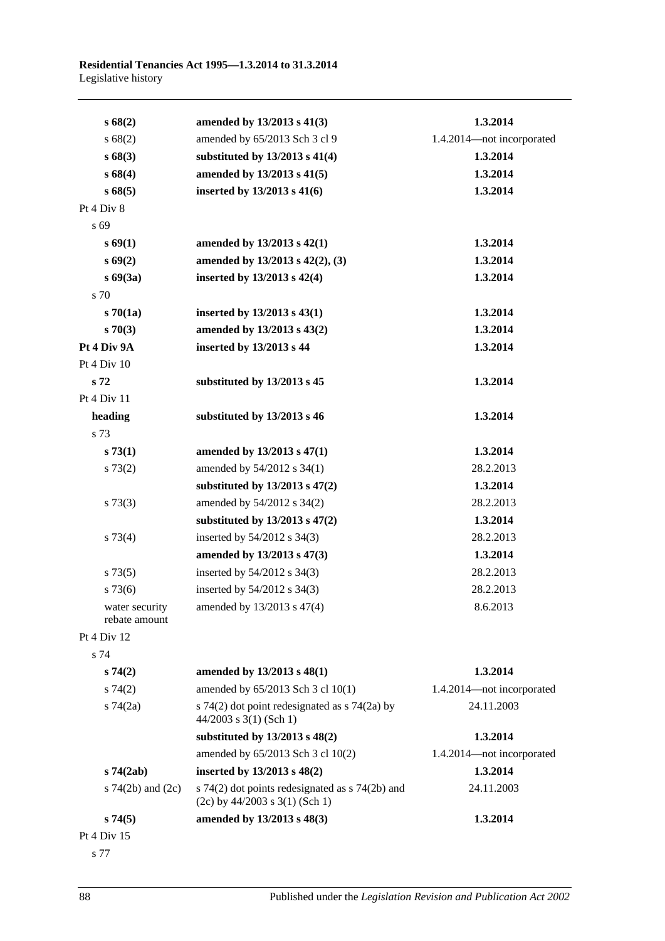| s68(2)                          | amended by 13/2013 s 41(3)                                                              | 1.3.2014                  |
|---------------------------------|-----------------------------------------------------------------------------------------|---------------------------|
| s 68(2)                         | amended by 65/2013 Sch 3 cl 9                                                           | 1.4.2014-not incorporated |
| s68(3)                          | substituted by 13/2013 s 41(4)                                                          | 1.3.2014                  |
| s68(4)                          | amended by 13/2013 s 41(5)                                                              | 1.3.2014                  |
| s68(5)                          | inserted by 13/2013 s 41(6)                                                             | 1.3.2014                  |
| Pt 4 Div 8                      |                                                                                         |                           |
| s 69                            |                                                                                         |                           |
| s 69(1)                         | amended by 13/2013 s 42(1)                                                              | 1.3.2014                  |
| s69(2)                          | amended by 13/2013 s 42(2), (3)                                                         | 1.3.2014                  |
| $s\,69(3a)$                     | inserted by 13/2013 s 42(4)                                                             | 1.3.2014                  |
| s 70                            |                                                                                         |                           |
| $s\,70(1a)$                     | inserted by 13/2013 s 43(1)                                                             | 1.3.2014                  |
| $s \, 70(3)$                    | amended by 13/2013 s 43(2)                                                              | 1.3.2014                  |
| Pt 4 Div 9A                     | inserted by 13/2013 s 44                                                                | 1.3.2014                  |
| Pt 4 Div 10                     |                                                                                         |                           |
| s 72                            | substituted by 13/2013 s 45                                                             | 1.3.2014                  |
| Pt 4 Div 11                     |                                                                                         |                           |
| heading                         | substituted by 13/2013 s 46                                                             | 1.3.2014                  |
| s 73                            |                                                                                         |                           |
| s 73(1)                         | amended by 13/2013 s 47(1)                                                              | 1.3.2014                  |
| s 73(2)                         | amended by 54/2012 s 34(1)                                                              | 28.2.2013                 |
|                                 | substituted by $13/2013$ s $47(2)$                                                      | 1.3.2014                  |
| $s \, 73(3)$                    | amended by 54/2012 s 34(2)                                                              | 28.2.2013                 |
|                                 | substituted by $13/2013$ s $47(2)$                                                      | 1.3.2014                  |
| s 73(4)                         | inserted by 54/2012 s 34(3)                                                             | 28.2.2013                 |
|                                 | amended by 13/2013 s 47(3)                                                              | 1.3.2014                  |
| s 73(5)                         | inserted by 54/2012 s 34(3)                                                             | 28.2.2013                 |
| s73(6)                          | inserted by 54/2012 s 34(3)                                                             | 28.2.2013                 |
| water security<br>rebate amount | amended by 13/2013 s 47(4)                                                              | 8.6.2013                  |
| Pt 4 Div 12                     |                                                                                         |                           |
| s 74                            |                                                                                         |                           |
| s74(2)                          | amended by 13/2013 s 48(1)                                                              | 1.3.2014                  |
| $s \, 74(2)$                    | amended by 65/2013 Sch 3 cl 10(1)                                                       | 1.4.2014-not incorporated |
| s $74(2a)$                      | s 74(2) dot point redesignated as $\frac{1}{2}$ 74(2a) by<br>$44/2003$ s 3(1) (Sch 1)   | 24.11.2003                |
|                                 | substituted by 13/2013 s 48(2)                                                          | 1.3.2014                  |
|                                 | amended by 65/2013 Sch 3 cl 10(2)                                                       | 1.4.2014-not incorporated |
| $s\,74(2ab)$                    | inserted by 13/2013 s 48(2)                                                             | 1.3.2014                  |
| s $74(2b)$ and $(2c)$           | s $74(2)$ dot points redesignated as s $74(2b)$ and<br>$(2c)$ by 44/2003 s 3(1) (Sch 1) | 24.11.2003                |
| s74(5)                          | amended by 13/2013 s 48(3)                                                              | 1.3.2014                  |
| Pt 4 Div 15                     |                                                                                         |                           |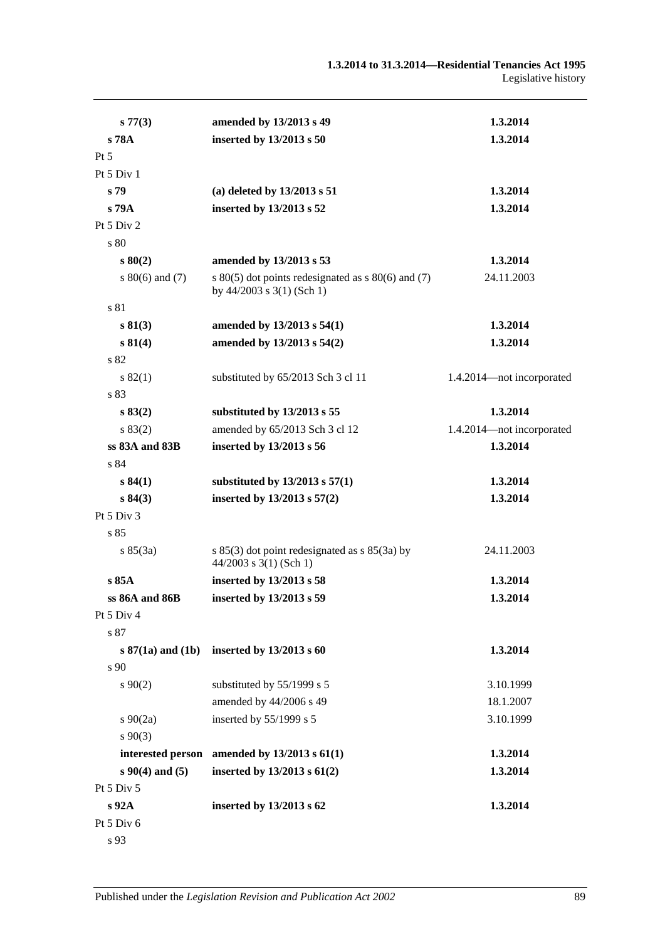| s 77(3)               | amended by 13/2013 s 49                                                                 | 1.3.2014                  |
|-----------------------|-----------------------------------------------------------------------------------------|---------------------------|
| s 78A                 | inserted by 13/2013 s 50                                                                | 1.3.2014                  |
| $Pt\,5$               |                                                                                         |                           |
| Pt $5$ Div $1$        |                                                                                         |                           |
| s 79                  | (a) deleted by $13/2013$ s 51                                                           | 1.3.2014                  |
| s 79A                 | inserted by 13/2013 s 52                                                                | 1.3.2014                  |
| Pt 5 Div 2            |                                                                                         |                           |
| s 80                  |                                                                                         |                           |
| $s\,80(2)$            | amended by 13/2013 s 53                                                                 | 1.3.2014                  |
| s $80(6)$ and $(7)$   | s $80(5)$ dot points redesignated as s $80(6)$ and (7)<br>by $44/2003$ s $3(1)$ (Sch 1) | 24.11.2003                |
| s 81                  |                                                                                         |                           |
| s 81(3)               | amended by 13/2013 s 54(1)                                                              | 1.3.2014                  |
| s 81(4)               | amended by 13/2013 s 54(2)                                                              | 1.3.2014                  |
| s 82                  |                                                                                         |                           |
| s 82(1)               | substituted by 65/2013 Sch 3 cl 11                                                      | 1.4.2014-not incorporated |
| s 83                  |                                                                                         |                           |
| s 83(2)               | substituted by 13/2013 s 55                                                             | 1.3.2014                  |
| s 83(2)               | amended by 65/2013 Sch 3 cl 12                                                          | 1.4.2014-not incorporated |
| ss 83A and 83B        | inserted by 13/2013 s 56                                                                | 1.3.2014                  |
| s 84                  |                                                                                         |                           |
| s 84(1)               | substituted by $13/2013$ s $57(1)$                                                      | 1.3.2014                  |
| s 84(3)               | inserted by 13/2013 s 57(2)                                                             | 1.3.2014                  |
| Pt 5 Div 3            |                                                                                         |                           |
| s85                   |                                                                                         |                           |
| s 85(3a)              | s $85(3)$ dot point redesignated as s $85(3a)$ by<br>$44/2003$ s 3(1) (Sch 1)           | 24.11.2003                |
| s85A                  | inserted by 13/2013 s 58                                                                | 1.3.2014                  |
| ss 86A and 86B        | inserted by 13/2013 s 59                                                                | 1.3.2014                  |
| Pt 5 Div 4            |                                                                                         |                           |
| s 87                  |                                                                                         |                           |
| $s 87(1a)$ and $(1b)$ | inserted by 13/2013 s 60                                                                | 1.3.2014                  |
| s 90                  |                                                                                         |                           |
| $s\,90(2)$            | substituted by 55/1999 s 5                                                              | 3.10.1999                 |
|                       | amended by 44/2006 s 49                                                                 | 18.1.2007                 |
| $s \ 90(2a)$          | inserted by $55/1999$ s 5                                                               | 3.10.1999                 |
| $s\,90(3)$            |                                                                                         |                           |
| interested person     | amended by 13/2013 s 61(1)                                                              | 1.3.2014                  |
| $s\,90(4)$ and (5)    | inserted by $13/2013$ s $61(2)$                                                         | 1.3.2014                  |
| Pt 5 Div 5            |                                                                                         |                           |
| s 92A                 | inserted by 13/2013 s 62                                                                | 1.3.2014                  |
| Pt 5 Div 6            |                                                                                         |                           |

s 93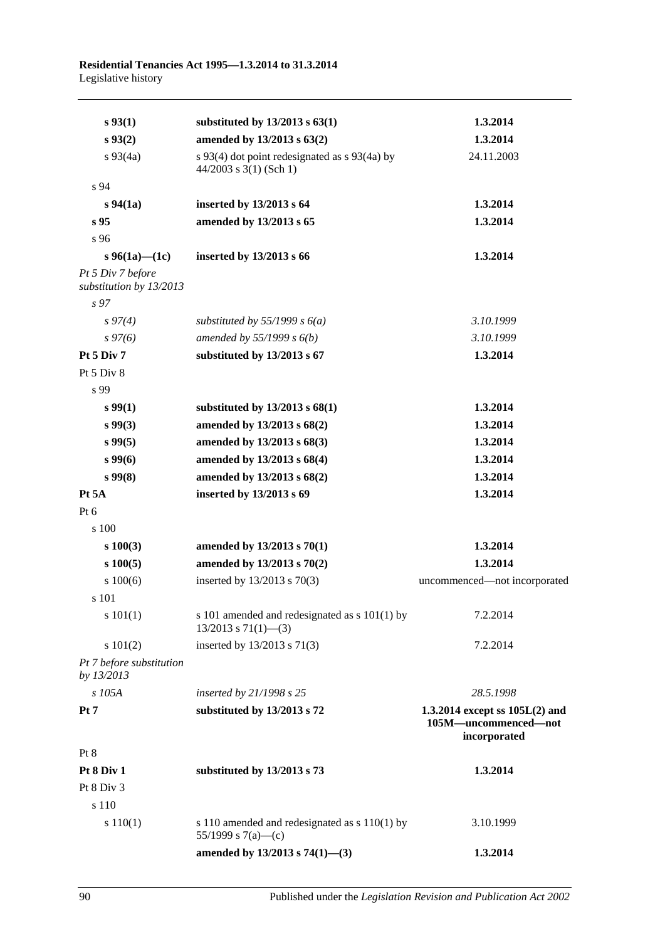| $s\,93(1)$                                   | substituted by $13/2013$ s $63(1)$                                         | 1.3.2014                                                                 |
|----------------------------------------------|----------------------------------------------------------------------------|--------------------------------------------------------------------------|
| $s\,93(2)$                                   | amended by 13/2013 s 63(2)                                                 | 1.3.2014                                                                 |
| $s\,93(4a)$                                  | s 93(4) dot point redesignated as s 93(4a) by<br>$44/2003$ s 3(1) (Sch 1)  | 24.11.2003                                                               |
| s 94                                         |                                                                            |                                                                          |
| $s\,94(1a)$                                  | inserted by 13/2013 s 64                                                   | 1.3.2014                                                                 |
| s <sub>95</sub>                              | amended by 13/2013 s 65                                                    | 1.3.2014                                                                 |
| s 96                                         |                                                                            |                                                                          |
| s 96(1a)—(1c)                                | inserted by 13/2013 s 66                                                   | 1.3.2014                                                                 |
| Pt 5 Div 7 before<br>substitution by 13/2013 |                                                                            |                                                                          |
| s <sub>97</sub>                              |                                                                            |                                                                          |
| $s\,97(4)$                                   | substituted by 55/1999 s $6(a)$                                            | 3.10.1999                                                                |
| $s\,97(6)$                                   | amended by $55/1999 s 6(b)$                                                | 3.10.1999                                                                |
| <b>Pt 5 Div 7</b>                            | substituted by 13/2013 s 67                                                | 1.3.2014                                                                 |
| Pt 5 Div 8                                   |                                                                            |                                                                          |
| s 99                                         |                                                                            |                                                                          |
| $s\,99(1)$                                   | substituted by $13/2013$ s $68(1)$                                         | 1.3.2014                                                                 |
| s 99(3)                                      | amended by 13/2013 s 68(2)                                                 | 1.3.2014                                                                 |
| $s\,99(5)$                                   | amended by 13/2013 s 68(3)                                                 | 1.3.2014                                                                 |
| $s\,99(6)$                                   | amended by 13/2013 s 68(4)                                                 | 1.3.2014                                                                 |
| $s\,99(8)$                                   | amended by 13/2013 s 68(2)                                                 | 1.3.2014                                                                 |
| Pt 5A                                        | inserted by 13/2013 s 69                                                   | 1.3.2014                                                                 |
| $Pt\ 6$                                      |                                                                            |                                                                          |
| s 100                                        |                                                                            |                                                                          |
| $s\ 100(3)$                                  | amended by 13/2013 s 70(1)                                                 | 1.3.2014                                                                 |
| $s\ 100(5)$                                  | amended by 13/2013 s 70(2)                                                 | 1.3.2014                                                                 |
| s 100(6)                                     | inserted by 13/2013 s 70(3)                                                | uncommenced-not incorporated                                             |
| s 101                                        |                                                                            |                                                                          |
| s 101(1)                                     | s 101 amended and redesignated as s 101(1) by<br>$13/2013$ s $71(1)$ - (3) | 7.2.2014                                                                 |
| s 101(2)                                     | inserted by 13/2013 s 71(3)                                                | 7.2.2014                                                                 |
| Pt 7 before substitution<br>by 13/2013       |                                                                            |                                                                          |
| s 105A                                       | inserted by 21/1998 s 25                                                   | 28.5.1998                                                                |
| Pt <sub>7</sub>                              | substituted by 13/2013 s 72                                                | 1.3.2014 except ss $105L(2)$ and<br>105M-uncommenced-not<br>incorporated |
| Pt 8                                         |                                                                            |                                                                          |
| Pt 8 Div 1                                   | substituted by 13/2013 s 73                                                | 1.3.2014                                                                 |
| Pt 8 Div 3                                   |                                                                            |                                                                          |
| s 110                                        |                                                                            |                                                                          |
| s 110(1)                                     | s 110 amended and redesignated as $s$ 110(1) by<br>55/1999 s 7(a)—(c)      | 3.10.1999                                                                |
|                                              | amended by 13/2013 s 74(1)-(3)                                             | 1.3.2014                                                                 |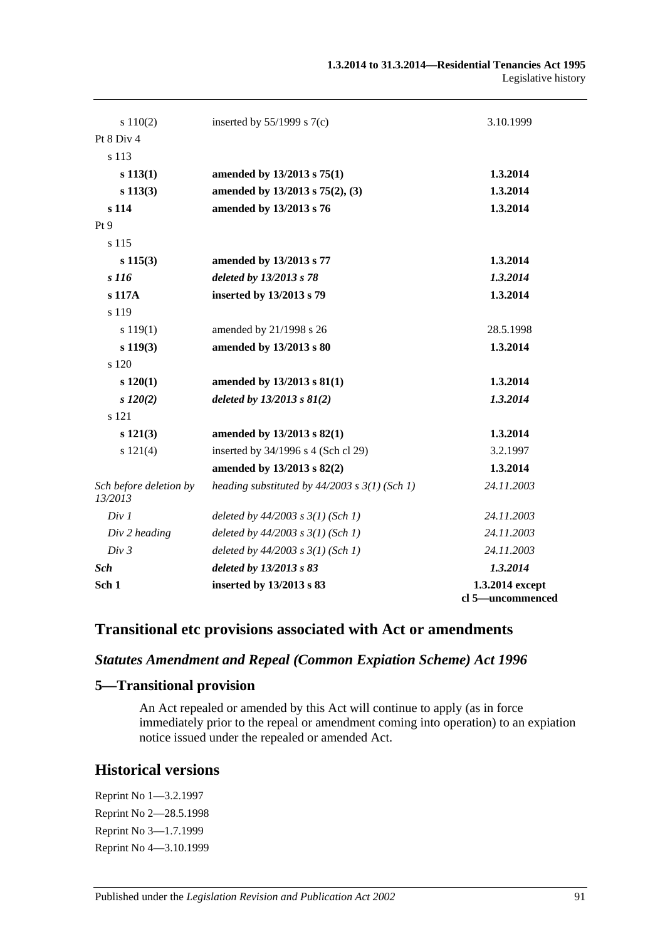| s 110(2)                          | inserted by $55/1999$ s $7(c)$                    | 3.10.1999                           |
|-----------------------------------|---------------------------------------------------|-------------------------------------|
| Pt 8 Div 4                        |                                                   |                                     |
| s 113                             |                                                   |                                     |
| s 113(1)                          | amended by 13/2013 s 75(1)                        | 1.3.2014                            |
| s 113(3)                          | amended by 13/2013 s 75(2), (3)                   | 1.3.2014                            |
| s 114                             | amended by 13/2013 s 76                           | 1.3.2014                            |
| Pt 9                              |                                                   |                                     |
| s 115                             |                                                   |                                     |
| $s\ 115(3)$                       | amended by 13/2013 s 77                           | 1.3.2014                            |
| s 116                             | deleted by 13/2013 s 78                           | 1.3.2014                            |
| s 117A                            | inserted by 13/2013 s 79                          | 1.3.2014                            |
| s 119                             |                                                   |                                     |
| s 119(1)                          | amended by 21/1998 s 26                           | 28.5.1998                           |
| $s\ 119(3)$                       | amended by 13/2013 s 80                           | 1.3.2014                            |
| s 120                             |                                                   |                                     |
| s 120(1)                          | amended by 13/2013 s 81(1)                        | 1.3.2014                            |
| $s\ 120(2)$                       | deleted by $13/2013$ s $81(2)$                    | 1.3.2014                            |
| s 121                             |                                                   |                                     |
| $s\ 121(3)$                       | amended by 13/2013 s 82(1)                        | 1.3.2014                            |
| s 121(4)                          | inserted by 34/1996 s 4 (Sch cl 29)               | 3.2.1997                            |
|                                   | amended by 13/2013 s 82(2)                        | 1.3.2014                            |
| Sch before deletion by<br>13/2013 | heading substituted by $44/2003$ s $3(1)$ (Sch 1) | 24.11.2003                          |
| Div 1                             | deleted by $44/2003$ s $3(1)$ (Sch 1)             | 24.11.2003                          |
| Div 2 heading                     | deleted by $44/2003$ s $3(1)$ (Sch 1)             | 24.11.2003                          |
| Div 3                             | deleted by $44/2003$ s $3(1)$ (Sch 1)             | 24.11.2003                          |
| <b>Sch</b>                        | deleted by 13/2013 s 83                           | 1.3.2014                            |
| Sch 1                             | inserted by 13/2013 s 83                          | 1.3.2014 except<br>cl 5-uncommenced |

# **Transitional etc provisions associated with Act or amendments**

# *Statutes Amendment and Repeal (Common Expiation Scheme) Act 1996*

# **5—Transitional provision**

An Act repealed or amended by this Act will continue to apply (as in force immediately prior to the repeal or amendment coming into operation) to an expiation notice issued under the repealed or amended Act.

# **Historical versions**

Reprint No 1—3.2.1997 Reprint No 2—28.5.1998 Reprint No 3—1.7.1999 Reprint No 4—3.10.1999